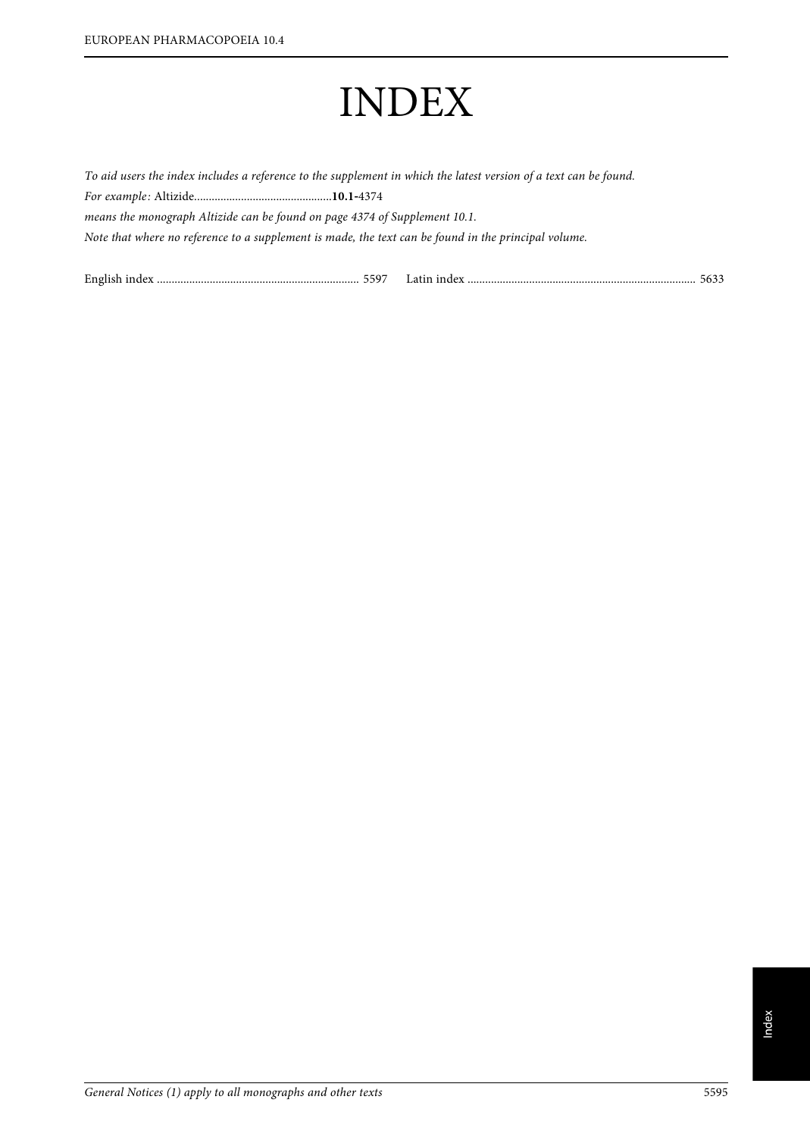# INDEX

To aid users the index includes a reference to the supplement in which the latest version of a text can be found. For example: Altizide...............................................**10.1**‑<sup>4374</sup> means the monograph Altizide can be found on page 4374 of Supplement 10.1. Note that where no reference to a supplement is made, the text can be found in the principal volume.

| English index<br>$5597$ $1^{\circ}$ $\cdot$ | Latin index | - 563 |
|---------------------------------------------|-------------|-------|
|                                             |             |       |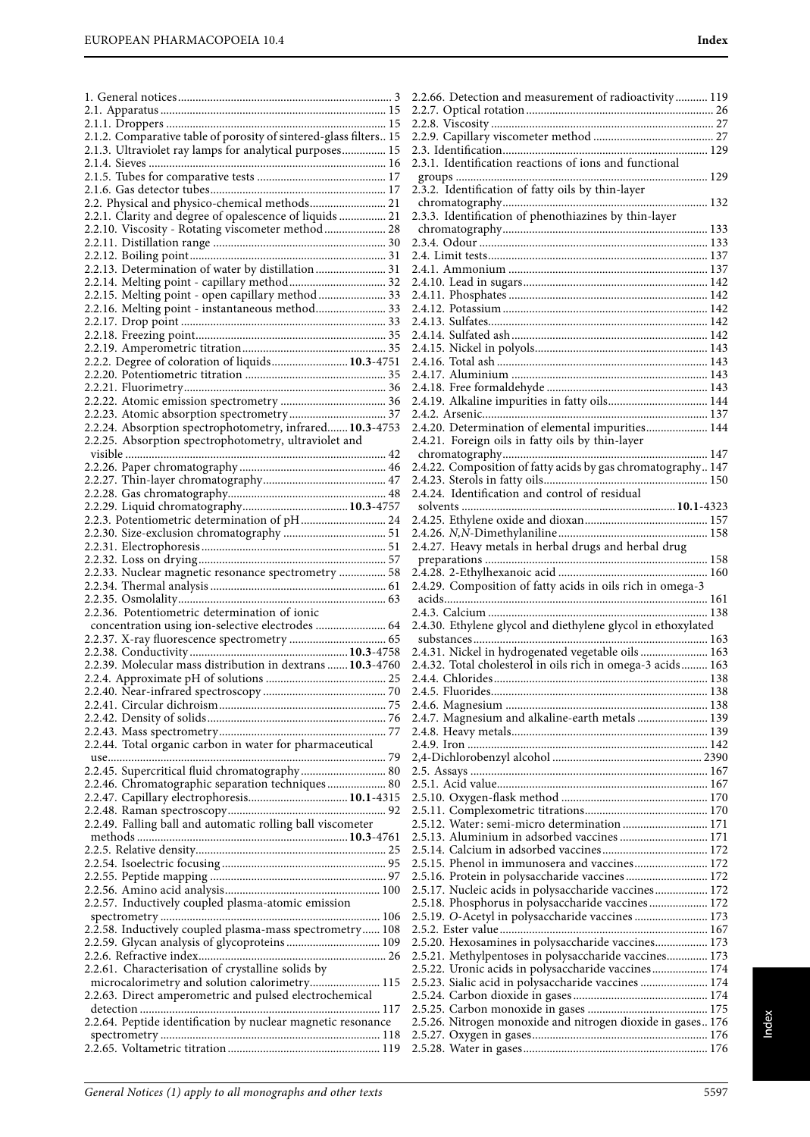| 2.1.2. Comparative table of porosity of sintered-glass filters 15 |
|-------------------------------------------------------------------|
| 2.1.3. Ultraviolet ray lamps for analytical purposes 15           |
|                                                                   |
|                                                                   |
|                                                                   |
| 2.2. Physical and physico-chemical methods 21                     |
| 2.2.1. Clarity and degree of opalescence of liquids  21           |
| 2.2.10. Viscosity - Rotating viscometer method  28                |
|                                                                   |
|                                                                   |
| 2.2.13. Determination of water by distillation 31                 |
| 2.2.14. Melting point - capillary method 32                       |
| 2.2.15. Melting point - open capillary method  33                 |
| 2.2.16. Melting point - instantaneous method 33                   |
|                                                                   |
|                                                                   |
|                                                                   |
| 2.2.2. Degree of coloration of liquids 10.3-4751                  |
|                                                                   |
|                                                                   |
|                                                                   |
|                                                                   |
| 2.2.24. Absorption spectrophotometry, infrared 10.3-4753          |
| 2.2.25. Absorption spectrophotometry, ultraviolet and             |
|                                                                   |
|                                                                   |
|                                                                   |
|                                                                   |
|                                                                   |
| 2.2.3. Potentiometric determination of pH 24                      |
|                                                                   |
|                                                                   |
|                                                                   |
| 2.2.33. Nuclear magnetic resonance spectrometry  58               |
|                                                                   |
|                                                                   |
|                                                                   |
|                                                                   |
| 2.2.36. Potentiometric determination of ionic                     |
| concentration using ion-selective electrodes  64                  |
|                                                                   |
|                                                                   |
| 2.2.39. Molecular mass distribution in dextrans  10.3-4760        |
|                                                                   |
|                                                                   |
|                                                                   |
|                                                                   |
|                                                                   |
| 2.2.44. Total organic carbon in water for pharmaceutical          |
| 2.2.45. Supercritical fluid chromatography 80                     |
|                                                                   |
| 2.2.46. Chromatographic separation techniques 80                  |
| 2.2.47. Capillary electrophoresis 10.1-4315                       |
|                                                                   |
| 2.2.49. Falling ball and automatic rolling ball viscometer        |
|                                                                   |
|                                                                   |
|                                                                   |
|                                                                   |
|                                                                   |
| 2.2.57. Inductively coupled plasma-atomic emission                |
| 2.2.58. Inductively coupled plasma-mass spectrometry 108          |
| 2.2.59. Glycan analysis of glycoproteins 109                      |
|                                                                   |
| 2.2.61. Characterisation of crystalline solids by                 |
| microcalorimetry and solution calorimetry 115                     |
| 2.2.63. Direct amperometric and pulsed electrochemical            |
|                                                                   |
| 2.2.64. Peptide identification by nuclear magnetic resonance      |
|                                                                   |

| 2.2.66. Detection and measurement of radioactivity 119       |  |
|--------------------------------------------------------------|--|
|                                                              |  |
|                                                              |  |
|                                                              |  |
|                                                              |  |
|                                                              |  |
|                                                              |  |
| 2.3.1. Identification reactions of ions and functional       |  |
|                                                              |  |
|                                                              |  |
|                                                              |  |
|                                                              |  |
| 2.3.3. Identification of phenothiazines by thin-layer        |  |
|                                                              |  |
|                                                              |  |
|                                                              |  |
|                                                              |  |
|                                                              |  |
|                                                              |  |
|                                                              |  |
|                                                              |  |
|                                                              |  |
|                                                              |  |
|                                                              |  |
|                                                              |  |
|                                                              |  |
|                                                              |  |
|                                                              |  |
|                                                              |  |
|                                                              |  |
| 2.4.19. Alkaline impurities in fatty oils 144                |  |
|                                                              |  |
| 2.4.20. Determination of elemental impurities 144            |  |
|                                                              |  |
|                                                              |  |
|                                                              |  |
|                                                              |  |
|                                                              |  |
|                                                              |  |
|                                                              |  |
|                                                              |  |
|                                                              |  |
|                                                              |  |
|                                                              |  |
|                                                              |  |
| 2.4.27. Heavy metals in herbal drugs and herbal drug         |  |
|                                                              |  |
|                                                              |  |
|                                                              |  |
| 2.4.29. Composition of fatty acids in oils rich in omega-3   |  |
|                                                              |  |
|                                                              |  |
|                                                              |  |
| 2.4.30. Ethylene glycol and diethylene glycol in ethoxylated |  |
|                                                              |  |
| 2.4.31. Nickel in hydrogenated vegetable oils  163           |  |
| 2.4.32. Total cholesterol in oils rich in omega-3 acids 163  |  |
|                                                              |  |
|                                                              |  |
|                                                              |  |
|                                                              |  |
|                                                              |  |
| 2.4.7. Magnesium and alkaline-earth metals  139              |  |
|                                                              |  |
|                                                              |  |
|                                                              |  |
|                                                              |  |
|                                                              |  |
|                                                              |  |
|                                                              |  |
|                                                              |  |
| 2.5.12. Water: semi-micro determination  171                 |  |
|                                                              |  |
| 2.5.13. Aluminium in adsorbed vaccines  171                  |  |
|                                                              |  |
| 2.5.15. Phenol in immunosera and vaccines 172                |  |
| 2.5.16. Protein in polysaccharide vaccines 172               |  |
| 2.5.17. Nucleic acids in polysaccharide vaccines 172         |  |
|                                                              |  |
| 2.5.18. Phosphorus in polysaccharide vaccines 172            |  |
| 2.5.19. O-Acetyl in polysaccharide vaccines  173             |  |
|                                                              |  |
|                                                              |  |
| 2.5.20. Hexosamines in polysaccharide vaccines 173           |  |
| 2.5.21. Methylpentoses in polysaccharide vaccines 173        |  |
| 2.5.22. Uronic acids in polysaccharide vaccines 174          |  |
| 2.5.23. Sialic acid in polysaccharide vaccines  174          |  |
|                                                              |  |
|                                                              |  |
|                                                              |  |
| 2.5.26. Nitrogen monoxide and nitrogen dioxide in gases 176  |  |
|                                                              |  |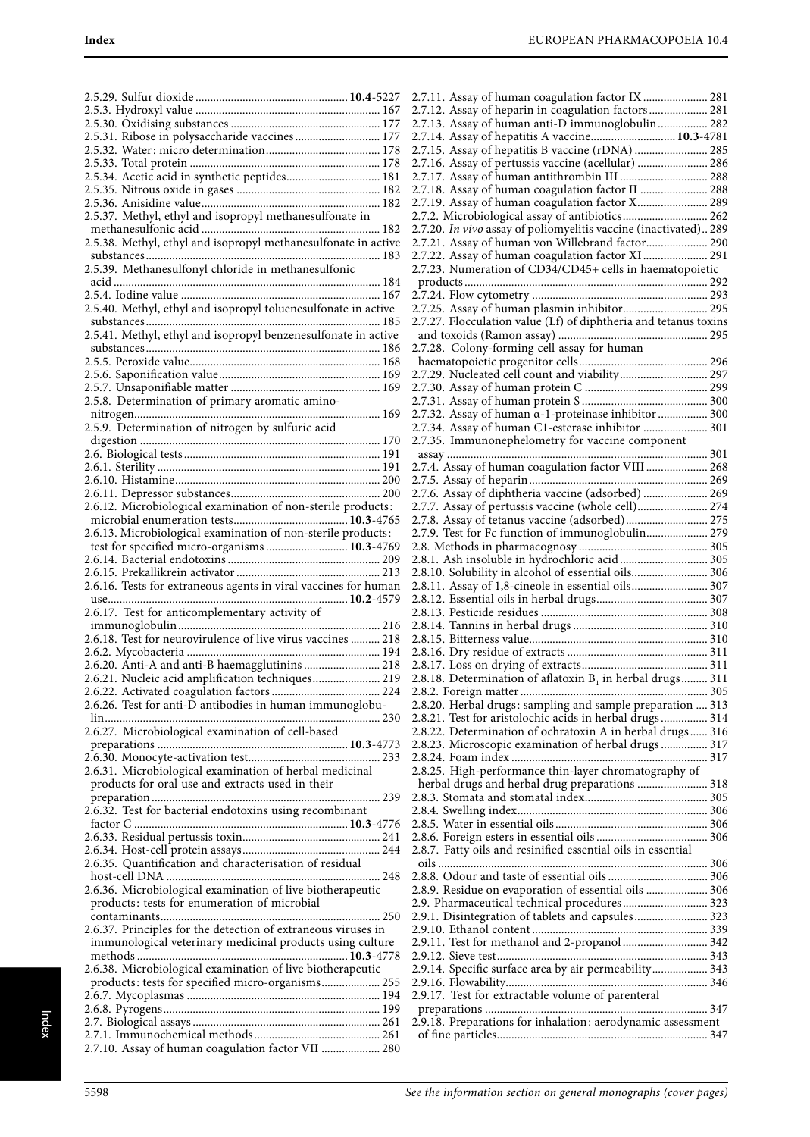| 2.5.31. Ribose in polysaccharide vaccines 177                   |  |
|-----------------------------------------------------------------|--|
|                                                                 |  |
|                                                                 |  |
| 2.5.34. Acetic acid in synthetic peptides 181                   |  |
|                                                                 |  |
|                                                                 |  |
|                                                                 |  |
|                                                                 |  |
| 2.5.38. Methyl, ethyl and isopropyl methanesulfonate in active  |  |
|                                                                 |  |
| 2.5.39. Methanesulfonyl chloride in methanesulfonic             |  |
|                                                                 |  |
|                                                                 |  |
| 2.5.40. Methyl, ethyl and isopropyl toluenesulfonate in active  |  |
|                                                                 |  |
|                                                                 |  |
|                                                                 |  |
|                                                                 |  |
|                                                                 |  |
| 2.5.8. Determination of primary aromatic amino-                 |  |
|                                                                 |  |
| 2.5.9. Determination of nitrogen by sulfuric acid               |  |
|                                                                 |  |
|                                                                 |  |
|                                                                 |  |
|                                                                 |  |
|                                                                 |  |
| 2.6.12. Microbiological examination of non-sterile products:    |  |
|                                                                 |  |
| 2.6.13. Microbiological examination of non-sterile products:    |  |
| test for specified micro-organisms  10.3-4769                   |  |
|                                                                 |  |
|                                                                 |  |
| 2.6.16. Tests for extraneous agents in viral vaccines for human |  |
|                                                                 |  |
| 2.6.17. Test for anticomplementary activity of                  |  |
| 2.6.18. Test for neurovirulence of live virus vaccines  218     |  |
|                                                                 |  |
| 2.6.20. Anti-A and anti-B haemagglutinins  218                  |  |
| 2.6.21. Nucleic acid amplification techniques 219               |  |
|                                                                 |  |
| 2.6.26. Test for anti-D antibodies in human immunoglobu-        |  |
|                                                                 |  |
| 2.6.27. Microbiological examination of cell-based               |  |
|                                                                 |  |
|                                                                 |  |
| 2.6.31. Microbiological examination of herbal medicinal         |  |
| products for oral use and extracts used in their                |  |
|                                                                 |  |
| 2.6.32. Test for bacterial endotoxins using recombinant         |  |
|                                                                 |  |
|                                                                 |  |
|                                                                 |  |
| 2.6.35. Quantification and characterisation of residual         |  |
|                                                                 |  |
| 2.6.36. Microbiological examination of live biotherapeutic      |  |
| products: tests for enumeration of microbial                    |  |
|                                                                 |  |
| 2.6.37. Principles for the detection of extraneous viruses in   |  |
| immunological veterinary medicinal products using culture       |  |
| 2.6.38. Microbiological examination of live biotherapeutic      |  |
| products: tests for specified micro-organisms 255               |  |
|                                                                 |  |
|                                                                 |  |
|                                                                 |  |
|                                                                 |  |
| 2.7.10. Assay of human coagulation factor VII  280              |  |

| 2.7.11. Assay of human coagulation factor IX  281                |
|------------------------------------------------------------------|
| 2.7.12. Assay of heparin in coagulation factors 281              |
| 2.7.13. Assay of human anti-D immunoglobulin 282                 |
| 2.7.14. Assay of hepatitis A vaccine 10.3-4781                   |
|                                                                  |
|                                                                  |
| 2.7.16. Assay of pertussis vaccine (acellular)  286              |
|                                                                  |
| 2.7.18. Assay of human coagulation factor II  288                |
| 2.7.19. Assay of human coagulation factor X 289                  |
| 2.7.2. Microbiological assay of antibiotics 262                  |
|                                                                  |
| 2.7.20. In vivo assay of poliomyelitis vaccine (inactivated) 289 |
| 2.7.21. Assay of human von Willebrand factor 290                 |
| 2.7.22. Assay of human coagulation factor XI 291                 |
| 2.7.23. Numeration of CD34/CD45+ cells in haematopoietic         |
|                                                                  |
|                                                                  |
| 2.7.25. Assay of human plasmin inhibitor 295                     |
|                                                                  |
| 2.7.27. Flocculation value (Lf) of diphtheria and tetanus toxins |
|                                                                  |
| 2.7.28. Colony-forming cell assay for human                      |
|                                                                  |
| 2.7.29. Nucleated cell count and viability 297                   |
|                                                                  |
|                                                                  |
|                                                                  |
| 2.7.32. Assay of human a-1-proteinase inhibitor  300             |
| 2.7.34. Assay of human C1-esterase inhibitor  301                |
| 2.7.35. Immunonephelometry for vaccine component                 |
|                                                                  |
| 2.7.4. Assay of human coagulation factor VIII  268               |
|                                                                  |
|                                                                  |
| 2.7.6. Assay of diphtheria vaccine (adsorbed)  269               |
| 2.7.7. Assay of pertussis vaccine (whole cell) 274               |
| 2.7.8. Assay of tetanus vaccine (adsorbed) 275                   |
| 2.7.9. Test for Fc function of immunoglobulin 279                |
|                                                                  |
|                                                                  |
|                                                                  |
| 2.8.1. Ash insoluble in hydrochloric acid 305                    |
| 2.8.10. Solubility in alcohol of essential oils 306              |
|                                                                  |
| 2.8.11. Assay of 1,8-cineole in essential oils 307               |
|                                                                  |
|                                                                  |
|                                                                  |
|                                                                  |
|                                                                  |
|                                                                  |
|                                                                  |
| 2.8.18. Determination of aflatoxin $B_1$ in herbal drugs 311     |
|                                                                  |
| 2.8.20. Herbal drugs: sampling and sample preparation  313       |
| 2.8.21. Test for aristolochic acids in herbal drugs 314          |
| 2.8.22. Determination of ochratoxin A in herbal drugs 316        |
| 2.8.23. Microscopic examination of herbal drugs  317             |
|                                                                  |
| 2.8.25. High-performance thin-layer chromatography of            |
|                                                                  |
| herbal drugs and herbal drug preparations  318                   |
|                                                                  |
|                                                                  |
|                                                                  |
|                                                                  |
|                                                                  |
| 2.8.7. Fatty oils and resinified essential oils in essential     |
|                                                                  |
|                                                                  |
| 2.8.9. Residue on evaporation of essential oils  306             |
| 2.9. Pharmaceutical technical procedures 323                     |
| 2.9.1. Disintegration of tablets and capsules 323                |
|                                                                  |
|                                                                  |
| 2.9.11. Test for methanol and 2-propanol  342                    |
|                                                                  |
| 2.9.14. Specific surface area by air permeability 343            |
|                                                                  |
| 2.9.17. Test for extractable volume of parenteral                |
|                                                                  |
| 2.9.18. Preparations for inhalation: aerodynamic assessment      |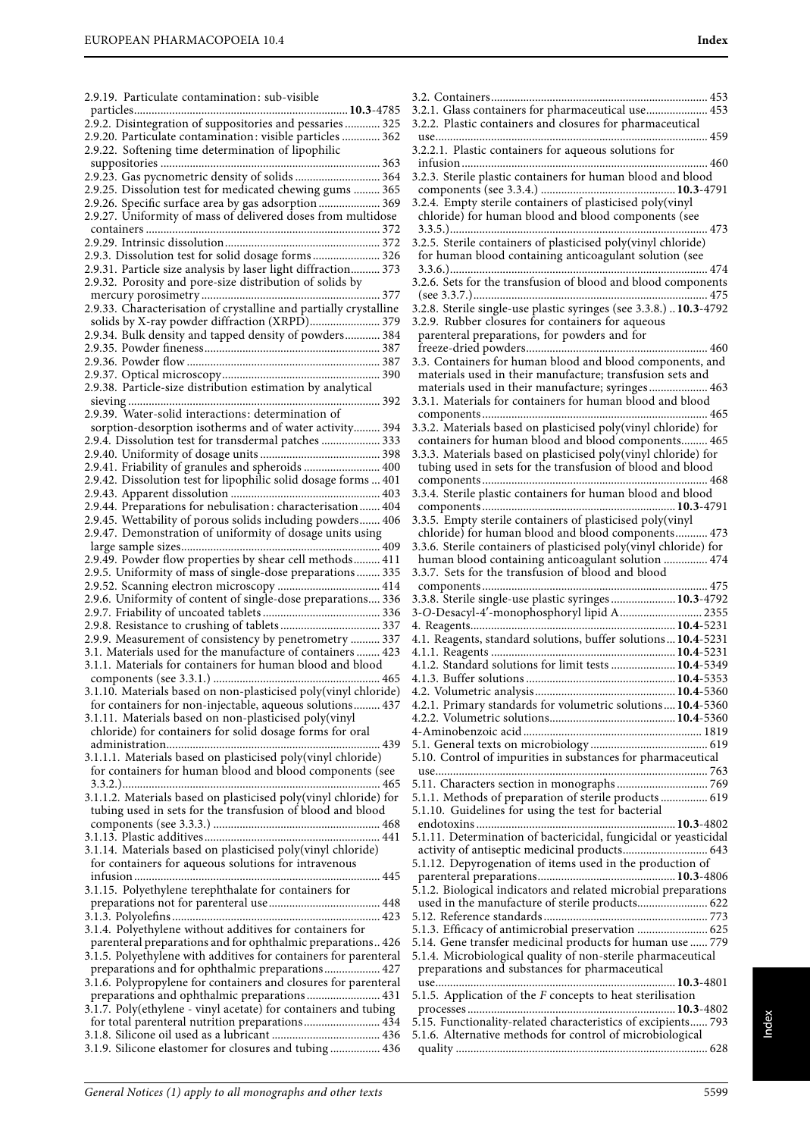| 2.9.19. Particulate contamination: sub-visible                    |
|-------------------------------------------------------------------|
|                                                                   |
| 2.9.2. Disintegration of suppositories and pessaries  325         |
|                                                                   |
| 2.9.20. Particulate contamination: visible particles  362         |
| 2.9.22. Softening time determination of lipophilic                |
|                                                                   |
| 2.9.23. Gas pycnometric density of solids  364                    |
|                                                                   |
| 2.9.25. Dissolution test for medicated chewing gums  365          |
| 2.9.26. Specific surface area by gas adsorption 369               |
| 2.9.27. Uniformity of mass of delivered doses from multidose      |
|                                                                   |
|                                                                   |
|                                                                   |
| 2.9.3. Dissolution test for solid dosage forms 326                |
| 2.9.31. Particle size analysis by laser light diffraction 373     |
|                                                                   |
| 2.9.32. Porosity and pore-size distribution of solids by          |
|                                                                   |
| 2.9.33. Characterisation of crystalline and partially crystalline |
|                                                                   |
| solids by X-ray powder diffraction (XRPD) 379                     |
| 2.9.34. Bulk density and tapped density of powders 384            |
|                                                                   |
|                                                                   |
|                                                                   |
|                                                                   |
| 2.9.38. Particle-size distribution estimation by analytical       |
| 392                                                               |
| 2.9.39. Water-solid interactions: determination of                |
|                                                                   |
| sorption-desorption isotherms and of water activity 394           |
| 2.9.4. Dissolution test for transdermal patches  333              |
|                                                                   |
|                                                                   |
| 2.9.41. Friability of granules and spheroids  400                 |
| 2.9.42. Dissolution test for lipophilic solid dosage forms  401   |
|                                                                   |
| 2.9.44. Preparations for nebulisation: characterisation 404       |
|                                                                   |
| 2.9.45. Wettability of porous solids including powders 406        |
| 2.9.47. Demonstration of uniformity of dosage units using         |
|                                                                   |
|                                                                   |
| 2.9.49. Powder flow properties by shear cell methods 411          |
| 2.9.5. Uniformity of mass of single-dose preparations 335         |
| 2.9.52. Scanning electron microscopy  414                         |
| 2.9.6. Uniformity of content of single-dose preparations 336      |
|                                                                   |
|                                                                   |
|                                                                   |
| 2.9.9. Measurement of consistency by penetrometry  337            |
| 3.1. Materials used for the manufacture of containers  423        |
|                                                                   |
| 3.1.1. Materials for containers for human blood and blood         |
|                                                                   |
| 3.1.10. Materials based on non-plasticised poly(vinyl chloride)   |
|                                                                   |
| for containers for non-injectable, aqueous solutions 437          |
| 3.1.11. Materials based on non-plasticised poly(vinyl             |
| chloride) for containers for solid dosage forms for oral          |
|                                                                   |
|                                                                   |
| 3.1.1.1. Materials based on plasticised poly(vinyl chloride)      |
| for containers for human blood and blood components (see          |
|                                                                   |
|                                                                   |
| 3.1.1.2. Materials based on plasticised poly(vinyl chloride) for  |
| tubing used in sets for the transfusion of blood and blood        |
|                                                                   |
|                                                                   |
|                                                                   |
| 3.1.14. Materials based on plasticised poly(vinyl chloride)       |
| for containers for aqueous solutions for intravenous              |
|                                                                   |
| 3.1.15. Polyethylene terephthalate for containers for             |
|                                                                   |
|                                                                   |
|                                                                   |
|                                                                   |
|                                                                   |
| 3.1.4. Polyethylene without additives for containers for          |
| parenteral preparations and for ophthalmic preparations 426       |
| 3.1.5. Polyethylene with additives for containers for parenteral  |
| preparations and for ophthalmic preparations 427                  |
|                                                                   |
| 3.1.6. Polypropylene for containers and closures for parenteral   |
| preparations and ophthalmic preparations 431                      |
| 3.1.7. Poly(ethylene - vinyl acetate) for containers and tubing   |
| for total parenteral nutrition preparations 434                   |
|                                                                   |
| 3.1.9. Silicone elastomer for closures and tubing  436            |

| 3.2.1. Glass containers for pharmaceutical use 453                 |
|--------------------------------------------------------------------|
|                                                                    |
| 3.2.2. Plastic containers and closures for pharmaceutical          |
|                                                                    |
| 3.2.2.1. Plastic containers for aqueous solutions for              |
|                                                                    |
| 3.2.3. Sterile plastic containers for human blood and blood        |
|                                                                    |
|                                                                    |
| 3.2.4. Empty sterile containers of plasticised poly(vinyl          |
| chloride) for human blood and blood components (see                |
| 473                                                                |
| 3.2.5. Sterile containers of plasticised poly(vinyl chloride)      |
| for human blood containing anticoagulant solution (see             |
|                                                                    |
|                                                                    |
| 3.2.6. Sets for the transfusion of blood and blood components      |
|                                                                    |
| 3.2.8. Sterile single-use plastic syringes (see 3.3.8.)  10.3-4792 |
| 3.2.9. Rubber closures for containers for aqueous                  |
| parenteral preparations, for powders and for                       |
|                                                                    |
|                                                                    |
| 3.3. Containers for human blood and blood components, and          |
| materials used in their manufacture; transfusion sets and          |
| materials used in their manufacture; syringes 463                  |
| 3.3.1. Materials for containers for human blood and blood          |
|                                                                    |
| 3.3.2. Materials based on plasticised poly(vinyl chloride) for     |
|                                                                    |
| containers for human blood and blood components 465                |
| 3.3.3. Materials based on plasticised poly(vinyl chloride) for     |
| tubing used in sets for the transfusion of blood and blood         |
|                                                                    |
| 3.3.4. Sterile plastic containers for human blood and blood        |
|                                                                    |
|                                                                    |
| 3.3.5. Empty sterile containers of plasticised poly(vinyl          |
| chloride) for human blood and blood components 473                 |
| 3.3.6. Sterile containers of plasticised poly(vinyl chloride) for  |
| human blood containing anticoagulant solution  474                 |
|                                                                    |
|                                                                    |
| 3.3.7. Sets for the transfusion of blood and blood                 |
|                                                                    |
| 3.3.8. Sterile single-use plastic syringes 10.3-4792               |
| 3-O-Desacyl-4'-monophosphoryl lipid A  2355                        |
|                                                                    |
| 4.1. Reagents, standard solutions, buffer solutions  10.4-5231     |
|                                                                    |
|                                                                    |
| 4.1.2. Standard solutions for limit tests  10.4-5349               |
|                                                                    |
|                                                                    |
| 4.2.1. Primary standards for volumetric solutions 10.4-5360        |
|                                                                    |
|                                                                    |
|                                                                    |
|                                                                    |
| 5.10. Control of impurities in substances for pharmaceutical       |
|                                                                    |
|                                                                    |
| 5.1.1. Methods of preparation of sterile products  619             |
| 5.1.10. Guidelines for using the test for bacterial                |
|                                                                    |
|                                                                    |
| 5.1.11. Determination of bactericidal, fungicidal or yeasticidal   |
| activity of antiseptic medicinal products 643                      |
| 5.1.12. Depyrogenation of items used in the production of          |
|                                                                    |
| 5.1.2. Biological indicators and related microbial preparations    |
|                                                                    |
| used in the manufacture of sterile products 622                    |
|                                                                    |
| 5.1.3. Efficacy of antimicrobial preservation  625                 |
| 5.14. Gene transfer medicinal products for human use  779          |
| 5.1.4. Microbiological quality of non-sterile pharmaceutical       |
| preparations and substances for pharmaceutical                     |
|                                                                    |
| 5.1.5. Application of the $F$ concepts to heat sterilisation       |
|                                                                    |
|                                                                    |
| 5.15. Functionality-related characteristics of excipients 793      |
| 5.1.6. Alternative methods for control of microbiological          |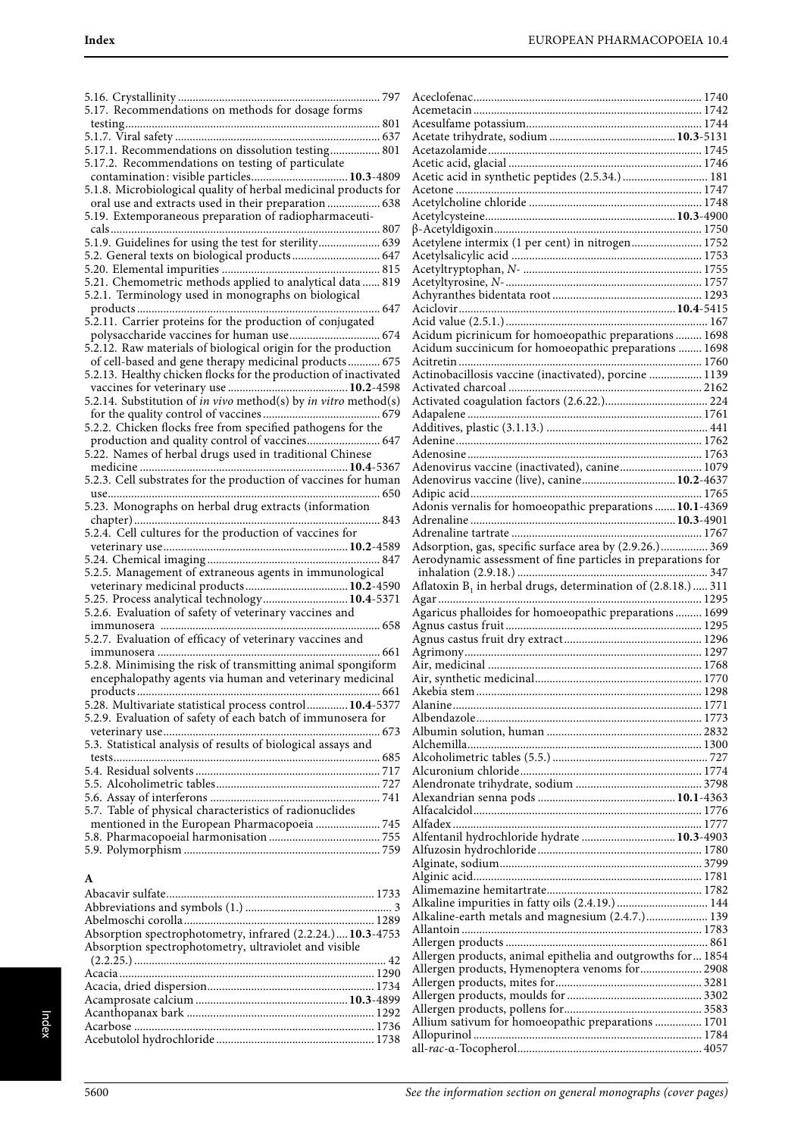| 5.17. Recommendations on methods for dosage forms                                                             |
|---------------------------------------------------------------------------------------------------------------|
|                                                                                                               |
| 5.17.1. Recommendations on dissolution testing 801                                                            |
| 5.17.2. Recommendations on testing of particulate                                                             |
| contamination: visible particles 10.3-4809                                                                    |
| 5.1.8. Microbiological quality of herbal medicinal products for                                               |
| oral use and extracts used in their preparation  638<br>5.19. Extemporaneous preparation of radiopharmaceuti- |
|                                                                                                               |
| 5.1.9. Guidelines for using the test for sterility 639                                                        |
| 5.2. General texts on biological products 647                                                                 |
|                                                                                                               |
| 5.21. Chemometric methods applied to analytical data  819                                                     |
| 5.2.1. Terminology used in monographs on biological                                                           |
| 5.2.11. Carrier proteins for the production of conjugated                                                     |
| polysaccharide vaccines for human use 674                                                                     |
| 5.2.12. Raw materials of biological origin for the production                                                 |
| of cell-based and gene therapy medicinal products 675                                                         |
| 5.2.13. Healthy chicken flocks for the production of inactivated                                              |
|                                                                                                               |
| 5.2.14. Substitution of <i>in vivo</i> method(s) by <i>in vitro</i> method(s)                                 |
| 5.2.2. Chicken flocks free from specified pathogens for the                                                   |
| production and quality control of vaccines 647                                                                |
| 5.22. Names of herbal drugs used in traditional Chinese                                                       |
|                                                                                                               |
| 5.2.3. Cell substrates for the production of vaccines for human                                               |
| 5.23. Monographs on herbal drug extracts (information                                                         |
|                                                                                                               |
|                                                                                                               |
|                                                                                                               |
|                                                                                                               |
| 5.2.5. Management of extraneous agents in immunological                                                       |
| veterinary medicinal products 10.2-4590<br>5.25. Process analytical technology 10.4-5371                      |
| 5.2.6. Evaluation of safety of veterinary vaccines and                                                        |
| ……. 658                                                                                                       |
| 5.2.7. Evaluation of efficacy of veterinary vaccines and                                                      |
|                                                                                                               |
| 5.2.8. Minimising the risk of transmitting animal spongiform                                                  |
| encephalopathy agents via human and veterinary medicinal                                                      |
| 5.28. Multivariate statistical process control 10.4-5377                                                      |
| 5.2.9. Evaluation of safety of each batch of immunosera for                                                   |
|                                                                                                               |
| 5.3. Statistical analysis of results of biological assays and                                                 |
|                                                                                                               |
|                                                                                                               |
|                                                                                                               |
| 5.7. Table of physical characteristics of radionuclides                                                       |
| mentioned in the European Pharmacopoeia  745                                                                  |
|                                                                                                               |
|                                                                                                               |
|                                                                                                               |
| $\mathbf{A}$                                                                                                  |
|                                                                                                               |
|                                                                                                               |
| Absorption spectrophotometry, infrared (2.2.24.) 10.3-4753                                                    |
| Absorption spectrophotometry, ultraviolet and visible                                                         |
|                                                                                                               |
|                                                                                                               |
|                                                                                                               |
|                                                                                                               |
|                                                                                                               |

Acebutolol hydrochloride ...................................................... 1738

| Acetylene intermix (1 per cent) in nitrogen 1752             |  |
|--------------------------------------------------------------|--|
|                                                              |  |
|                                                              |  |
|                                                              |  |
|                                                              |  |
|                                                              |  |
| Acidum picrinicum for homoeopathic preparations 1698         |  |
| Acidum succinicum for homoeopathic preparations  1698        |  |
| Actinobacillosis vaccine (inactivated), porcine  1139        |  |
|                                                              |  |
|                                                              |  |
|                                                              |  |
|                                                              |  |
|                                                              |  |
|                                                              |  |
| Adenovirus vaccine (inactivated), canine 1079                |  |
| Adenovirus vaccine (live), canine 10.2-4637                  |  |
|                                                              |  |
| Adonis vernalis for homoeopathic preparations  10.1-4369     |  |
|                                                              |  |
| Adsorption, gas, specific surface area by (2.9.26.) 369      |  |
| Aerodynamic assessment of fine particles in preparations for |  |
|                                                              |  |
|                                                              |  |
|                                                              |  |
|                                                              |  |
| Agaricus phalloides for homoeopathic preparations  1699      |  |
|                                                              |  |
|                                                              |  |
|                                                              |  |
|                                                              |  |
|                                                              |  |
|                                                              |  |
|                                                              |  |
|                                                              |  |
|                                                              |  |
|                                                              |  |
|                                                              |  |
|                                                              |  |
|                                                              |  |
|                                                              |  |
| Alfentanil hydrochloride hydrate  10.3-4903                  |  |
|                                                              |  |
|                                                              |  |
|                                                              |  |
|                                                              |  |
| Alkaline impurities in fatty oils (2.4.19.)  144             |  |
| Alkaline-earth metals and magnesium (2.4.7.) 139             |  |
|                                                              |  |
| Allergen products, animal epithelia and outgrowths for 1854  |  |
| Allergen products, Hymenoptera venoms for 2908               |  |
|                                                              |  |
|                                                              |  |
|                                                              |  |
| Allium sativum for homoeopathic preparations  1701           |  |
|                                                              |  |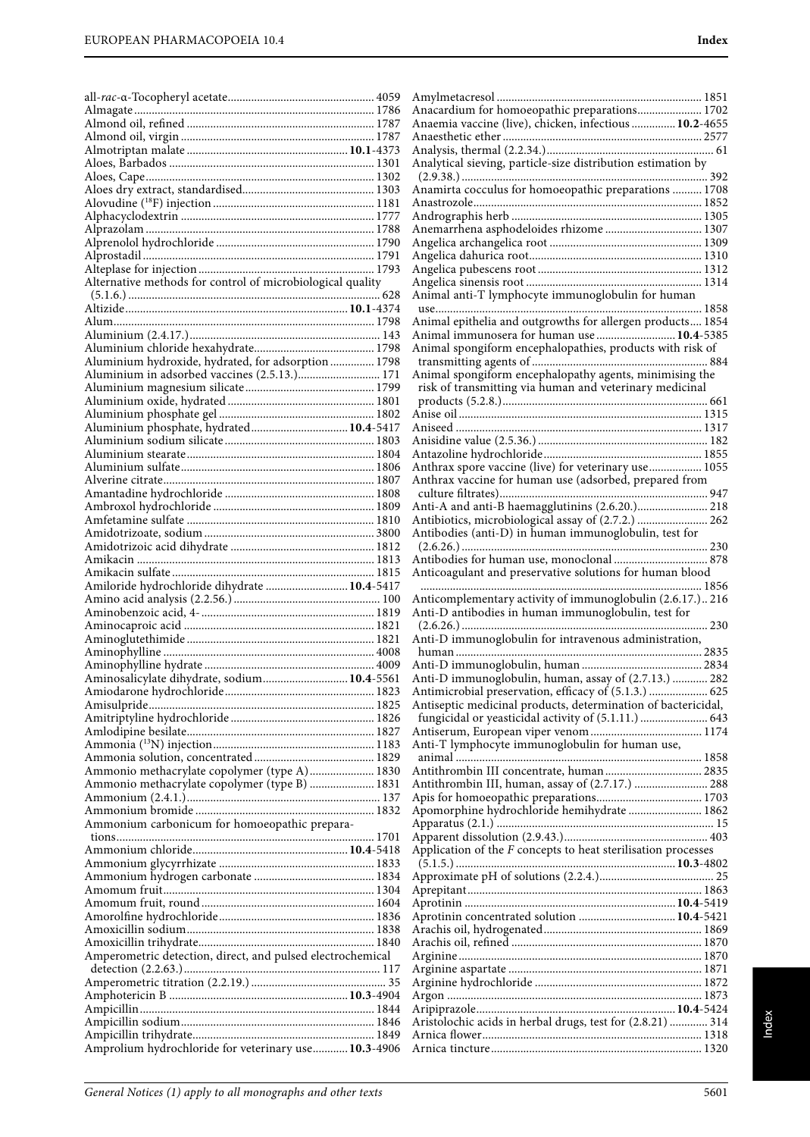| Alternative methods for control of microbiological quality |  |
|------------------------------------------------------------|--|
|                                                            |  |
|                                                            |  |
|                                                            |  |
|                                                            |  |
| Aluminium hydroxide, hydrated, for adsorption  1798        |  |
| Aluminium in adsorbed vaccines (2.5.13.) 171               |  |
|                                                            |  |
|                                                            |  |
|                                                            |  |
| Aluminium phosphate, hydrated 10.4-5417                    |  |
|                                                            |  |
|                                                            |  |
|                                                            |  |
|                                                            |  |
|                                                            |  |
|                                                            |  |
|                                                            |  |
|                                                            |  |
|                                                            |  |
|                                                            |  |
|                                                            |  |
| Amiloride hydrochloride dihydrate  10.4-5417               |  |
|                                                            |  |
|                                                            |  |
|                                                            |  |
|                                                            |  |
|                                                            |  |
| Aminosalicylate dihydrate, sodium 10.4-5561                |  |
|                                                            |  |
|                                                            |  |
|                                                            |  |
|                                                            |  |
|                                                            |  |
| Ammonio methacrylate copolymer (type A) 1830               |  |
| Ammonio methacrylate copolymer (type B)  1831              |  |
|                                                            |  |
|                                                            |  |
| Ammonium carbonicum for homoeopathic prepara-              |  |
|                                                            |  |
|                                                            |  |
|                                                            |  |
|                                                            |  |
|                                                            |  |
|                                                            |  |
|                                                            |  |
| Amperometric detection, direct, and pulsed electrochemical |  |
|                                                            |  |
|                                                            |  |
|                                                            |  |
|                                                            |  |
|                                                            |  |

| Anacardium for homoeopathic preparations 1702                   |  |
|-----------------------------------------------------------------|--|
| Anaemia vaccine (live), chicken, infectious  10.2-4655          |  |
|                                                                 |  |
|                                                                 |  |
|                                                                 |  |
| Analytical sieving, particle-size distribution estimation by    |  |
|                                                                 |  |
| Anamirta cocculus for homoeopathic preparations  1708           |  |
|                                                                 |  |
|                                                                 |  |
| Anemarrhena asphodeloides rhizome  1307                         |  |
|                                                                 |  |
|                                                                 |  |
|                                                                 |  |
|                                                                 |  |
| Animal anti-T lymphocyte immunoglobulin for human               |  |
|                                                                 |  |
|                                                                 |  |
| Animal epithelia and outgrowths for allergen products 1854      |  |
| Animal immunosera for human use  10.4-5385                      |  |
| Animal spongiform encephalopathies, products with risk of       |  |
|                                                                 |  |
| Animal spongiform encephalopathy agents, minimising the         |  |
| risk of transmitting via human and veterinary medicinal         |  |
|                                                                 |  |
|                                                                 |  |
|                                                                 |  |
|                                                                 |  |
|                                                                 |  |
|                                                                 |  |
| Anthrax spore vaccine (live) for veterinary use 1055            |  |
| Anthrax vaccine for human use (adsorbed, prepared from          |  |
|                                                                 |  |
| Anti-A and anti-B haemagglutinins (2.6.20.) 218                 |  |
| Antibiotics, microbiological assay of (2.7.2.)  262             |  |
| Antibodies (anti-D) in human immunoglobulin, test for           |  |
|                                                                 |  |
|                                                                 |  |
|                                                                 |  |
|                                                                 |  |
| Anticoagulant and preservative solutions for human blood        |  |
|                                                                 |  |
| Anticomplementary activity of immunoglobulin (2.6.17.) 216      |  |
| Anti-D antibodies in human immunoglobulin, test for             |  |
|                                                                 |  |
| Anti-D immunoglobulin for intravenous administration,           |  |
|                                                                 |  |
|                                                                 |  |
| Anti-D immunoglobulin, human, assay of (2.7.13.)  282           |  |
| Antimicrobial preservation, efficacy of (5.1.3.)  625           |  |
| Antiseptic medicinal products, determination of bactericidal,   |  |
| fungicidal or yeasticidal activity of (5.1.11.)  643            |  |
|                                                                 |  |
| Anti-T lymphocyte immunoglobulin for human use,                 |  |
|                                                                 |  |
|                                                                 |  |
| Antithrombin III concentrate, human 2835                        |  |
| Antithrombin III, human, assay of (2.7.17.)  288                |  |
|                                                                 |  |
| Apomorphine hydrochloride hemihydrate  1862                     |  |
|                                                                 |  |
|                                                                 |  |
| Application of the $F$ concepts to heat sterilisation processes |  |
|                                                                 |  |
|                                                                 |  |
|                                                                 |  |
|                                                                 |  |
| Aprotinin concentrated solution  10.4-5421                      |  |
|                                                                 |  |
|                                                                 |  |
|                                                                 |  |
|                                                                 |  |
|                                                                 |  |
|                                                                 |  |
|                                                                 |  |
|                                                                 |  |
| Aristolochic acids in herbal drugs, test for (2.8.21)  314      |  |
|                                                                 |  |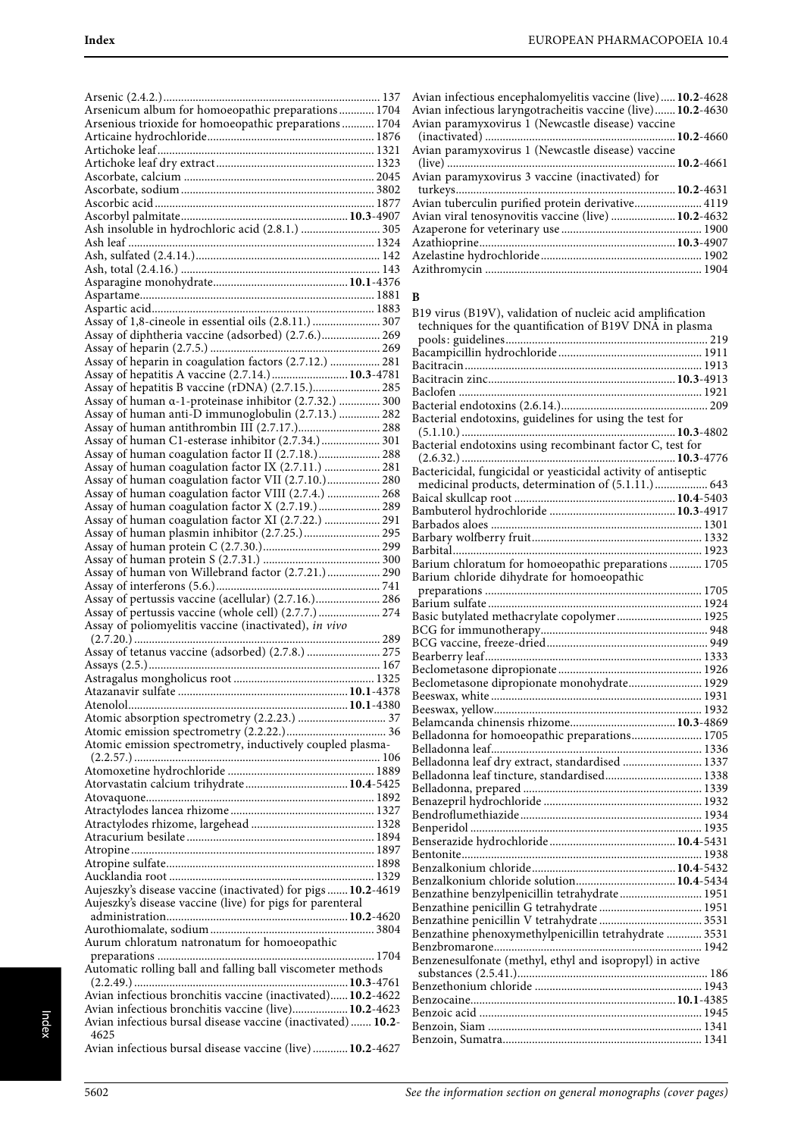| Arsenicum album for homoeopathic preparations 1704                                                                  |  |
|---------------------------------------------------------------------------------------------------------------------|--|
|                                                                                                                     |  |
| Arsenious trioxide for homoeopathic preparations  1704                                                              |  |
|                                                                                                                     |  |
|                                                                                                                     |  |
|                                                                                                                     |  |
|                                                                                                                     |  |
|                                                                                                                     |  |
|                                                                                                                     |  |
| Ash insoluble in hydrochloric acid (2.8.1.)  305                                                                    |  |
|                                                                                                                     |  |
|                                                                                                                     |  |
|                                                                                                                     |  |
|                                                                                                                     |  |
|                                                                                                                     |  |
|                                                                                                                     |  |
| Assay of 1,8-cineole in essential oils (2.8.11.)  307                                                               |  |
| Assay of diphtheria vaccine (adsorbed) (2.7.6.) 269                                                                 |  |
|                                                                                                                     |  |
| Assay of hepatitis A vaccine (2.7.14.) 10.3-4781                                                                    |  |
| Assay of hepatitis B vaccine (rDNA) (2.7.15.) 285                                                                   |  |
| Assay of human a-1-proteinase inhibitor (2.7.32.)  300                                                              |  |
| Assay of human anti-D immunoglobulin (2.7.13.)  282                                                                 |  |
|                                                                                                                     |  |
| Assay of human C1-esterase inhibitor (2.7.34.) 301                                                                  |  |
| Assay of human coagulation factor II (2.7.18.) 288                                                                  |  |
| Assay of human coagulation factor IX (2.7.11.)  281                                                                 |  |
| Assay of human coagulation factor VII (2.7.10.) 280<br>Assay of human coagulation factor VIII (2.7.4.)  268         |  |
| Assay of human coagulation factor X (2.7.19.) 289                                                                   |  |
| Assay of human coagulation factor XI (2.7.22.)  291                                                                 |  |
| Assay of human plasmin inhibitor (2.7.25.)  295                                                                     |  |
|                                                                                                                     |  |
|                                                                                                                     |  |
| Assay of human von Willebrand factor (2.7.21.)  290                                                                 |  |
|                                                                                                                     |  |
| Assay of pertussis vaccine (acellular) (2.7.16.) 286                                                                |  |
| Assay of pertussis vaccine (whole cell) (2.7.7.)  274                                                               |  |
|                                                                                                                     |  |
| Assay of poliomyelitis vaccine (inactivated), in vivo                                                               |  |
|                                                                                                                     |  |
| Assay of tetanus vaccine (adsorbed) (2.7.8.)  275                                                                   |  |
|                                                                                                                     |  |
|                                                                                                                     |  |
|                                                                                                                     |  |
|                                                                                                                     |  |
|                                                                                                                     |  |
| Atomic emission spectrometry, inductively coupled plasma-                                                           |  |
|                                                                                                                     |  |
|                                                                                                                     |  |
|                                                                                                                     |  |
|                                                                                                                     |  |
|                                                                                                                     |  |
|                                                                                                                     |  |
|                                                                                                                     |  |
|                                                                                                                     |  |
|                                                                                                                     |  |
| Aujeszky's disease vaccine (inactivated) for pigs  10.2-4619                                                        |  |
| Aujeszky's disease vaccine (live) for pigs for parenteral                                                           |  |
|                                                                                                                     |  |
|                                                                                                                     |  |
| Aurum chloratum natronatum for homoeopathic                                                                         |  |
|                                                                                                                     |  |
| Automatic rolling ball and falling ball viscometer methods                                                          |  |
|                                                                                                                     |  |
| Avian infectious bronchitis vaccine (inactivated) 10.2-4622<br>Avian infectious bronchitis vaccine (live) 10.2-4623 |  |
| Avian infectious bursal disease vaccine (inactivated)  10.2-                                                        |  |
| 4625<br>Avian infectious bursal disease vaccine (live) 10.2-4627                                                    |  |

| Avian infectious encephalomyelitis vaccine (live) 10.2-4628 |  |
|-------------------------------------------------------------|--|
| Avian infectious laryngotracheitis vaccine (live) 10.2-4630 |  |
| Avian paramyxovirus 1 (Newcastle disease) vaccine           |  |
|                                                             |  |
| Avian paramyxovirus 1 (Newcastle disease) vaccine           |  |
|                                                             |  |
| Avian paramyxovirus 3 vaccine (inactivated) for             |  |
|                                                             |  |
| Avian tuberculin purified protein derivative 4119           |  |
| Avian viral tenosynovitis vaccine (live)  10.2-4632         |  |
|                                                             |  |
|                                                             |  |
|                                                             |  |
|                                                             |  |
|                                                             |  |

#### **B**

| B19 virus (B19V), validation of nucleic acid amplification     |  |
|----------------------------------------------------------------|--|
| techniques for the quantification of B19V DNA in plasma        |  |
|                                                                |  |
|                                                                |  |
|                                                                |  |
|                                                                |  |
|                                                                |  |
|                                                                |  |
| Bacterial endotoxins, guidelines for using the test for        |  |
|                                                                |  |
| Bacterial endotoxins using recombinant factor C, test for      |  |
|                                                                |  |
| Bactericidal, fungicidal or yeasticidal activity of antiseptic |  |
| medicinal products, determination of (5.1.11.) 643             |  |
|                                                                |  |
|                                                                |  |
|                                                                |  |
|                                                                |  |
|                                                                |  |
| Barium chloratum for homoeopathic preparations  1705           |  |
| Barium chloride dihydrate for homoeopathic                     |  |
|                                                                |  |
|                                                                |  |
| Basic butylated methacrylate copolymer 1925                    |  |
|                                                                |  |
|                                                                |  |
|                                                                |  |
|                                                                |  |
| Beclometasone dipropionate monohydrate 1929                    |  |
|                                                                |  |
|                                                                |  |
|                                                                |  |
| Belladonna for homoeopathic preparations 1705                  |  |
|                                                                |  |
| Belladonna leaf dry extract, standardised  1337                |  |
| Belladonna leaf tincture, standardised 1338                    |  |
|                                                                |  |
|                                                                |  |
|                                                                |  |
|                                                                |  |
|                                                                |  |
|                                                                |  |
|                                                                |  |
| Benzalkonium chloride solution 10.4-5434                       |  |
| Benzathine benzylpenicillin tetrahydrate 1951                  |  |
|                                                                |  |
|                                                                |  |
| Benzathine phenoxymethylpenicillin tetrahydrate  3531          |  |
|                                                                |  |
| Benzenesulfonate (methyl, ethyl and isopropyl) in active       |  |
|                                                                |  |
|                                                                |  |
|                                                                |  |
|                                                                |  |
|                                                                |  |
|                                                                |  |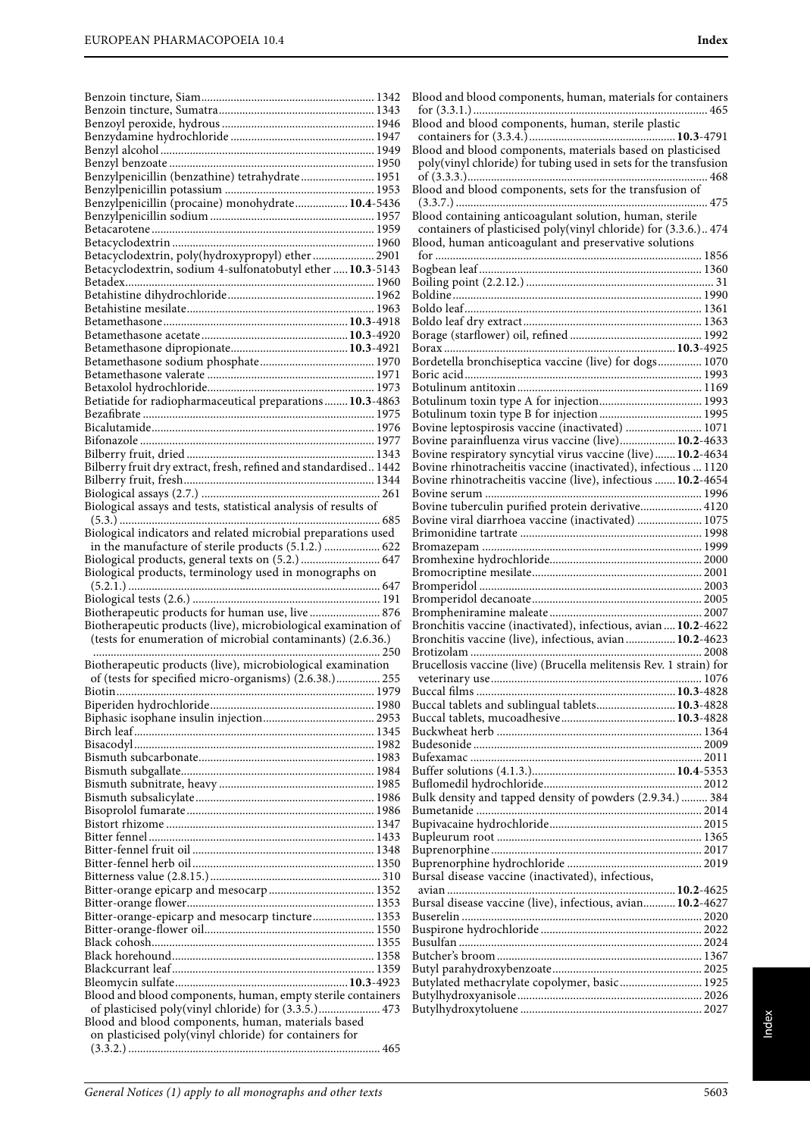|                                                                                                                    | B.                       |
|--------------------------------------------------------------------------------------------------------------------|--------------------------|
|                                                                                                                    | 1                        |
|                                                                                                                    | B.                       |
|                                                                                                                    | $\overline{\phantom{a}}$ |
|                                                                                                                    | B.                       |
|                                                                                                                    | 1                        |
| Benzylpenicillin (benzathine) tetrahydrate 1951                                                                    | $\overline{\phantom{a}}$ |
|                                                                                                                    | B.                       |
| Benzylpenicillin (procaine) monohydrate 10.4-5436                                                                  |                          |
|                                                                                                                    | B.                       |
|                                                                                                                    | Ç<br>B.                  |
| Betacyclodextrin, poly(hydroxypropyl) ether 2901                                                                   | 1                        |
| Betacyclodextrin, sodium 4-sulfonatobutyl ether  10.3-5143                                                         | В                        |
|                                                                                                                    | В                        |
|                                                                                                                    | B                        |
|                                                                                                                    | В                        |
|                                                                                                                    | B                        |
|                                                                                                                    | B                        |
|                                                                                                                    | В                        |
|                                                                                                                    | B                        |
|                                                                                                                    | B                        |
|                                                                                                                    | В                        |
| Betiatide for radiopharmaceutical preparations 10.3-4863                                                           | В                        |
|                                                                                                                    | В                        |
|                                                                                                                    | В                        |
|                                                                                                                    | B                        |
|                                                                                                                    | B                        |
| Bilberry fruit dry extract, fresh, refined and standardised 1442                                                   | B                        |
|                                                                                                                    | В                        |
| Biological assays and tests, statistical analysis of results of                                                    | B<br>В                   |
|                                                                                                                    | В                        |
| Biological indicators and related microbial preparations used                                                      | B.                       |
| in the manufacture of sterile products (5.1.2.)  622                                                               | $\mathbf{B}$             |
| Biological products, general texts on (5.2.)  647                                                                  | B.                       |
| Biological products, terminology used in monographs on                                                             |                          |
|                                                                                                                    |                          |
|                                                                                                                    | B.                       |
|                                                                                                                    | B.<br>B.                 |
|                                                                                                                    | B.                       |
| Biotherapeutic products for human use, live  876<br>Biotherapeutic products (live), microbiological examination of | B.                       |
| (tests for enumeration of microbial contaminants) (2.6.36.)                                                        | B.                       |
|                                                                                                                    | $\mathbf{B}$             |
| Biotherapeutic products (live), microbiological examination                                                        | $\mathbf{B}$             |
| of (tests for specified micro-organisms) (2.6.38.) 255                                                             |                          |
|                                                                                                                    | B                        |
|                                                                                                                    | B                        |
|                                                                                                                    | B                        |
|                                                                                                                    | B                        |
|                                                                                                                    | B                        |
|                                                                                                                    | B                        |
|                                                                                                                    | B                        |
|                                                                                                                    | B<br>B                   |
|                                                                                                                    | B                        |
|                                                                                                                    | B                        |
|                                                                                                                    | B                        |
|                                                                                                                    | B                        |
|                                                                                                                    | B                        |
|                                                                                                                    | B                        |
|                                                                                                                    | ć                        |
|                                                                                                                    | B                        |
| Bitter-orange-epicarp and mesocarp tincture 1353                                                                   | B                        |
|                                                                                                                    | B                        |
|                                                                                                                    | B                        |
|                                                                                                                    | B                        |
|                                                                                                                    | B                        |
|                                                                                                                    | B                        |
| Blood and blood components, human, empty sterile containers                                                        | B                        |
| of plasticised poly(vinyl chloride) for (3.3.5.) 473                                                               | B                        |
| Blood and blood components, human, materials based<br>on plasticised poly(vinyl chloride) for containers for       |                          |

| Blood and blood components, human, materials for containers                                                                    |  |
|--------------------------------------------------------------------------------------------------------------------------------|--|
| Blood and blood components, human, sterile plastic                                                                             |  |
|                                                                                                                                |  |
| Blood and blood components, materials based on plasticised<br>poly(vinyl chloride) for tubing used in sets for the transfusion |  |
|                                                                                                                                |  |
| Blood and blood components, sets for the transfusion of                                                                        |  |
| Blood containing anticoagulant solution, human, sterile                                                                        |  |
| containers of plasticised poly(vinyl chloride) for (3.3.6.) 474                                                                |  |
| Blood, human anticoagulant and preservative solutions                                                                          |  |
|                                                                                                                                |  |
|                                                                                                                                |  |
|                                                                                                                                |  |
|                                                                                                                                |  |
|                                                                                                                                |  |
|                                                                                                                                |  |
| Bordetella bronchiseptica vaccine (live) for dogs 1070                                                                         |  |
|                                                                                                                                |  |
|                                                                                                                                |  |
|                                                                                                                                |  |
| Bovine leptospirosis vaccine (inactivated)  1071                                                                               |  |
| Bovine parainfluenza virus vaccine (live) 10.2-4633<br>Bovine respiratory syncytial virus vaccine (live) 10.2-4634             |  |
| Bovine rhinotracheitis vaccine (inactivated), infectious  1120                                                                 |  |
| Bovine rhinotracheitis vaccine (live), infectious  10.2-4654                                                                   |  |
|                                                                                                                                |  |
| Bovine tuberculin purified protein derivative 4120<br>Bovine viral diarrhoea vaccine (inactivated)  1075                       |  |
|                                                                                                                                |  |
|                                                                                                                                |  |
|                                                                                                                                |  |
|                                                                                                                                |  |
|                                                                                                                                |  |
|                                                                                                                                |  |
| Bronchitis vaccine (inactivated), infectious, avian 10.2-4622<br>Bronchitis vaccine (live), infectious, avian  10.2-4623       |  |
|                                                                                                                                |  |
| Brucellosis vaccine (live) (Brucella melitensis Rev. 1 strain) for                                                             |  |
|                                                                                                                                |  |
| Buccal tablets and sublingual tablets 10.3-4828                                                                                |  |
|                                                                                                                                |  |
|                                                                                                                                |  |
|                                                                                                                                |  |
|                                                                                                                                |  |
|                                                                                                                                |  |
| Bulk density and tapped density of powders (2.9.34.)  384                                                                      |  |
|                                                                                                                                |  |
|                                                                                                                                |  |
|                                                                                                                                |  |
|                                                                                                                                |  |
| Bursal disease vaccine (inactivated), infectious,                                                                              |  |
| Bursal disease vaccine (live), infectious, avian 10.2-4627                                                                     |  |
|                                                                                                                                |  |
|                                                                                                                                |  |
|                                                                                                                                |  |
|                                                                                                                                |  |
| Butylated methacrylate copolymer, basic 1925                                                                                   |  |
|                                                                                                                                |  |
|                                                                                                                                |  |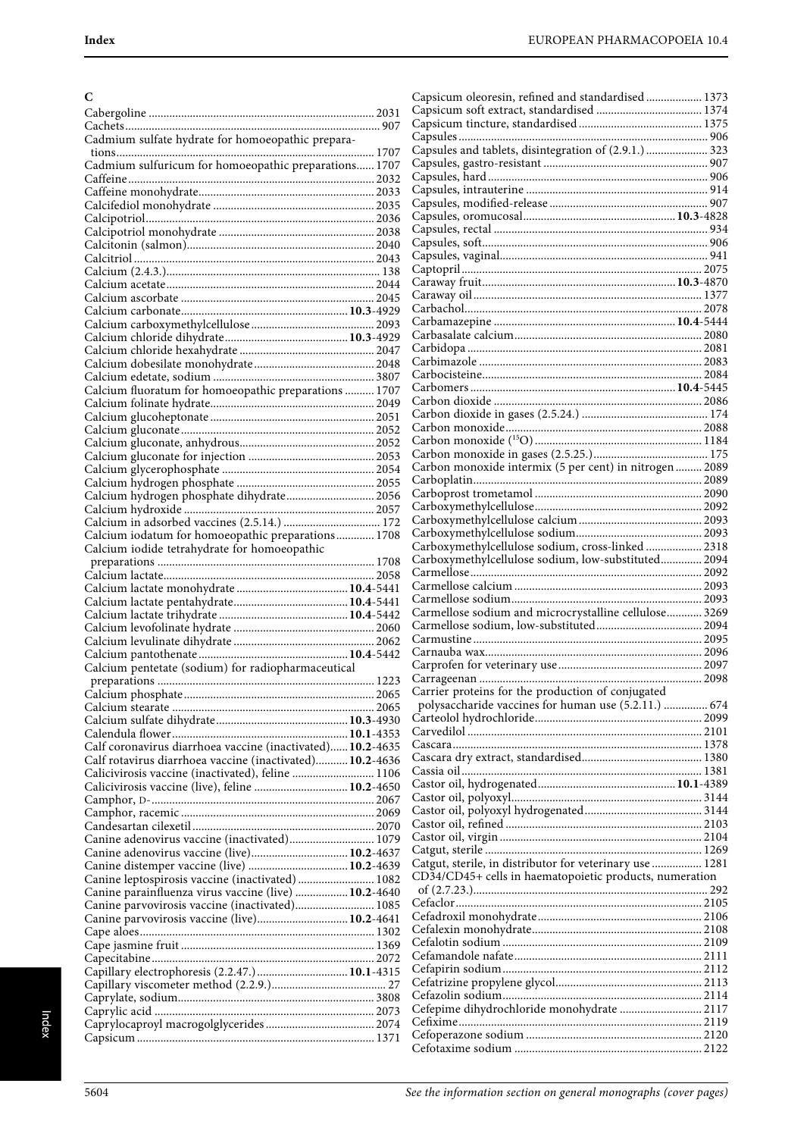| C                                                                                          | Capsicum oleoresin, refined and standardised 1373        |
|--------------------------------------------------------------------------------------------|----------------------------------------------------------|
|                                                                                            |                                                          |
|                                                                                            |                                                          |
| Cadmium sulfate hydrate for homoeopathic prepara-                                          | Capsules and tablets, disintegration of (2.9.1.)  323    |
| Cadmium sulfuricum for homoeopathic preparations 1707                                      |                                                          |
|                                                                                            |                                                          |
|                                                                                            |                                                          |
|                                                                                            |                                                          |
|                                                                                            |                                                          |
|                                                                                            |                                                          |
|                                                                                            |                                                          |
|                                                                                            |                                                          |
|                                                                                            |                                                          |
|                                                                                            |                                                          |
|                                                                                            |                                                          |
|                                                                                            |                                                          |
|                                                                                            |                                                          |
|                                                                                            |                                                          |
|                                                                                            |                                                          |
|                                                                                            |                                                          |
| Calcium fluoratum for homoeopathic preparations  1707                                      |                                                          |
|                                                                                            |                                                          |
|                                                                                            |                                                          |
|                                                                                            |                                                          |
|                                                                                            |                                                          |
|                                                                                            | Carbon monoxide intermix (5 per cent) in nitrogen  2089  |
|                                                                                            |                                                          |
| Calcium hydrogen phosphate dihydrate 2056                                                  |                                                          |
|                                                                                            |                                                          |
| Calcium iodatum for homoeopathic preparations 1708                                         |                                                          |
| Calcium iodide tetrahydrate for homoeopathic                                               | Carboxymethylcellulose sodium, cross-linked  2318        |
|                                                                                            | Carboxymethylcellulose sodium, low-substituted 2094      |
|                                                                                            |                                                          |
|                                                                                            |                                                          |
|                                                                                            | Carmellose sodium and microcrystalline cellulose 3269    |
|                                                                                            |                                                          |
|                                                                                            |                                                          |
|                                                                                            |                                                          |
| Calcium pentetate (sodium) for radiopharmaceutical                                         |                                                          |
|                                                                                            |                                                          |
|                                                                                            | Carrier proteins for the production of conjugated        |
|                                                                                            | polysaccharide vaccines for human use (5.2.11.)  674     |
|                                                                                            |                                                          |
| Calf coronavirus diarrhoea vaccine (inactivated) 10.2-4635                                 |                                                          |
| Calf rotavirus diarrhoea vaccine (inactivated) 10.2-4636                                   |                                                          |
| Calicivirosis vaccine (inactivated), feline  1106                                          |                                                          |
| Calicivirosis vaccine (live), feline  10.2-4650                                            |                                                          |
|                                                                                            |                                                          |
|                                                                                            |                                                          |
|                                                                                            |                                                          |
| Canine adenovirus vaccine (inactivated) 1079<br>Canine adenovirus vaccine (live) 10.2-4637 |                                                          |
| Canine distemper vaccine (live)  10.2-4639                                                 | Catgut, sterile, in distributor for veterinary use  1281 |
| Canine leptospirosis vaccine (inactivated)  1082                                           | CD34/CD45+ cells in haematopoietic products, numeration  |
| Canine parainfluenza virus vaccine (live)  10.2-4640                                       |                                                          |
|                                                                                            |                                                          |
| Canine parvovirosis vaccine (live) 10.2-4641                                               |                                                          |
|                                                                                            |                                                          |
|                                                                                            |                                                          |
| Capillary electrophoresis (2.2.47.)  10.1-4315                                             |                                                          |
|                                                                                            |                                                          |
|                                                                                            |                                                          |
|                                                                                            | Cefepime dihydrochloride monohydrate  2117               |
|                                                                                            |                                                          |
|                                                                                            |                                                          |
|                                                                                            |                                                          |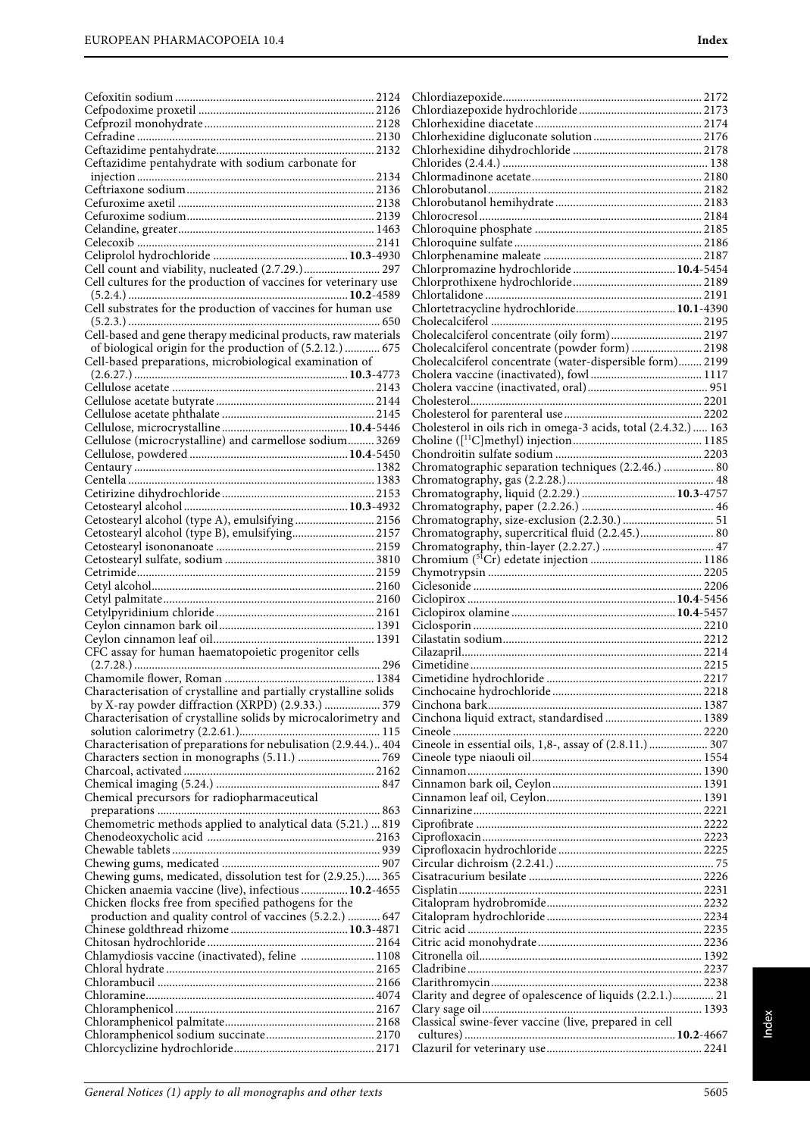| Ceftazidime pentahydrate with sodium carbonate for                                                                         |                                                                                                 |
|----------------------------------------------------------------------------------------------------------------------------|-------------------------------------------------------------------------------------------------|
|                                                                                                                            |                                                                                                 |
|                                                                                                                            |                                                                                                 |
|                                                                                                                            |                                                                                                 |
|                                                                                                                            |                                                                                                 |
|                                                                                                                            |                                                                                                 |
|                                                                                                                            |                                                                                                 |
| Cell count and viability, nucleated (2.7.29.) 297                                                                          |                                                                                                 |
| Cell cultures for the production of vaccines for veterinary use                                                            |                                                                                                 |
|                                                                                                                            |                                                                                                 |
| Cell substrates for the production of vaccines for human use                                                               | Chlortetracycline hydrochloride 10.1-4390                                                       |
|                                                                                                                            |                                                                                                 |
| Cell-based and gene therapy medicinal products, raw materials<br>of biological origin for the production of (5.2.12.)  675 | Cholecalciferol concentrate (oily form) 2197<br>Cholecalciferol concentrate (powder form)  2198 |
| Cell-based preparations, microbiological examination of                                                                    | Cholecalciferol concentrate (water-dispersible form) 2199                                       |
|                                                                                                                            |                                                                                                 |
|                                                                                                                            |                                                                                                 |
|                                                                                                                            |                                                                                                 |
|                                                                                                                            |                                                                                                 |
|                                                                                                                            | Cholesterol in oils rich in omega-3 acids, total (2.4.32.)  163                                 |
| Cellulose (microcrystalline) and carmellose sodium 3269                                                                    |                                                                                                 |
|                                                                                                                            |                                                                                                 |
|                                                                                                                            | Chromatographic separation techniques (2.2.46.)  80                                             |
|                                                                                                                            |                                                                                                 |
|                                                                                                                            |                                                                                                 |
| Cetostearyl alcohol (type A), emulsifying  2156                                                                            |                                                                                                 |
| Cetostearyl alcohol (type B), emulsifying 2157                                                                             | Chromatography, supercritical fluid (2.2.45.) 80                                                |
|                                                                                                                            |                                                                                                 |
|                                                                                                                            |                                                                                                 |
|                                                                                                                            |                                                                                                 |
|                                                                                                                            |                                                                                                 |
|                                                                                                                            |                                                                                                 |
|                                                                                                                            |                                                                                                 |
|                                                                                                                            |                                                                                                 |
| CFC assay for human haematopoietic progenitor cells                                                                        |                                                                                                 |
|                                                                                                                            |                                                                                                 |
|                                                                                                                            |                                                                                                 |
| Characterisation of crystalline and partially crystalline solids                                                           |                                                                                                 |
| by X-ray powder diffraction (XRPD) (2.9.33.)  379                                                                          |                                                                                                 |
| Characterisation of crystalline solids by microcalorimetry and                                                             |                                                                                                 |
| Characterisation of preparations for nebulisation (2.9.44.) 404                                                            | Cineole in essential oils, 1,8-, assay of (2.8.11.)  307                                        |
|                                                                                                                            |                                                                                                 |
|                                                                                                                            |                                                                                                 |
|                                                                                                                            |                                                                                                 |
| Chemical precursors for radiopharmaceutical                                                                                |                                                                                                 |
|                                                                                                                            |                                                                                                 |
| Chemometric methods applied to analytical data (5.21.)  819                                                                |                                                                                                 |
|                                                                                                                            |                                                                                                 |
|                                                                                                                            |                                                                                                 |
| Chewing gums, medicated, dissolution test for (2.9.25.) 365                                                                |                                                                                                 |
| Chicken anaemia vaccine (live), infectious 10.2-4655                                                                       |                                                                                                 |
| Chicken flocks free from specified pathogens for the                                                                       |                                                                                                 |
| production and quality control of vaccines (5.2.2.)  647                                                                   |                                                                                                 |
|                                                                                                                            |                                                                                                 |
|                                                                                                                            |                                                                                                 |
| Chlamydiosis vaccine (inactivated), feline  1108                                                                           |                                                                                                 |
|                                                                                                                            |                                                                                                 |
|                                                                                                                            | Clarity and degree of opalescence of liquids (2.2.1.) 21                                        |
|                                                                                                                            |                                                                                                 |
|                                                                                                                            | Classical swine-fever vaccine (live, prepared in cell                                           |
|                                                                                                                            |                                                                                                 |
|                                                                                                                            |                                                                                                 |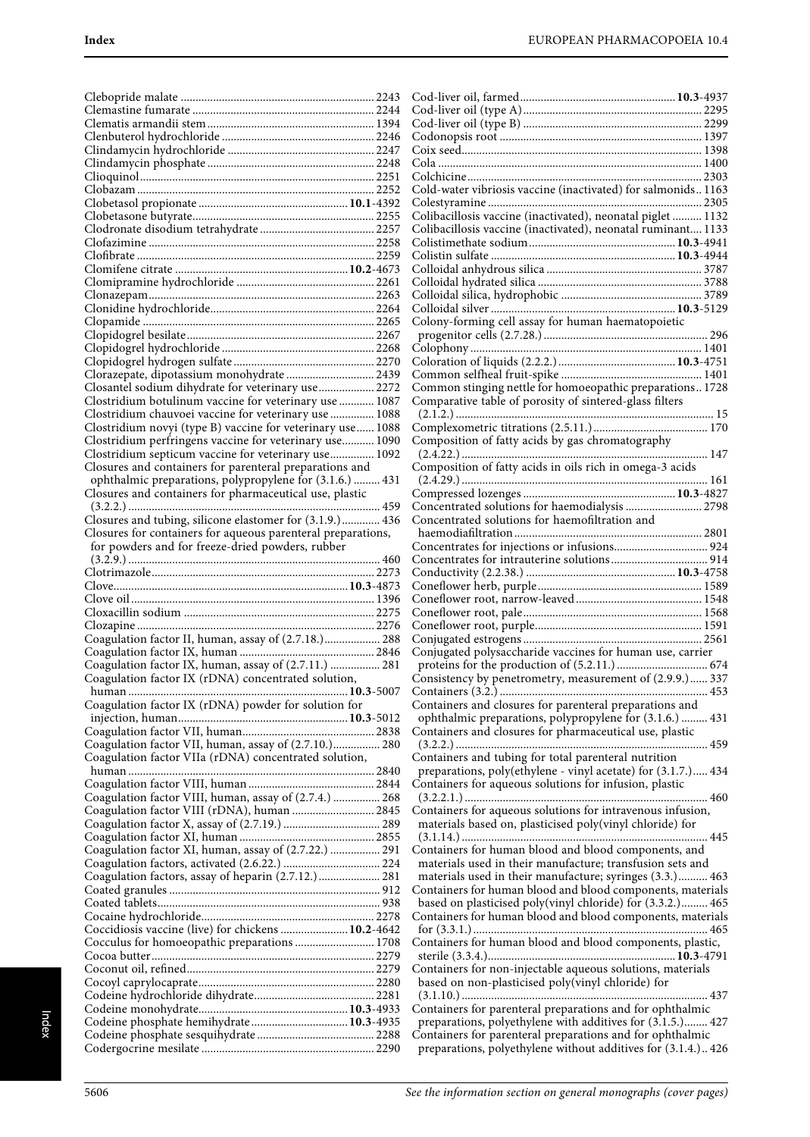|                                                              | C |
|--------------------------------------------------------------|---|
|                                                              | C |
|                                                              | C |
|                                                              | C |
|                                                              | C |
|                                                              | C |
|                                                              | C |
|                                                              | C |
|                                                              | C |
|                                                              | C |
|                                                              | C |
|                                                              | C |
|                                                              | C |
|                                                              | C |
|                                                              | C |
|                                                              |   |
|                                                              | C |
|                                                              | C |
|                                                              | C |
|                                                              |   |
|                                                              | C |
|                                                              | C |
| Clorazepate, dipotassium monohydrate  2439                   | C |
| Closantel sodium dihydrate for veterinary use 2272           | C |
| Clostridium botulinum vaccine for veterinary use  1087       | C |
| Clostridium chauvoei vaccine for veterinary use  1088        |   |
| Clostridium novyi (type B) vaccine for veterinary use 1088   | C |
| Clostridium perfringens vaccine for veterinary use 1090      | C |
| Clostridium septicum vaccine for veterinary use 1092         |   |
| Closures and containers for parenteral preparations and      | C |
| ophthalmic preparations, polypropylene for (3.1.6.)  431     |   |
|                                                              |   |
| Closures and containers for pharmaceutical use, plastic      | C |
|                                                              | C |
| Closures and tubing, silicone elastomer for (3.1.9.) 436     | C |
| Closures for containers for aqueous parenteral preparations, |   |
| for powders and for freeze-dried powders, rubber             | C |
|                                                              |   |
|                                                              | C |
|                                                              | C |
|                                                              | Ć |
|                                                              | C |
|                                                              | C |
|                                                              | C |
|                                                              |   |
| Coagulation factor II, human, assay of (2.7.18.) 288         | C |
|                                                              | C |
| Coagulation factor IX, human, assay of (2.7.11.)  281        |   |
| Coagulation factor IX (rDNA) concentrated solution,          | C |
| human                                                        | C |
| Coagulation factor IX (rDNA) powder for solution for         | C |
|                                                              |   |
|                                                              | C |
| Coagulation factor VII, human, assay of (2.7.10.) 280        |   |
| Coagulation factor VIIa (rDNA) concentrated solution,        | C |
|                                                              |   |
|                                                              | C |
|                                                              |   |
| Coagulation factor VIII, human, assay of (2.7.4.)  268       | C |
| Coagulation factor VIII (rDNA), human  2845                  |   |
|                                                              |   |
|                                                              |   |
| Coagulation factor XI, human, assay of (2.7.22.)  291        | C |
|                                                              |   |
| Coagulation factors, assay of heparin (2.7.12.) 281          |   |
|                                                              | C |
|                                                              |   |
|                                                              | C |
| Coccidiosis vaccine (live) for chickens  10.2-4642           |   |
| Cocculus for homoeopathic preparations  1708                 | C |
|                                                              |   |
|                                                              | C |
|                                                              |   |
|                                                              |   |
|                                                              | C |
|                                                              |   |
| Codeine phosphate hemihydrate 10.3-4935                      |   |
|                                                              | C |

| Cold-water vibriosis vaccine (inactivated) for salmonids 1163 |  |
|---------------------------------------------------------------|--|
|                                                               |  |
| Colibacillosis vaccine (inactivated), neonatal piglet  1132   |  |
| Colibacillosis vaccine (inactivated), neonatal ruminant 1133  |  |
|                                                               |  |
|                                                               |  |
|                                                               |  |
|                                                               |  |
|                                                               |  |
|                                                               |  |
| Colony-forming cell assay for human haematopoietic            |  |
|                                                               |  |
|                                                               |  |
|                                                               |  |
|                                                               |  |
| Common stinging nettle for homoeopathic preparations 1728     |  |
|                                                               |  |
| Comparative table of porosity of sintered-glass filters       |  |
|                                                               |  |
|                                                               |  |
| Composition of fatty acids by gas chromatography              |  |
|                                                               |  |
| Composition of fatty acids in oils rich in omega-3 acids      |  |
|                                                               |  |
|                                                               |  |
| Concentrated solutions for haemodialysis  2798                |  |
| Concentrated solutions for haemofiltration and                |  |
|                                                               |  |
|                                                               |  |
|                                                               |  |
|                                                               |  |
|                                                               |  |
|                                                               |  |
|                                                               |  |
|                                                               |  |
|                                                               |  |
| Conjugated polysaccharide vaccines for human use, carrier     |  |
|                                                               |  |
| Consistency by penetrometry, measurement of (2.9.9.) 337      |  |
|                                                               |  |
| Containers and closures for parenteral preparations and       |  |
| ophthalmic preparations, polypropylene for (3.1.6.)  431      |  |
| Containers and closures for pharmaceutical use, plastic       |  |
|                                                               |  |
| Containers and tubing for total parenteral nutrition          |  |
| preparations, poly(ethylene - vinyl acetate) for (3.1.7.) 434 |  |
| Containers for aqueous solutions for infusion, plastic        |  |
|                                                               |  |
| Containers for aqueous solutions for intravenous infusion,    |  |
| materials based on, plasticised poly(vinyl chloride) for      |  |
|                                                               |  |
| Containers for human blood and blood components, and          |  |
| materials used in their manufacture; transfusion sets and     |  |
| materials used in their manufacture; syringes (3.3.) 463      |  |
| Containers for human blood and blood components, materials    |  |
| based on plasticised poly(vinyl chloride) for (3.3.2.) 465    |  |
| Containers for human blood and blood components, materials    |  |
|                                                               |  |
|                                                               |  |
| Containers for human blood and blood components, plastic,     |  |
|                                                               |  |
| Containers for non-injectable aqueous solutions, materials    |  |
| based on non-plasticised poly(vinyl chloride) for             |  |
|                                                               |  |
| Containers for parenteral preparations and for ophthalmic     |  |
| preparations, polyethylene with additives for (3.1.5.) 427    |  |
| Containers for parenteral preparations and for ophthalmic     |  |
| preparations, polyethylene without additives for (3.1.4.) 426 |  |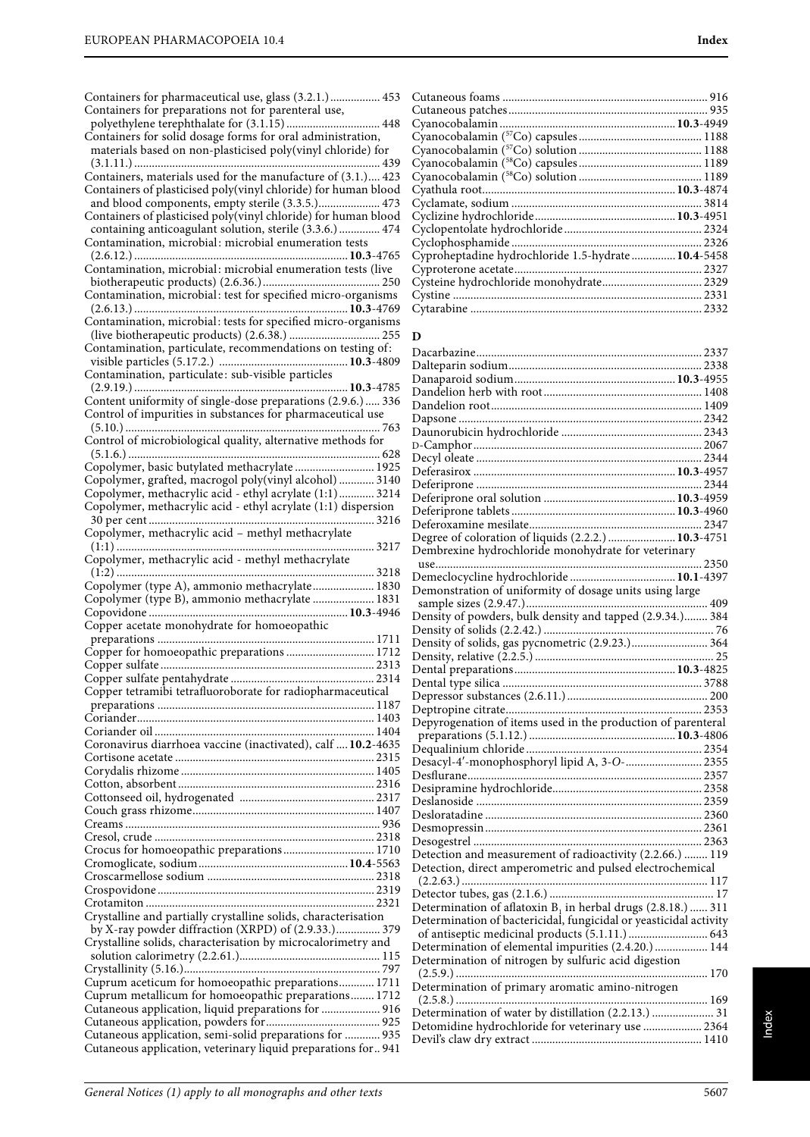| Containers for pharmaceutical use, glass (3.2.1.) 453                                                                     |
|---------------------------------------------------------------------------------------------------------------------------|
| Containers for preparations not for parenteral use,                                                                       |
|                                                                                                                           |
| Containers for solid dosage forms for oral administration,<br>materials based on non-plasticised poly(vinyl chloride) for |
|                                                                                                                           |
| Containers, materials used for the manufacture of (3.1.) 423                                                              |
| Containers of plasticised poly(vinyl chloride) for human blood                                                            |
| and blood components, empty sterile (3.3.5.) 473                                                                          |
| Containers of plasticised poly(vinyl chloride) for human blood                                                            |
| containing anticoagulant solution, sterile (3.3.6.) 474                                                                   |
| Contamination, microbial: microbial enumeration tests                                                                     |
|                                                                                                                           |
| Contamination, microbial: microbial enumeration tests (live                                                               |
|                                                                                                                           |
| Contamination, microbial: test for specified micro-organisms                                                              |
|                                                                                                                           |
| Contamination, microbial: tests for specified micro-organisms                                                             |
|                                                                                                                           |
| Contamination, particulate, recommendations on testing of:                                                                |
| Contamination, particulate: sub-visible particles                                                                         |
|                                                                                                                           |
| Content uniformity of single-dose preparations (2.9.6.)  336                                                              |
| Control of impurities in substances for pharmaceutical use                                                                |
|                                                                                                                           |
| Control of microbiological quality, alternative methods for                                                               |
|                                                                                                                           |
| Copolymer, basic butylated methacrylate  1925                                                                             |
| Copolymer, grafted, macrogol poly(vinyl alcohol)  3140                                                                    |
| Copolymer, methacrylic acid - ethyl acrylate (1:1) 3214                                                                   |
| Copolymer, methacrylic acid - ethyl acrylate (1:1) dispersion                                                             |
|                                                                                                                           |
|                                                                                                                           |
| 3217                                                                                                                      |
| Copolymer, methacrylic acid - methyl methacrylate                                                                         |
|                                                                                                                           |
|                                                                                                                           |
| Copolymer (type A), ammonio methacrylate 1830                                                                             |
| Copolymer (type B), ammonio methacrylate  1831                                                                            |
|                                                                                                                           |
| Copper acetate monohydrate for homoeopathic                                                                               |
|                                                                                                                           |
| Copper for homoeopathic preparations  1712                                                                                |
|                                                                                                                           |
|                                                                                                                           |
| Copper tetramibi tetrafluoroborate for radiopharmaceutical                                                                |
|                                                                                                                           |
|                                                                                                                           |
| Coronavirus diarrhoea vaccine (inactivated), calf  10.2-4635                                                              |
|                                                                                                                           |
|                                                                                                                           |
|                                                                                                                           |
|                                                                                                                           |
|                                                                                                                           |
|                                                                                                                           |
|                                                                                                                           |
| Crocus for homoeopathic preparations 1710                                                                                 |
|                                                                                                                           |
|                                                                                                                           |
|                                                                                                                           |
|                                                                                                                           |
| Crystalline and partially crystalline solids, characterisation                                                            |
| by X-ray powder diffraction (XRPD) of (2.9.33.) 379                                                                       |
| Crystalline solids, characterisation by microcalorimetry and                                                              |
|                                                                                                                           |
| Cuprum aceticum for homoeopathic preparations 1711                                                                        |
| Cuprum metallicum for homoeopathic preparations 1712                                                                      |
| Cutaneous application, liquid preparations for  916                                                                       |
|                                                                                                                           |
| Cutaneous application, semi-solid preparations for  935<br>Cutaneous application, veterinary liquid preparations for 941  |

| Cyproheptadine hydrochloride 1.5-hydrate  10.4-5458 |  |
|-----------------------------------------------------|--|
|                                                     |  |
|                                                     |  |
|                                                     |  |
|                                                     |  |

### **D**

| Degree of coloration of liquids (2.2.2.)  10.3-4751                                                                                  |  |
|--------------------------------------------------------------------------------------------------------------------------------------|--|
| Dembrexine hydrochloride monohydrate for veterinary                                                                                  |  |
| use                                                                                                                                  |  |
|                                                                                                                                      |  |
|                                                                                                                                      |  |
| Demonstration of uniformity of dosage units using large                                                                              |  |
|                                                                                                                                      |  |
|                                                                                                                                      |  |
|                                                                                                                                      |  |
| Density of solids, gas pycnometric (2.9.23.) 364                                                                                     |  |
|                                                                                                                                      |  |
|                                                                                                                                      |  |
|                                                                                                                                      |  |
|                                                                                                                                      |  |
|                                                                                                                                      |  |
|                                                                                                                                      |  |
| Depyrogenation of items used in the production of parenteral                                                                         |  |
|                                                                                                                                      |  |
|                                                                                                                                      |  |
| Desacyl-4'-monophosphoryl lipid A, 3-O- 2355                                                                                         |  |
|                                                                                                                                      |  |
|                                                                                                                                      |  |
|                                                                                                                                      |  |
|                                                                                                                                      |  |
|                                                                                                                                      |  |
|                                                                                                                                      |  |
| Detection and measurement of radioactivity (2.2.66.)  119                                                                            |  |
| Detection, direct amperometric and pulsed electrochemical                                                                            |  |
|                                                                                                                                      |  |
|                                                                                                                                      |  |
|                                                                                                                                      |  |
| Determination of aflatoxin $B_1$ in herbal drugs (2.8.18.)  311<br>Determination of bactericidal, fungicidal or yeasticidal activity |  |
|                                                                                                                                      |  |
| of antiseptic medicinal products (5.1.11.)  643                                                                                      |  |
| Determination of elemental impurities (2.4.20.)  144                                                                                 |  |
| Determination of nitrogen by sulfuric acid digestion                                                                                 |  |
|                                                                                                                                      |  |
| Determination of primary aromatic amino-nitrogen                                                                                     |  |
|                                                                                                                                      |  |
| Determination of water by distillation (2.2.13.)  31<br>Detomidine hydrochloride for veterinary use  2364                            |  |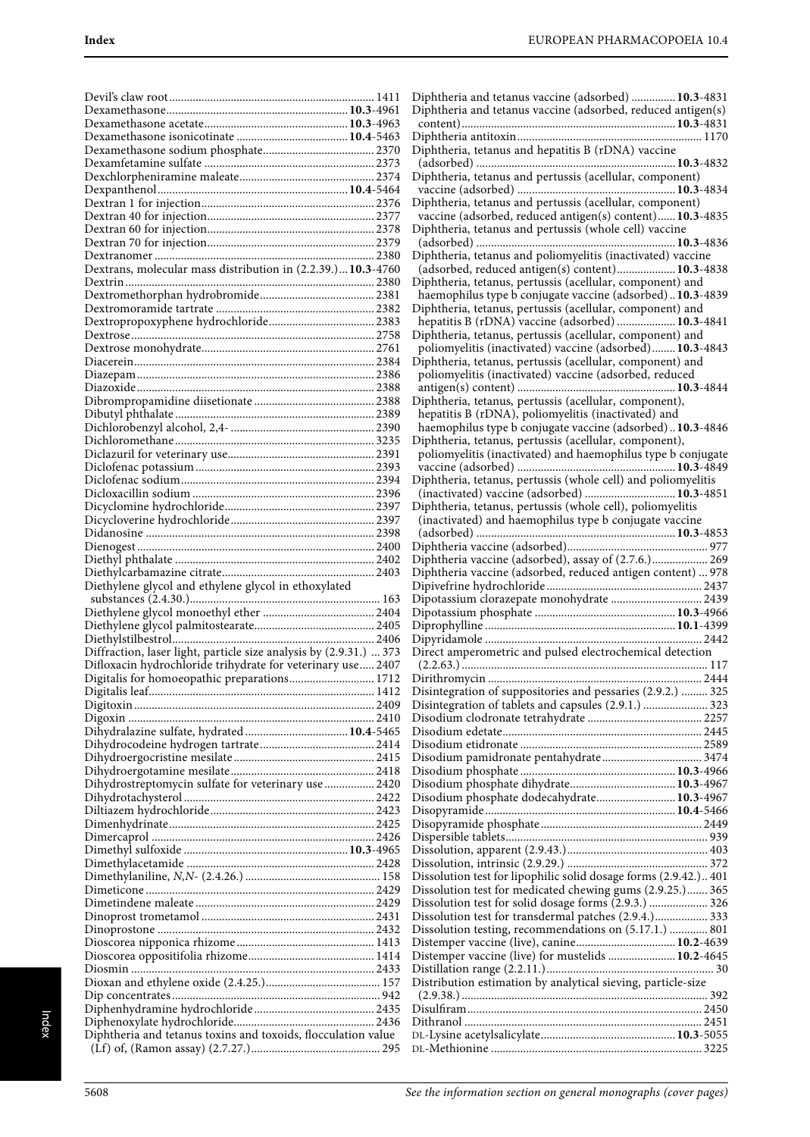| Dextrans, molecular mass distribution in (2.2.39.) 10.3-4760                                                                      |  |
|-----------------------------------------------------------------------------------------------------------------------------------|--|
|                                                                                                                                   |  |
|                                                                                                                                   |  |
|                                                                                                                                   |  |
|                                                                                                                                   |  |
|                                                                                                                                   |  |
|                                                                                                                                   |  |
|                                                                                                                                   |  |
|                                                                                                                                   |  |
|                                                                                                                                   |  |
|                                                                                                                                   |  |
|                                                                                                                                   |  |
|                                                                                                                                   |  |
|                                                                                                                                   |  |
|                                                                                                                                   |  |
|                                                                                                                                   |  |
|                                                                                                                                   |  |
|                                                                                                                                   |  |
|                                                                                                                                   |  |
|                                                                                                                                   |  |
|                                                                                                                                   |  |
|                                                                                                                                   |  |
|                                                                                                                                   |  |
|                                                                                                                                   |  |
| Diethylene glycol and ethylene glycol in ethoxylated                                                                              |  |
|                                                                                                                                   |  |
|                                                                                                                                   |  |
|                                                                                                                                   |  |
|                                                                                                                                   |  |
| Diffraction, laser light, particle size analysis by (2.9.31.)  373<br>Difloxacin hydrochloride trihydrate for veterinary use 2407 |  |
| Digitalis for homoeopathic preparations 1712                                                                                      |  |
|                                                                                                                                   |  |
|                                                                                                                                   |  |
|                                                                                                                                   |  |
| Dihydralazine sulfate, hydrated  10.4-5465                                                                                        |  |
|                                                                                                                                   |  |
|                                                                                                                                   |  |
|                                                                                                                                   |  |
| Dihydrostreptomycin sulfate for veterinary use  2420                                                                              |  |
|                                                                                                                                   |  |
|                                                                                                                                   |  |
|                                                                                                                                   |  |
|                                                                                                                                   |  |
|                                                                                                                                   |  |
|                                                                                                                                   |  |
|                                                                                                                                   |  |
|                                                                                                                                   |  |
|                                                                                                                                   |  |
|                                                                                                                                   |  |
|                                                                                                                                   |  |
|                                                                                                                                   |  |
|                                                                                                                                   |  |
|                                                                                                                                   |  |
|                                                                                                                                   |  |
|                                                                                                                                   |  |
| Diphtheria and tetanus toxins and toxoids, flocculation value                                                                     |  |

| Diphtheria and tetanus vaccine (adsorbed)  10.3-4831<br>Diphtheria and tetanus vaccine (adsorbed, reduced antigen(s) |
|----------------------------------------------------------------------------------------------------------------------|
|                                                                                                                      |
|                                                                                                                      |
|                                                                                                                      |
|                                                                                                                      |
|                                                                                                                      |
| Diphtheria, tetanus and hepatitis B (rDNA) vaccine                                                                   |
|                                                                                                                      |
| Diphtheria, tetanus and pertussis (acellular, component)                                                             |
|                                                                                                                      |
| Diphtheria, tetanus and pertussis (acellular, component)                                                             |
| vaccine (adsorbed, reduced antigen(s) content) 10.3-4835                                                             |
|                                                                                                                      |
| Diphtheria, tetanus and pertussis (whole cell) vaccine                                                               |
|                                                                                                                      |
| Diphtheria, tetanus and poliomyelitis (inactivated) vaccine                                                          |
| (adsorbed, reduced antigen(s) content) 10.3-4838                                                                     |
| Diphtheria, tetanus, pertussis (acellular, component) and                                                            |
| haemophilus type b conjugate vaccine (adsorbed) 10.3-4839                                                            |
| Diphtheria, tetanus, pertussis (acellular, component) and                                                            |
| hepatitis B (rDNA) vaccine (adsorbed)  10.3-4841                                                                     |
| Diphtheria, tetanus, pertussis (acellular, component) and                                                            |
| poliomyelitis (inactivated) vaccine (adsorbed) 10.3-4843                                                             |
|                                                                                                                      |
| Diphtheria, tetanus, pertussis (acellular, component) and                                                            |
| poliomyelitis (inactivated) vaccine (adsorbed, reduced                                                               |
|                                                                                                                      |
| Diphtheria, tetanus, pertussis (acellular, component),                                                               |
| hepatitis B (rDNA), poliomyelitis (inactivated) and                                                                  |
| haemophilus type b conjugate vaccine (adsorbed) 10.3-4846                                                            |
| Diphtheria, tetanus, pertussis (acellular, component),                                                               |
| poliomyelitis (inactivated) and haemophilus type b conjugate                                                         |
|                                                                                                                      |
|                                                                                                                      |
| Diphtheria, tetanus, pertussis (whole cell) and poliomyelitis                                                        |
| (inactivated) vaccine (adsorbed)  10.3-4851                                                                          |
| Diphtheria, tetanus, pertussis (whole cell), poliomyelitis                                                           |
| (inactivated) and haemophilus type b conjugate vaccine                                                               |
|                                                                                                                      |
|                                                                                                                      |
| Diphtheria vaccine (adsorbed), assay of (2.7.6.) 269                                                                 |
| Diphtheria vaccine (adsorbed, reduced antigen content)  978                                                          |
|                                                                                                                      |
|                                                                                                                      |
|                                                                                                                      |
| Dipotassium clorazepate monohydrate  2439                                                                            |
|                                                                                                                      |
|                                                                                                                      |
|                                                                                                                      |
|                                                                                                                      |
| Direct amperometric and pulsed electrochemical detection                                                             |
|                                                                                                                      |
|                                                                                                                      |
| Disintegration of suppositories and pessaries (2.9.2.)  325                                                          |
| Disintegration of tablets and capsules (2.9.1.)  323                                                                 |
|                                                                                                                      |
|                                                                                                                      |
|                                                                                                                      |
|                                                                                                                      |
|                                                                                                                      |
|                                                                                                                      |
|                                                                                                                      |
| Disodium phosphate dodecahydrate 10.3-4967                                                                           |
|                                                                                                                      |
|                                                                                                                      |
|                                                                                                                      |
|                                                                                                                      |
|                                                                                                                      |
| Dissolution test for lipophilic solid dosage forms (2.9.42.) 401                                                     |
| Dissolution test for medicated chewing gums (2.9.25.) 365                                                            |
|                                                                                                                      |
| Dissolution test for solid dosage forms (2.9.3.)  326                                                                |
| Dissolution test for transdermal patches (2.9.4.) 333                                                                |
| Dissolution testing, recommendations on (5.17.1.)  801                                                               |
| Distemper vaccine (live), canine 10.2-4639                                                                           |
| Distemper vaccine (live) for mustelids  10.2-4645                                                                    |
|                                                                                                                      |
| Distribution estimation by analytical sieving, particle-size                                                         |
|                                                                                                                      |
|                                                                                                                      |
|                                                                                                                      |
|                                                                                                                      |
|                                                                                                                      |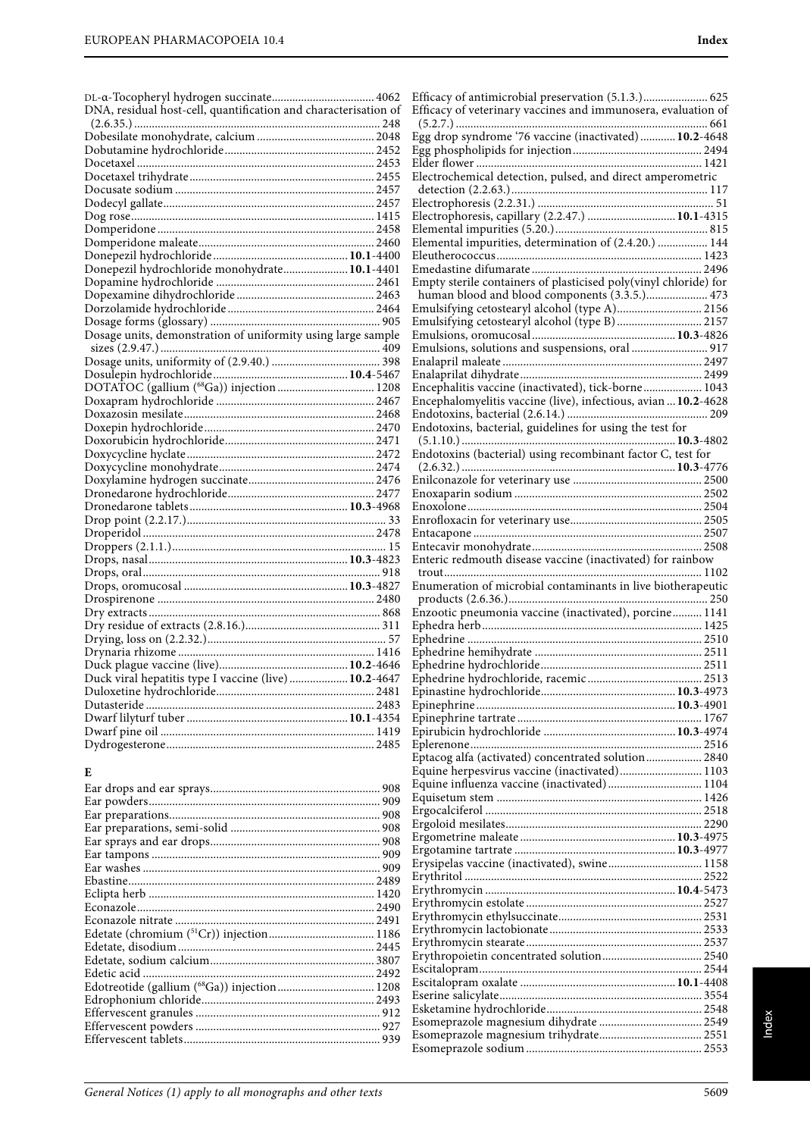| DL-α-Tocopheryl hydrogen succinate 4062                         |  |
|-----------------------------------------------------------------|--|
| DNA, residual host-cell, quantification and characterisation of |  |
|                                                                 |  |
|                                                                 |  |
|                                                                 |  |
|                                                                 |  |
|                                                                 |  |
|                                                                 |  |
|                                                                 |  |
|                                                                 |  |
|                                                                 |  |
|                                                                 |  |
|                                                                 |  |
| Donepezil hydrochloride monohydrate 10.1-4401                   |  |
|                                                                 |  |
|                                                                 |  |
|                                                                 |  |
|                                                                 |  |
|                                                                 |  |
|                                                                 |  |
|                                                                 |  |
|                                                                 |  |
|                                                                 |  |
|                                                                 |  |
|                                                                 |  |
|                                                                 |  |
|                                                                 |  |
|                                                                 |  |
|                                                                 |  |
|                                                                 |  |
|                                                                 |  |
|                                                                 |  |
|                                                                 |  |
|                                                                 |  |
|                                                                 |  |
|                                                                 |  |
|                                                                 |  |
|                                                                 |  |
|                                                                 |  |
|                                                                 |  |
|                                                                 |  |
|                                                                 |  |
|                                                                 |  |
|                                                                 |  |
|                                                                 |  |
|                                                                 |  |
|                                                                 |  |
|                                                                 |  |
|                                                                 |  |
|                                                                 |  |
|                                                                 |  |
|                                                                 |  |

#### **E**

| Edotreotide (gallium (68Ga)) injection 1208 |     |
|---------------------------------------------|-----|
|                                             |     |
|                                             |     |
|                                             |     |
|                                             | 939 |

| Electrochemical detection, pulsed, and direct amperometric       |  |
|------------------------------------------------------------------|--|
|                                                                  |  |
| Electrophoresis, capillary (2.2.47.)  10.1-4315                  |  |
|                                                                  |  |
| Elemental impurities, determination of (2.4.20.)  144            |  |
|                                                                  |  |
|                                                                  |  |
| Empty sterile containers of plasticised poly(vinyl chloride) for |  |
| human blood and blood components (3.3.5.) 473                    |  |
| Emulsifying cetostearyl alcohol (type A) 2156                    |  |
| Emulsifying cetostearyl alcohol (type B)  2157                   |  |
|                                                                  |  |
| Emulsions, solutions and suspensions, oral  917                  |  |
|                                                                  |  |
|                                                                  |  |
| Encephalitis vaccine (inactivated), tick-borne 1043              |  |
| Encephalomyelitis vaccine (live), infectious, avian  10.2-4628   |  |
|                                                                  |  |
| Endotoxins, bacterial, guidelines for using the test for         |  |
| Endotoxins (bacterial) using recombinant factor C, test for      |  |
|                                                                  |  |
|                                                                  |  |
|                                                                  |  |
|                                                                  |  |
|                                                                  |  |
|                                                                  |  |
|                                                                  |  |
| Enteric redmouth disease vaccine (inactivated) for rainbow       |  |
|                                                                  |  |
| Enumeration of microbial contaminants in live biotherapeutic     |  |
|                                                                  |  |
|                                                                  |  |
| Enzootic pneumonia vaccine (inactivated), porcine 1141           |  |
|                                                                  |  |
|                                                                  |  |
|                                                                  |  |
|                                                                  |  |
|                                                                  |  |
|                                                                  |  |
|                                                                  |  |
|                                                                  |  |
|                                                                  |  |
|                                                                  |  |
| Eptacog alfa (activated) concentrated solution 2840              |  |
| Equine herpesvirus vaccine (inactivated) 1103                    |  |
| Equine influenza vaccine (inactivated) 1104                      |  |
|                                                                  |  |
|                                                                  |  |
|                                                                  |  |
|                                                                  |  |
| Erysipelas vaccine (inactivated), swine 1158                     |  |
|                                                                  |  |
|                                                                  |  |
|                                                                  |  |
|                                                                  |  |
|                                                                  |  |
|                                                                  |  |
|                                                                  |  |
|                                                                  |  |
|                                                                  |  |
|                                                                  |  |
|                                                                  |  |

Esomeprazole sodium ............................................................ 2553

Efficacy of antimicrobial preservation (5.1.3.)...................... 625 Efficacy of veterinary vaccines and immunosera, evaluation of (5.2.7.) ...................................................................................... 661 Egg drop syndrome '76 vaccine (inactivated) ............**10.2**-4648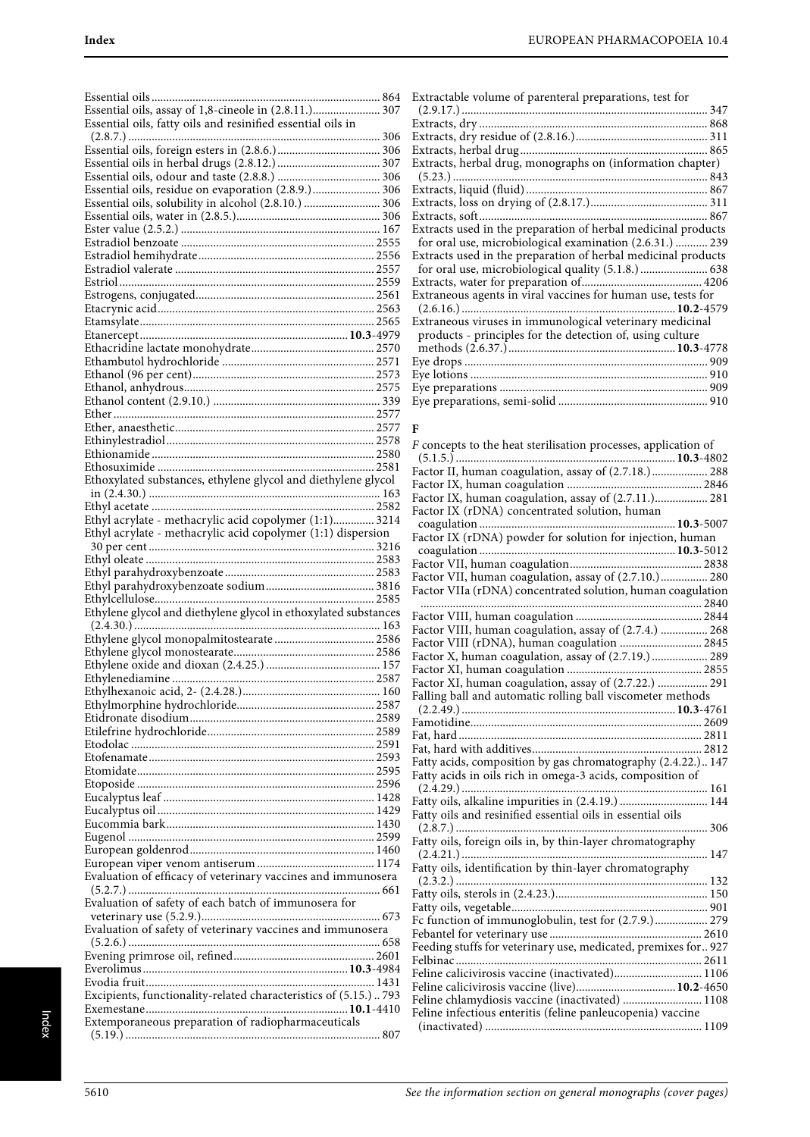| Essential oils, assay of 1,8-cineole in (2.8.11.) 307            |
|------------------------------------------------------------------|
| Essential oils, fatty oils and resinified essential oils in      |
|                                                                  |
|                                                                  |
|                                                                  |
| Essential oils, residue on evaporation (2.8.9.) 306              |
| Essential oils, solubility in alcohol (2.8.10.)  306             |
|                                                                  |
|                                                                  |
|                                                                  |
|                                                                  |
|                                                                  |
|                                                                  |
|                                                                  |
|                                                                  |
|                                                                  |
|                                                                  |
|                                                                  |
|                                                                  |
|                                                                  |
|                                                                  |
|                                                                  |
|                                                                  |
|                                                                  |
| Ethoxylated substances, ethylene glycol and diethylene glycol    |
|                                                                  |
| Ethyl acrylate - methacrylic acid copolymer (1:1) 3214           |
| Ethyl acrylate - methacrylic acid copolymer (1:1) dispersion     |
|                                                                  |
|                                                                  |
|                                                                  |
|                                                                  |
|                                                                  |
|                                                                  |
| Ethylene glycol and diethylene glycol in ethoxylated substances  |
|                                                                  |
|                                                                  |
|                                                                  |
| Ethylenediamine.                                                 |
|                                                                  |
|                                                                  |
|                                                                  |
|                                                                  |
|                                                                  |
|                                                                  |
|                                                                  |
|                                                                  |
|                                                                  |
|                                                                  |
|                                                                  |
|                                                                  |
| Evaluation of efficacy of veterinary vaccines and immunosera     |
| Evaluation of safety of each batch of immunosera for             |
|                                                                  |
| Evaluation of safety of veterinary vaccines and immunosera       |
|                                                                  |
|                                                                  |
|                                                                  |
| Excipients, functionality-related characteristics of (5.15.) 793 |
|                                                                  |
| Extemporaneous preparation of radiopharmaceuticals               |

| Extractable volume of parenteral preparations, test for       |
|---------------------------------------------------------------|
|                                                               |
|                                                               |
|                                                               |
|                                                               |
| Extracts, herbal drug, monographs on (information chapter)    |
|                                                               |
|                                                               |
|                                                               |
|                                                               |
| Extracts used in the preparation of herbal medicinal products |
| for oral use, microbiological examination (2.6.31.)  239      |
| Extracts used in the preparation of herbal medicinal products |
|                                                               |
|                                                               |
| Extraneous agents in viral vaccines for human use, tests for  |
|                                                               |
| Extraneous viruses in immunological veterinary medicinal      |
| products - principles for the detection of, using culture     |
|                                                               |
|                                                               |
|                                                               |
|                                                               |

Eye preparations, semi-solid ................................................... 910

#### **F**

| F concepts to the heat sterilisation processes, application of |     |
|----------------------------------------------------------------|-----|
|                                                                |     |
| Factor II, human coagulation, assay of (2.7.18.) 288           |     |
|                                                                |     |
| Factor IX, human coagulation, assay of (2.7.11.) 281           |     |
| Factor IX (rDNA) concentrated solution, human                  |     |
|                                                                |     |
|                                                                |     |
|                                                                |     |
|                                                                |     |
| Factor VII, human coagulation, assay of (2.7.10.) 280          |     |
| Factor VIIa (rDNA) concentrated solution, human coagulation    |     |
|                                                                |     |
|                                                                |     |
| Factor VIII, human coagulation, assay of (2.7.4.)  268         |     |
| Factor VIII (rDNA), human coagulation  2845                    |     |
| Factor X, human coagulation, assay of (2.7.19.)  289           |     |
|                                                                |     |
| Factor XI, human coagulation, assay of (2.7.22.)  291          |     |
| Falling ball and automatic rolling ball viscometer methods     |     |
|                                                                |     |
|                                                                |     |
|                                                                |     |
|                                                                |     |
| Fatty acids, composition by gas chromatography (2.4.22.) 147   |     |
| Fatty acids in oils rich in omega-3 acids, composition of      |     |
|                                                                |     |
| Fatty oils, alkaline impurities in (2.4.19.)  144              |     |
| Fatty oils and resinified essential oils in essential oils     |     |
|                                                                | 306 |
| Fatty oils, foreign oils in, by thin-layer chromatography      |     |
|                                                                |     |
| Fatty oils, identification by thin-layer chromatography        |     |
|                                                                |     |
|                                                                |     |
|                                                                |     |
|                                                                |     |
| Feeding stuffs for veterinary use, medicated, premixes for 927 |     |
|                                                                |     |
| Feline calicivirosis vaccine (inactivated) 1106                |     |
| Feline calicivirosis vaccine (live) 10.2-4650                  |     |
| Feline chlamydiosis vaccine (inactivated)  1108                |     |
| Feline infectious enteritis (feline panleucopenia) vaccine     |     |
|                                                                |     |
|                                                                |     |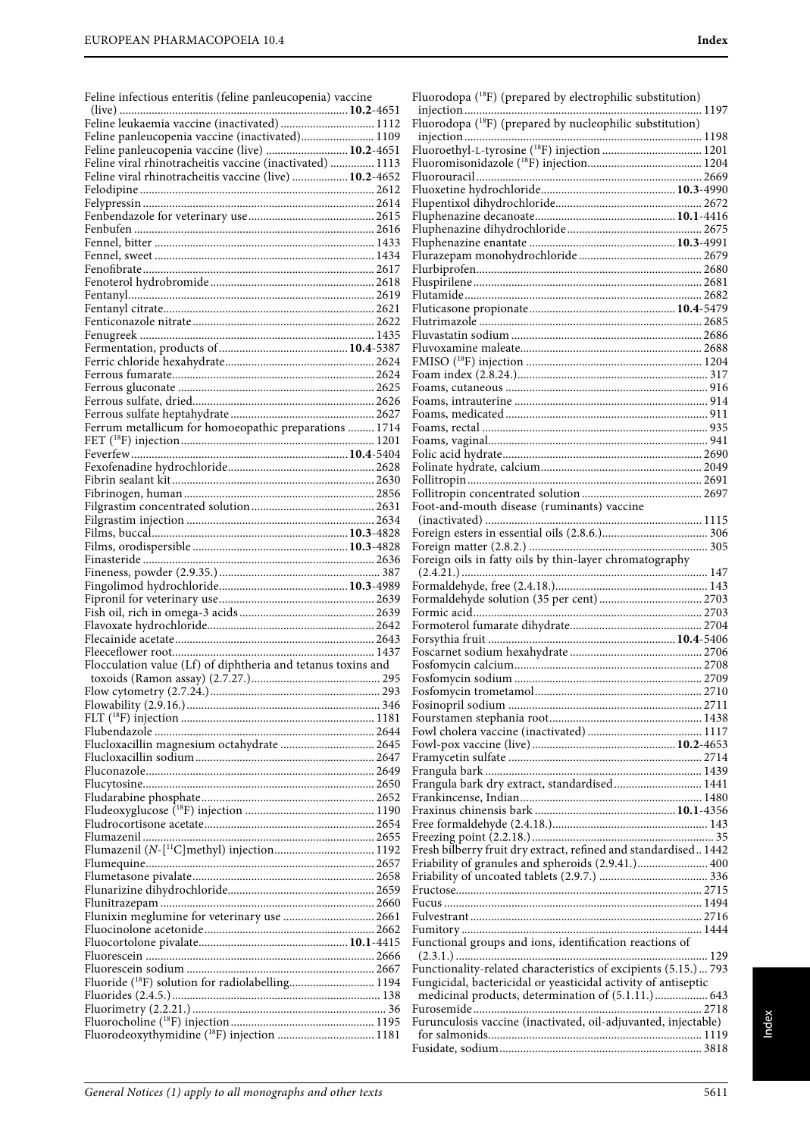| Feline infectious enteritis (feline panleucopenia) vaccine                                                 |  |
|------------------------------------------------------------------------------------------------------------|--|
|                                                                                                            |  |
| Feline leukaemia vaccine (inactivated)  1112                                                               |  |
| Feline panleucopenia vaccine (inactivated) 1109                                                            |  |
| Feline panleucopenia vaccine (live)  10.2-4651<br>Feline viral rhinotracheitis vaccine (inactivated)  1113 |  |
| Feline viral rhinotracheitis vaccine (live)  10.2-4652                                                     |  |
|                                                                                                            |  |
|                                                                                                            |  |
|                                                                                                            |  |
|                                                                                                            |  |
|                                                                                                            |  |
|                                                                                                            |  |
|                                                                                                            |  |
|                                                                                                            |  |
|                                                                                                            |  |
|                                                                                                            |  |
|                                                                                                            |  |
|                                                                                                            |  |
|                                                                                                            |  |
|                                                                                                            |  |
|                                                                                                            |  |
| Ferrum metallicum for homoeopathic preparations  1714                                                      |  |
|                                                                                                            |  |
|                                                                                                            |  |
|                                                                                                            |  |
|                                                                                                            |  |
|                                                                                                            |  |
|                                                                                                            |  |
|                                                                                                            |  |
|                                                                                                            |  |
|                                                                                                            |  |
|                                                                                                            |  |
|                                                                                                            |  |
|                                                                                                            |  |
|                                                                                                            |  |
|                                                                                                            |  |
|                                                                                                            |  |
| Flocculation value (Lf) of diphtheria and tetanus toxins and<br>toxoids (Ramon assay) (2.7.27.)            |  |
|                                                                                                            |  |
|                                                                                                            |  |
|                                                                                                            |  |
|                                                                                                            |  |
| Flucloxacillin magnesium octahydrate  2645                                                                 |  |
|                                                                                                            |  |
|                                                                                                            |  |
|                                                                                                            |  |
|                                                                                                            |  |
|                                                                                                            |  |
| Flumazenil (N-[ <sup>11</sup> C]methyl) injection 1192                                                     |  |
|                                                                                                            |  |
|                                                                                                            |  |
|                                                                                                            |  |
| Flunixin meglumine for veterinary use  2661                                                                |  |
|                                                                                                            |  |
|                                                                                                            |  |
|                                                                                                            |  |
|                                                                                                            |  |
| Fluoride ( <sup>18</sup> F) solution for radiolabelling 1194                                               |  |
|                                                                                                            |  |
|                                                                                                            |  |
| Fluorodeoxythymidine ( <sup>18</sup> F) injection  1181                                                    |  |

| Foot-and-mouth disease (ruminants) vaccine                      |  |
|-----------------------------------------------------------------|--|
|                                                                 |  |
|                                                                 |  |
| Foreign matter (2002) manufacturer chromatography               |  |
|                                                                 |  |
|                                                                 |  |
|                                                                 |  |
|                                                                 |  |
|                                                                 |  |
|                                                                 |  |
|                                                                 |  |
|                                                                 |  |
|                                                                 |  |
|                                                                 |  |
|                                                                 |  |
|                                                                 |  |
|                                                                 |  |
| Frangula bark dry extract, standardised 1441                    |  |
|                                                                 |  |
|                                                                 |  |
|                                                                 |  |
| Fresh bilberry fruit dry extract, refined and standardised 1442 |  |
| Friability of granules and spheroids (2.9.41.) 400              |  |
|                                                                 |  |
|                                                                 |  |
|                                                                 |  |
|                                                                 |  |
| Functional groups and ions, identification reactions of         |  |
| Functionality-related characteristics of excipients (5.15.) 793 |  |
| Fungicidal, bactericidal or yeasticidal activity of antiseptic  |  |
| medicinal products, determination of (5.1.11.) 643              |  |
|                                                                 |  |
| Furunculosis vaccine (inactivated, oil-adjuvanted, injectable)  |  |
|                                                                 |  |
|                                                                 |  |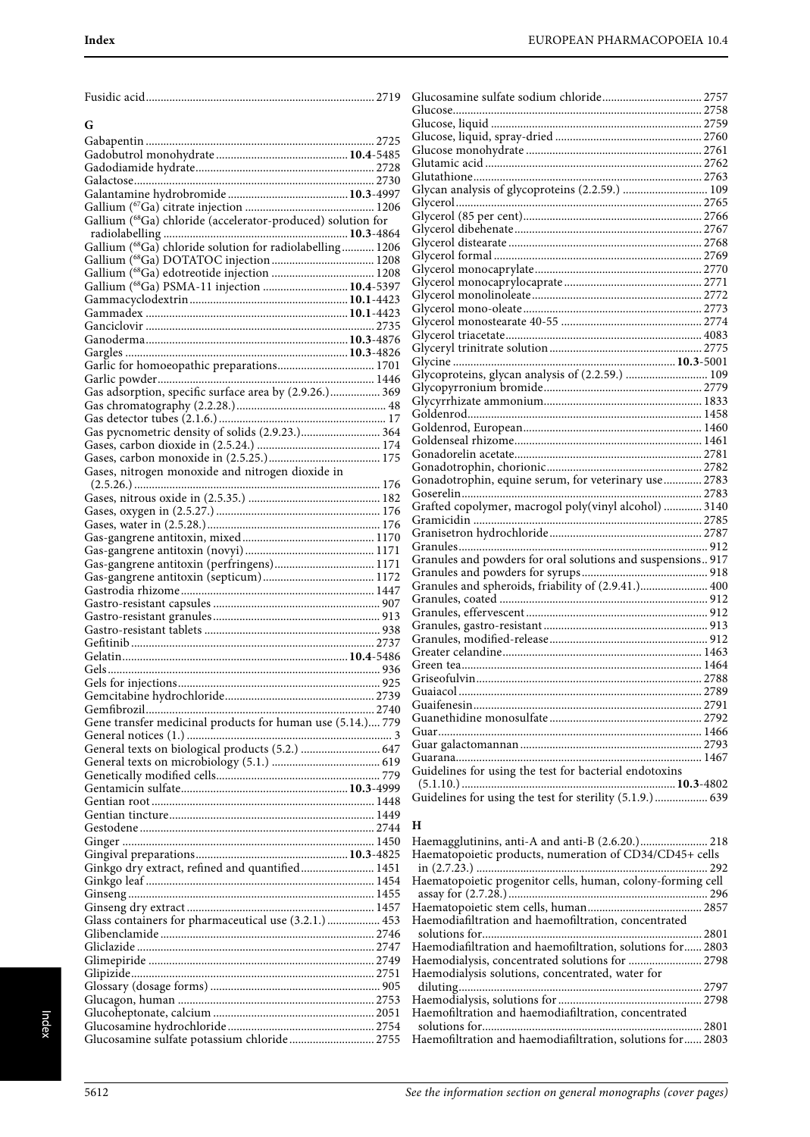|--|--|

## **G**

| Gallium (68Ga) chloride (accelerator-produced) solution for |  |
|-------------------------------------------------------------|--|
|                                                             |  |
|                                                             |  |
| Gallium (68Ga) chloride solution for radiolabelling 1206    |  |
|                                                             |  |
|                                                             |  |
| Gallium (68Ga) PSMA-11 injection  10.4-5397                 |  |
|                                                             |  |
|                                                             |  |
|                                                             |  |
|                                                             |  |
|                                                             |  |
|                                                             |  |
| Garlic for homoeopathic preparations 1701                   |  |
|                                                             |  |
|                                                             |  |
| Gas adsorption, specific surface area by (2.9.26.) 369      |  |
|                                                             |  |
|                                                             |  |
| Gas pycnometric density of solids (2.9.23.) 364             |  |
|                                                             |  |
|                                                             |  |
|                                                             |  |
| Gases, nitrogen monoxide and nitrogen dioxide in            |  |
|                                                             |  |
|                                                             |  |
|                                                             |  |
|                                                             |  |
|                                                             |  |
|                                                             |  |
|                                                             |  |
|                                                             |  |
| Gas-gangrene antitoxin (perfringens) 1171                   |  |
|                                                             |  |
|                                                             |  |
|                                                             |  |
|                                                             |  |
|                                                             |  |
|                                                             |  |
|                                                             |  |
|                                                             |  |
|                                                             |  |
|                                                             |  |
|                                                             |  |
|                                                             |  |
|                                                             |  |
|                                                             |  |
|                                                             |  |
| Gene transfer medicinal products for human use (5.14.) 779  |  |
|                                                             |  |
| General texts on biological products (5.2.)  647            |  |
|                                                             |  |
|                                                             |  |
|                                                             |  |
|                                                             |  |
|                                                             |  |
|                                                             |  |
|                                                             |  |
|                                                             |  |
|                                                             |  |
|                                                             |  |
| Ginkgo dry extract, refined and quantified 1451             |  |
|                                                             |  |
|                                                             |  |
|                                                             |  |
|                                                             |  |
| Glass containers for pharmaceutical use (3.2.1.)  453       |  |
|                                                             |  |
|                                                             |  |
|                                                             |  |
|                                                             |  |
|                                                             |  |
|                                                             |  |
|                                                             |  |
|                                                             |  |
|                                                             |  |
| Glucosamine sulfate potassium chloride 2755                 |  |

| 9                       |                                                             |  |
|-------------------------|-------------------------------------------------------------|--|
|                         |                                                             |  |
|                         |                                                             |  |
| $^{15}$                 |                                                             |  |
| 35                      |                                                             |  |
| 28                      |                                                             |  |
| $\overline{0}$          |                                                             |  |
| 17                      |                                                             |  |
| 16                      |                                                             |  |
|                         |                                                             |  |
|                         |                                                             |  |
| 54                      |                                                             |  |
| 16                      |                                                             |  |
| 18                      |                                                             |  |
| 18                      |                                                             |  |
| 17                      |                                                             |  |
| 23                      |                                                             |  |
| $^{23}$                 |                                                             |  |
| 35                      |                                                             |  |
| $\frac{76}{5}$          |                                                             |  |
| 16                      |                                                             |  |
| 1                       | Glycoproteins, glycan analysis of (2.2.59.)  109            |  |
| ŀ6                      |                                                             |  |
| 59                      |                                                             |  |
| ŀ8                      |                                                             |  |
| .7                      |                                                             |  |
| $\frac{1}{4}$           |                                                             |  |
| $\frac{4}{4}$           |                                                             |  |
| '5                      |                                                             |  |
|                         |                                                             |  |
| 76                      |                                                             |  |
| 32                      |                                                             |  |
| 76                      | Grafted copolymer, macrogol poly(vinyl alcohol)  3140       |  |
| 6                       |                                                             |  |
| 70                      |                                                             |  |
| '1                      |                                                             |  |
| $^{\prime}1$            | Granules and powders for oral solutions and suspensions 917 |  |
| '2                      |                                                             |  |
| ŀ7                      | Granules and spheroids, friability of (2.9.41.) 400         |  |
| 17                      |                                                             |  |
| 3                       |                                                             |  |
| $\overline{\mathbf{8}}$ |                                                             |  |
| 57                      |                                                             |  |
| 36                      |                                                             |  |
| 36                      |                                                             |  |
| $25^{\circ}$            |                                                             |  |
| 59                      |                                                             |  |
| $\overline{10}$         |                                                             |  |
| 79                      |                                                             |  |
| $\overline{3}$          |                                                             |  |
| $\overline{5}$          |                                                             |  |
| 9                       |                                                             |  |
| 79                      | Guidelines for using the test for bacterial endotoxins      |  |
| 19                      |                                                             |  |
| ŀ8                      | Guidelines for using the test for sterility (5.1.9.)  639   |  |
| $\Omega$                |                                                             |  |

#### **H**

| Haematopoietic products, numeration of CD34/CD45+ cells     |
|-------------------------------------------------------------|
|                                                             |
| Haematopoietic progenitor cells, human, colony-forming cell |
|                                                             |
|                                                             |
|                                                             |
| 2801                                                        |
| Haemodiafiltration and haemofiltration, solutions for 2803  |
| Haemodialysis, concentrated solutions for  2798             |
|                                                             |
|                                                             |
|                                                             |
|                                                             |
|                                                             |
| Haemofiltration and haemodiafiltration, solutions for 2803  |
|                                                             |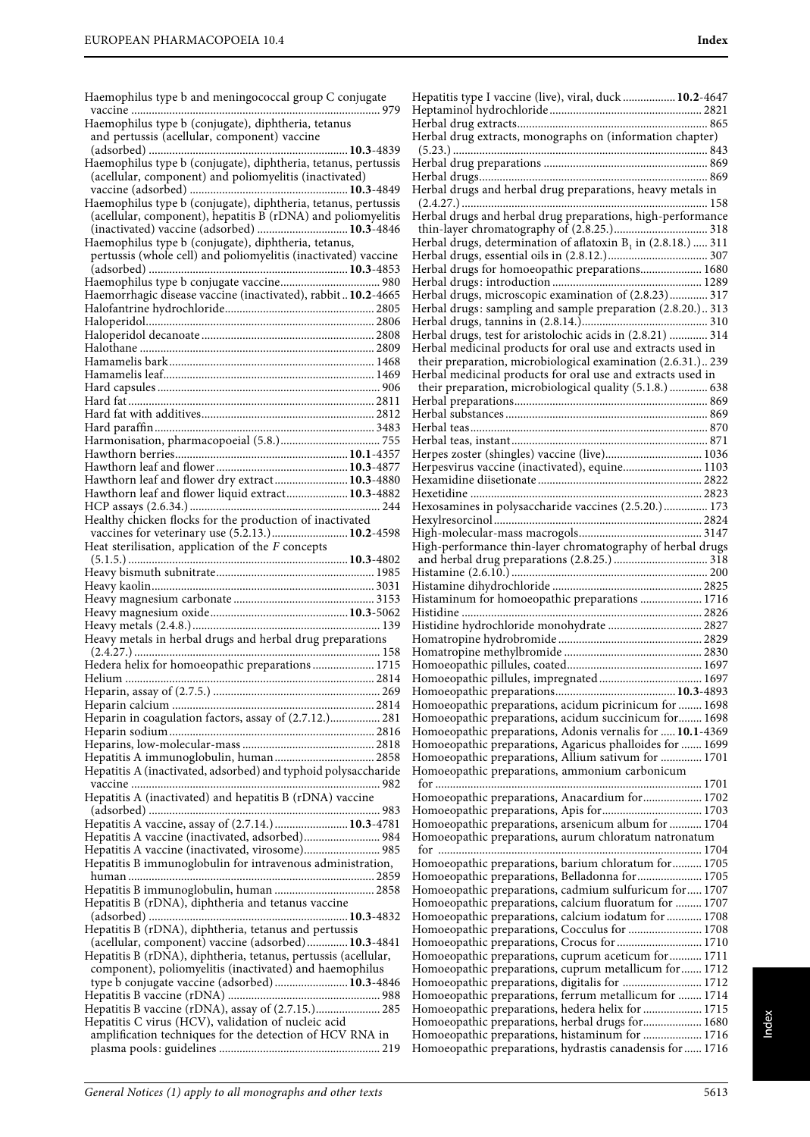Haemophilus type b and meningococcal group C conjugate vaccine ..................................................................................... 979

| Haemophilus type b (conjugate), diphtheria, tetanus            |  |
|----------------------------------------------------------------|--|
| and pertussis (acellular, component) vaccine                   |  |
|                                                                |  |
| Haemophilus type b (conjugate), diphtheria, tetanus, pertussis |  |
| (acellular, component) and poliomyelitis (inactivated)         |  |
|                                                                |  |
|                                                                |  |
| (acellular, component), hepatitis B (rDNA) and poliomyelitis   |  |
| (inactivated) vaccine (adsorbed)  10.3-4846                    |  |
| Haemophilus type b (conjugate), diphtheria, tetanus,           |  |
| pertussis (whole cell) and poliomyelitis (inactivated) vaccine |  |
|                                                                |  |
|                                                                |  |
| Haemorrhagic disease vaccine (inactivated), rabbit10.2-4665    |  |
|                                                                |  |
|                                                                |  |
|                                                                |  |
|                                                                |  |
|                                                                |  |
|                                                                |  |
|                                                                |  |
|                                                                |  |
|                                                                |  |
|                                                                |  |
|                                                                |  |
|                                                                |  |
| Hawthorn leaf and flower dry extract 10.3-4880                 |  |
| Hawthorn leaf and flower liquid extract 10.3-4882              |  |
|                                                                |  |
| Healthy chicken flocks for the production of inactivated       |  |
| vaccines for veterinary use (5.2.13.) 10.2-4598                |  |
| Heat sterilisation, application of the $F$ concepts            |  |
|                                                                |  |
|                                                                |  |
|                                                                |  |
|                                                                |  |
|                                                                |  |
|                                                                |  |
| Heavy metals in herbal drugs and herbal drug preparations      |  |
|                                                                |  |
| Hedera helix for homoeopathic preparations  1715               |  |
|                                                                |  |
|                                                                |  |
|                                                                |  |
| Heparin in coagulation factors, assay of (2.7.12.) 281         |  |
|                                                                |  |
|                                                                |  |
| Hepatitis A immunoglobulin, human 2858                         |  |
| Hepatitis A (inactivated, adsorbed) and typhoid polysaccharide |  |
|                                                                |  |
| Hepatitis A (inactivated) and hepatitis B (rDNA) vaccine       |  |
|                                                                |  |
| Hepatitis A vaccine, assay of (2.7.14.)  10.3-4781             |  |
| Hepatitis A vaccine (inactivated, adsorbed) 984                |  |
| Hepatitis A vaccine (inactivated, virosome) 985                |  |
| Hepatitis B immunoglobulin for intravenous administration,     |  |
|                                                                |  |
| Hepatitis B immunoglobulin, human  2858                        |  |
| Hepatitis B (rDNA), diphtheria and tetanus vaccine             |  |
|                                                                |  |
| Hepatitis B (rDNA), diphtheria, tetanus and pertussis          |  |
| (acellular, component) vaccine (adsorbed) 10.3-4841            |  |
| Hepatitis B (rDNA), diphtheria, tetanus, pertussis (acellular, |  |
| component), poliomyelitis (inactivated) and haemophilus        |  |

| Hepatitis type I vaccine (live), viral, duck  10.2-4647                                                      |  |
|--------------------------------------------------------------------------------------------------------------|--|
|                                                                                                              |  |
| Herbal drug extracts, monographs on (information chapter)                                                    |  |
|                                                                                                              |  |
|                                                                                                              |  |
|                                                                                                              |  |
|                                                                                                              |  |
|                                                                                                              |  |
| Herbal drugs and herbal drug preparations, high-performance                                                  |  |
|                                                                                                              |  |
| Herbal drugs, determination of aflatoxin $B_1$ in (2.8.18.)  311                                             |  |
|                                                                                                              |  |
| Herbal drugs for homoeopathic preparations 1680                                                              |  |
|                                                                                                              |  |
| Herbal drugs, microscopic examination of (2.8.23) 317                                                        |  |
| Herbal drugs: sampling and sample preparation (2.8.20.) 313                                                  |  |
| Herbal drugs, test for aristolochic acids in (2.8.21)  314                                                   |  |
| Herbal medicinal products for oral use and extracts used in                                                  |  |
| their preparation, microbiological examination (2.6.31.) 239                                                 |  |
| Herbal medicinal products for oral use and extracts used in                                                  |  |
| their preparation, microbiological quality (5.1.8.)  638                                                     |  |
|                                                                                                              |  |
|                                                                                                              |  |
|                                                                                                              |  |
|                                                                                                              |  |
| Herpes zoster (shingles) vaccine (live) 1036                                                                 |  |
| Herpesvirus vaccine (inactivated), equine 1103                                                               |  |
|                                                                                                              |  |
|                                                                                                              |  |
| Hexosamines in polysaccharide vaccines (2.5.20.) 173                                                         |  |
|                                                                                                              |  |
|                                                                                                              |  |
| High-performance thin-layer chromatography of herbal drugs                                                   |  |
|                                                                                                              |  |
|                                                                                                              |  |
|                                                                                                              |  |
|                                                                                                              |  |
| Histaminum for homoeopathic preparations  1716                                                               |  |
|                                                                                                              |  |
| Histidine hydrochloride monohydrate  2827                                                                    |  |
|                                                                                                              |  |
|                                                                                                              |  |
|                                                                                                              |  |
|                                                                                                              |  |
| Homoeopathic preparations, acidum picrinicum for  1698                                                       |  |
| Homoeopathic preparations, acidum succinicum for 1698                                                        |  |
| Homoeopathic preparations, Adonis vernalis for  10.1-4369                                                    |  |
| Homoeopathic preparations, Agaricus phalloides for  1699                                                     |  |
| Homoeopathic preparations, Allium sativum for  1701                                                          |  |
| Homoeopathic preparations, ammonium carbonicum                                                               |  |
|                                                                                                              |  |
| Homoeopathic preparations, Anacardium for 1702                                                               |  |
|                                                                                                              |  |
| Homoeopathic preparations, arsenicum album for  1704                                                         |  |
| Homoeopathic preparations, aurum chloratum natronatum                                                        |  |
|                                                                                                              |  |
| Homoeopathic preparations, barium chloratum for 1705                                                         |  |
| Homoeopathic preparations, Belladonna for 1705<br>Homoeopathic preparations, cadmium sulfuricum for 1707     |  |
| Homoeopathic preparations, calcium fluoratum for  1707                                                       |  |
| Homoeopathic preparations, calcium iodatum for  1708                                                         |  |
| Homoeopathic preparations, Cocculus for  1708                                                                |  |
| Homoeopathic preparations, Crocus for  1710                                                                  |  |
| Homoeopathic preparations, cuprum aceticum for  1711                                                         |  |
| Homoeopathic preparations, cuprum metallicum for  1712                                                       |  |
| Homoeopathic preparations, digitalis for  1712                                                               |  |
| Homoeopathic preparations, ferrum metallicum for  1714                                                       |  |
| Homoeopathic preparations, hedera helix for  1715                                                            |  |
| Homoeopathic preparations, herbal drugs for 1680                                                             |  |
| Homoeopathic preparations, histaminum for  1716<br>Homoeopathic preparations, hydrastis canadensis for  1716 |  |

Hepatitis C virus (HCV), validation of nucleic acid

type b conjugate vaccine (adsorbed) .........................**10.3**-4846 Hepatitis B vaccine (rDNA) .................................................... 988 Hepatitis B vaccine (rDNA), assay of (2.7.15.)...................... 285

amplification techniques for the detection of HCV RNA in plasma pools: guidelines ....................................................... 219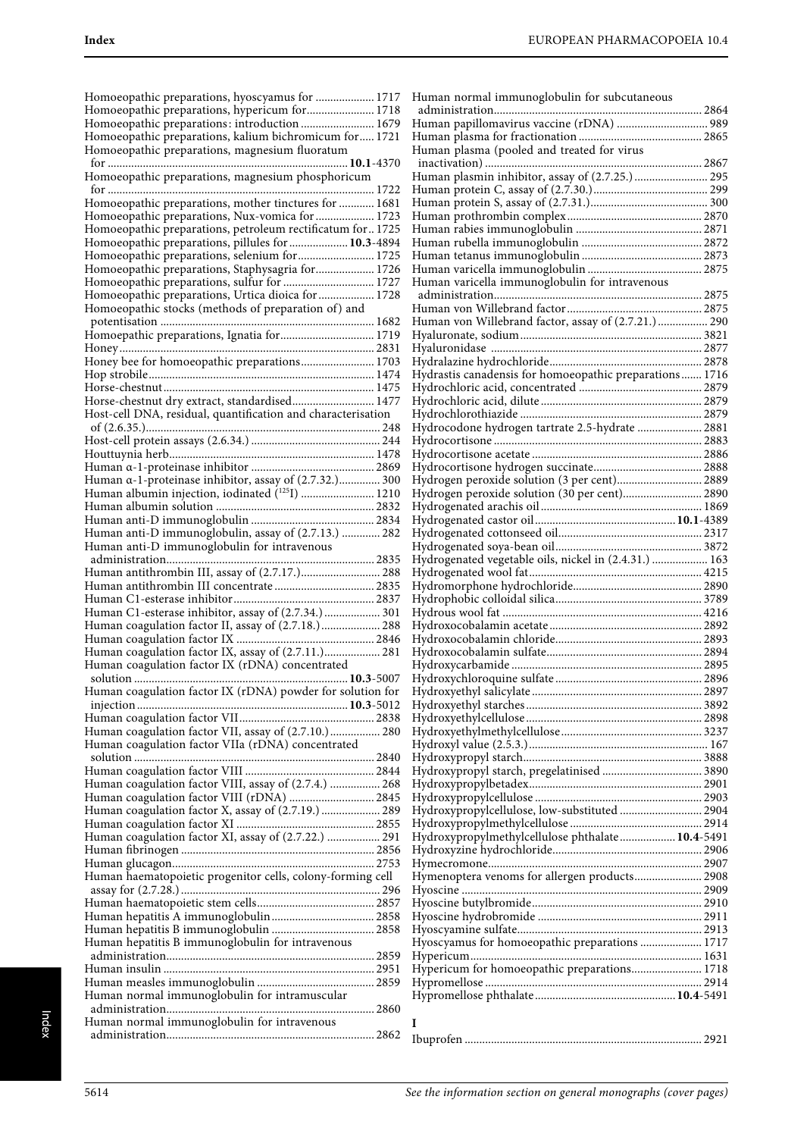Homoeopathic preparations, hyoscyamus for .................... 1717 Homoeopathic preparations, hypericum for....................... 1718 Homoeopathic preparations: introduction ......................... 1679 Homoeopathic preparations, kalium bichromicum for..... 1721 Homoeopathic preparations, magnesium fluoratum for ..................................................................................**10.1**-4370 Homoeopathic preparations, magnesium phosphoricum for ........................................................................................... 1722 Homoeopathic preparations, mother tinctures for ............ 1681 Homoeopathic preparations, Nux-vomica for .................... 1723 Homoeopathic preparations, petroleum rectificatum for.. 1725 Homoeopathic preparations, pillules for ....................**10.3**-4894 Homoeopathic preparations, selenium for.......................... 1725 Homoeopathic preparations, Staphysagria for.................... 1726 Homoeopathic preparations, sulfur for ................................ 1727 Homoeopathic preparations, Urtica dioica for ................... 1728 Homoeopathic stocks (methods of preparation of) and potentisation ......................................................................... 1682 Homoepathic preparations, Ignatia for................................ 1719 Honey....................................................................................... 2831 Honey bee for homoeopathic preparations......................... 1703 Hop strobile............................................................................. 1474 Horse-chestnut........................................................................ 1475 Horse-chestnut dry extract, standardised............................ 1477 Host-cell DNA, residual, quantification and characterisation of (2.6.35.)................................................................................ 248 Host-cell protein assays (2.6.34.) ............................................ 244 Houttuynia herb...................................................................... 1478 Human α-1-proteinase inhibitor .......................................... 2869 Human α-1-proteinase inhibitor, assay of (2.7.32.).............. 300 Human albumin injection, iodinated (1251) ........................... 1210 Human albumin solution ...................................................... 2832 Human anti-D immunoglobulin .......................................... 2834 Human anti-D immunoglobulin, assay of (2.7.13.) ............. 282 Human anti-D immunoglobulin for intravenous administration....................................................................... 2835 Human antithrombin III, assay of (2.7.17.)........................... 288 Human antithrombin III concentrate .................................. 2835 Human C1-esterase inhibitor................................................ 2837 Human C1-esterase inhibitor, assay of (2.7.34.) ................... 301 Human coagulation factor II, assay of (2.7.18.).................... 288 Human coagulation factor IX ............................................... 2846 Human coagulation factor IX, assay of (2.7.11.).................. 281 Human coagulation factor IX (rDNA) concentrated solution .........................................................................**10.3**-5007 Human coagulation factor IX (rDNA) powder for solution for injection ........................................................................**10.3**-5012 Human coagulation factor VII.............................................. 2838 Human coagulation factor VII, assay of (2.7.10.)................. 280 Human coagulation factor VIIa (rDNA) concentrated solution .................................................................................. 2840 Human coagulation factor VIII ............................................ 2844 Human coagulation factor VIII, assay of (2.7.4.) ................. 268 Human coagulation factor VIII (rDNA) ............................. 2845 Human coagulation factor X, assay of (2.7.19.) .................... 289 Human coagulation factor XI ............................................... 2855 Human coagulation factor XI, assay of (2.7.22.) .................. 291 Human fibrinogen .................................................................. 2856 Human glucagon..................................................................... 2753 Human haematopoietic progenitor cells, colony-forming cell assay for (2.7.28.) .................................................................... 296 Human haematopoietic stem cells........................................ 2857 Human hepatitis A immunoglobulin................................... 2858 Human hepatitis B immunoglobulin ................................... 2858 Human hepatitis B immunoglobulin for intravenous administration....................................................................... 2859 Human insulin ........................................................................ 2951 Human measles immunoglobulin ........................................ 2859 Human normal immunoglobulin for intramuscular administration....................................................................... 2860 Human normal immunoglobulin for intravenous administration....................................................................... 2862

| Human normal immunoglobulin for subcutaneous            |  |
|---------------------------------------------------------|--|
|                                                         |  |
| Human papillomavirus vaccine (rDNA)  989                |  |
| Human plasma (pooled and treated for virus              |  |
|                                                         |  |
|                                                         |  |
|                                                         |  |
|                                                         |  |
|                                                         |  |
|                                                         |  |
|                                                         |  |
|                                                         |  |
|                                                         |  |
| Human varicella immunoglobulin for intravenous          |  |
|                                                         |  |
|                                                         |  |
| Human von Willebrand factor, assay of (2.7.21.) 290     |  |
|                                                         |  |
|                                                         |  |
| Hydrastis canadensis for homoeopathic preparations 1716 |  |
|                                                         |  |
|                                                         |  |
|                                                         |  |
| Hydrocodone hydrogen tartrate 2.5-hydrate  2881         |  |
|                                                         |  |
|                                                         |  |
|                                                         |  |
| Hydrogen peroxide solution (3 per cent) 2889            |  |
| Hydrogen peroxide solution (30 per cent) 2890           |  |
|                                                         |  |
|                                                         |  |
|                                                         |  |
|                                                         |  |
| Hydrogenated vegetable oils, nickel in (2.4.31.)  163   |  |
|                                                         |  |
|                                                         |  |
|                                                         |  |
|                                                         |  |
|                                                         |  |
|                                                         |  |
|                                                         |  |
|                                                         |  |
|                                                         |  |
|                                                         |  |
|                                                         |  |
|                                                         |  |
|                                                         |  |
|                                                         |  |
|                                                         |  |
|                                                         |  |
|                                                         |  |
| Hydroxypropylcellulose, low-substituted 2904            |  |
|                                                         |  |
| Hydroxypropylmethylcellulose phthalate 10.4-5491        |  |
|                                                         |  |
|                                                         |  |
| Hymenoptera venoms for allergen products 2908           |  |
|                                                         |  |
|                                                         |  |
|                                                         |  |
|                                                         |  |
| Hyoscyamus for homoeopathic preparations  1717          |  |
| Hypericum for homoeopathic preparations 1718            |  |
|                                                         |  |
|                                                         |  |
|                                                         |  |
| I                                                       |  |
|                                                         |  |
|                                                         |  |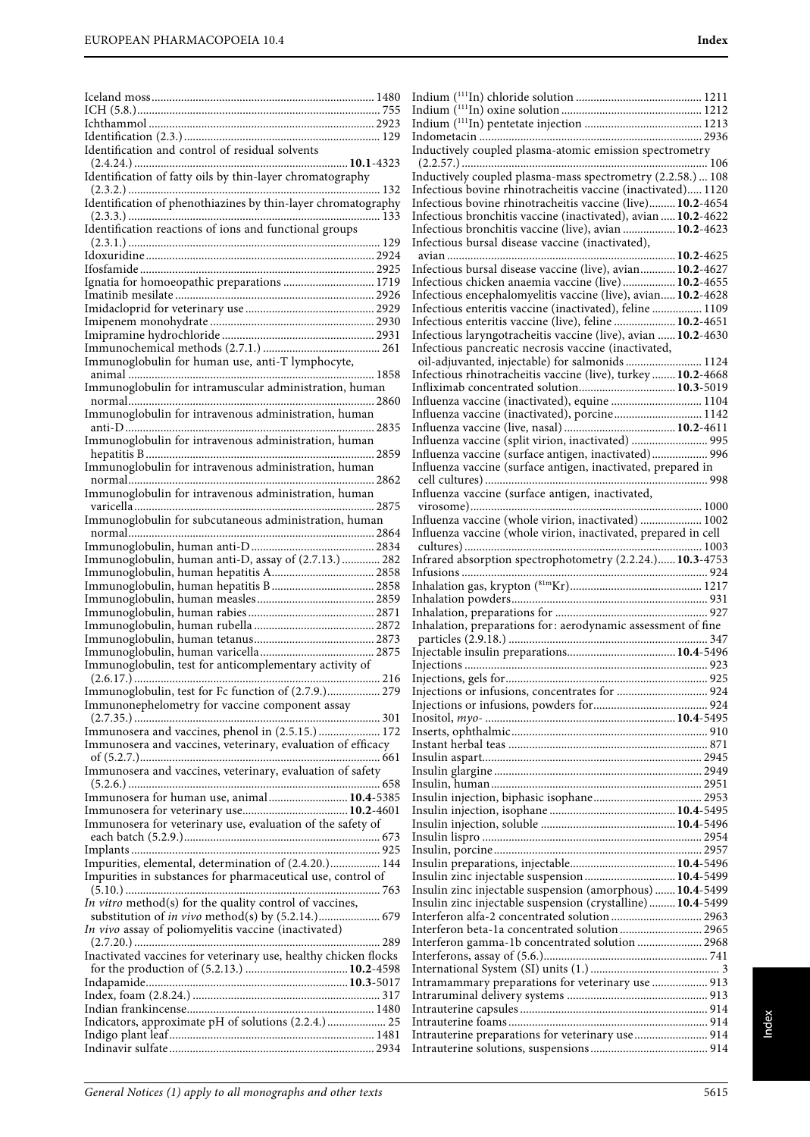|                                                                 | In                   |
|-----------------------------------------------------------------|----------------------|
|                                                                 | In                   |
|                                                                 | In                   |
|                                                                 | In                   |
| Identification and control of residual solvents                 | In                   |
| Identification of fatty oils by thin-layer chromatography       | $\overline{(}$<br>In |
|                                                                 | In                   |
| Identification of phenothiazines by thin-layer chromatography   | In                   |
|                                                                 | In                   |
| Identification reactions of ions and functional groups          | In                   |
|                                                                 | In                   |
|                                                                 | a                    |
|                                                                 | In                   |
| Ignatia for homoeopathic preparations  1719                     | In<br>In             |
|                                                                 | In                   |
|                                                                 | In                   |
|                                                                 | In                   |
|                                                                 | In                   |
| Immunoglobulin for human use, anti-T lymphocyte,                | $\epsilon$           |
|                                                                 | In                   |
| Immunoglobulin for intramuscular administration, human          | In                   |
|                                                                 | In                   |
| Immunoglobulin for intravenous administration, human            | In<br>In             |
| Immunoglobulin for intravenous administration, human            | In                   |
|                                                                 | In                   |
| Immunoglobulin for intravenous administration, human            | In                   |
|                                                                 | C                    |
| Immunoglobulin for intravenous administration, human            | In                   |
|                                                                 | V                    |
| Immunoglobulin for subcutaneous administration, human           | In                   |
|                                                                 | In<br>C              |
| Immunoglobulin, human anti-D, assay of (2.7.13.) 282            | In                   |
|                                                                 | In                   |
|                                                                 | In                   |
|                                                                 | In                   |
|                                                                 | In                   |
|                                                                 | In                   |
|                                                                 | $\mathfrak{p}$       |
| Immunoglobulin, test for anticomplementary activity of          | In<br>In             |
|                                                                 | In                   |
| Immunoglobulin, test for Fc function of (2.7.9.) 279            | In                   |
| Immunonephelometry for vaccine component assay                  | In                   |
|                                                                 | In                   |
| Immunosera and vaccines, phenol in (2.5.15.) 172                | In                   |
| Immunosera and vaccines, veterinary, evaluation of efficacy     | In                   |
| Immunosera and vaccines, veterinary, evaluation of safety       | In<br>In             |
|                                                                 | In                   |
| Immunosera for human use, animal 10.4-5385                      | In                   |
|                                                                 | In                   |
| Immunosera for veterinary use, evaluation of the safety of      | In                   |
|                                                                 | In                   |
|                                                                 | In                   |
| Impurities, elemental, determination of (2.4.20.) 144           | In                   |
| Impurities in substances for pharmaceutical use, control of     | In<br>In             |
| In vitro method(s) for the quality control of vaccines,         | In                   |
|                                                                 | In                   |
| In vivo assay of poliomyelitis vaccine (inactivated)            | In                   |
|                                                                 | In                   |
| Inactivated vaccines for veterinary use, healthy chicken flocks | In                   |
|                                                                 | In                   |
|                                                                 | In                   |
|                                                                 | In<br>In             |
| Indicators, approximate pH of solutions (2.2.4.) 25             |                      |
|                                                                 |                      |
|                                                                 | In<br>In             |

| Inductively coupled plasma-atomic emission spectrometry                                                                                                                                                                                                               |      |
|-----------------------------------------------------------------------------------------------------------------------------------------------------------------------------------------------------------------------------------------------------------------------|------|
|                                                                                                                                                                                                                                                                       |      |
| Inductively coupled plasma-mass spectrometry (2.2.58.)  108                                                                                                                                                                                                           |      |
| Infectious bovine rhinotracheitis vaccine (inactivated) 1120                                                                                                                                                                                                          |      |
| Infectious bovine rhinotracheitis vaccine (live) 10.2-4654                                                                                                                                                                                                            |      |
| Infectious bronchitis vaccine (inactivated), avian  10.2-4622                                                                                                                                                                                                         |      |
| Infectious bronchitis vaccine (live), avian  10.2-4623<br>Infectious bursal disease vaccine (inactivated),                                                                                                                                                            |      |
|                                                                                                                                                                                                                                                                       |      |
| Infectious bursal disease vaccine (live), avian 10.2-4627                                                                                                                                                                                                             |      |
| Infectious chicken anaemia vaccine (live)  10.2-4655                                                                                                                                                                                                                  |      |
| Infectious encephalomyelitis vaccine (live), avian 10.2-4628                                                                                                                                                                                                          |      |
| Infectious enteritis vaccine (inactivated), feline  1109                                                                                                                                                                                                              |      |
| Infectious enteritis vaccine (live), feline  10.2-4651                                                                                                                                                                                                                |      |
| Infectious laryngotracheitis vaccine (live), avian  10.2-4630                                                                                                                                                                                                         |      |
| Infectious pancreatic necrosis vaccine (inactivated,                                                                                                                                                                                                                  |      |
| oil-adjuvanted, injectable) for salmonids  1124                                                                                                                                                                                                                       |      |
| Infectious rhinotracheitis vaccine (live), turkey  10.2-4668                                                                                                                                                                                                          |      |
| Infliximab concentrated solution 10.3-5019                                                                                                                                                                                                                            |      |
| Influenza vaccine (inactivated), equine  1104                                                                                                                                                                                                                         |      |
| Influenza vaccine (inactivated), porcine 1142                                                                                                                                                                                                                         |      |
|                                                                                                                                                                                                                                                                       |      |
| Influenza vaccine (split virion, inactivated)  995                                                                                                                                                                                                                    |      |
| Influenza vaccine (surface antigen, inactivated) 996                                                                                                                                                                                                                  |      |
| Influenza vaccine (surface antigen, inactivated, prepared in                                                                                                                                                                                                          |      |
|                                                                                                                                                                                                                                                                       |      |
| Influenza vaccine (surface antigen, inactivated,                                                                                                                                                                                                                      |      |
|                                                                                                                                                                                                                                                                       | 1000 |
| Influenza vaccine (whole virion, inactivated)  1002                                                                                                                                                                                                                   |      |
| Influenza vaccine (whole virion, inactivated, prepared in cell                                                                                                                                                                                                        |      |
|                                                                                                                                                                                                                                                                       |      |
|                                                                                                                                                                                                                                                                       |      |
| Infrared absorption spectrophotometry (2.2.24.) 10.3-4753                                                                                                                                                                                                             |      |
| Infusions                                                                                                                                                                                                                                                             |      |
|                                                                                                                                                                                                                                                                       |      |
|                                                                                                                                                                                                                                                                       |      |
|                                                                                                                                                                                                                                                                       |      |
| Inhalation, preparations for: aerodynamic assessment of fine                                                                                                                                                                                                          |      |
|                                                                                                                                                                                                                                                                       |      |
|                                                                                                                                                                                                                                                                       |      |
|                                                                                                                                                                                                                                                                       |      |
|                                                                                                                                                                                                                                                                       |      |
| Injections or infusions, concentrates for  924                                                                                                                                                                                                                        |      |
|                                                                                                                                                                                                                                                                       |      |
|                                                                                                                                                                                                                                                                       |      |
|                                                                                                                                                                                                                                                                       |      |
|                                                                                                                                                                                                                                                                       |      |
|                                                                                                                                                                                                                                                                       |      |
|                                                                                                                                                                                                                                                                       |      |
|                                                                                                                                                                                                                                                                       |      |
|                                                                                                                                                                                                                                                                       |      |
|                                                                                                                                                                                                                                                                       |      |
|                                                                                                                                                                                                                                                                       |      |
|                                                                                                                                                                                                                                                                       |      |
|                                                                                                                                                                                                                                                                       |      |
|                                                                                                                                                                                                                                                                       |      |
|                                                                                                                                                                                                                                                                       |      |
| Insulin zinc injectable suspension  10.4-5499<br>Insulin zinc injectable suspension (amorphous)  10.4-5499                                                                                                                                                            |      |
|                                                                                                                                                                                                                                                                       |      |
|                                                                                                                                                                                                                                                                       |      |
|                                                                                                                                                                                                                                                                       |      |
|                                                                                                                                                                                                                                                                       |      |
|                                                                                                                                                                                                                                                                       |      |
|                                                                                                                                                                                                                                                                       |      |
|                                                                                                                                                                                                                                                                       |      |
|                                                                                                                                                                                                                                                                       |      |
| Insulin zinc injectable suspension (crystalline) 10.4-5499<br>Interferon alfa-2 concentrated solution  2963<br>Interferon beta-1a concentrated solution  2965<br>Interferon gamma-1b concentrated solution  2968<br>Intramammary preparations for veterinary use  913 |      |
| Intrauterine preparations for veterinary use  914                                                                                                                                                                                                                     |      |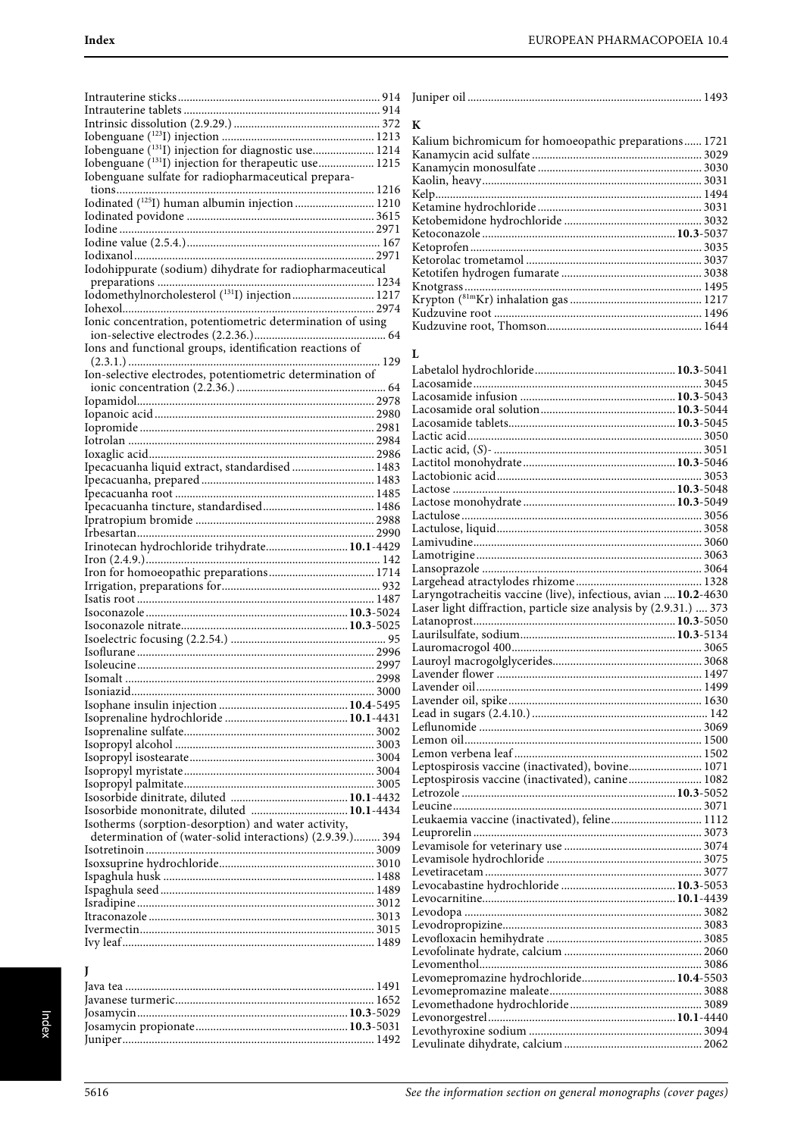| Iobenguane (1311) injection for diagnostic use 1214        |  |
|------------------------------------------------------------|--|
| Iobenguane (131I) injection for therapeutic use 1215       |  |
| Iobenguane sulfate for radiopharmaceutical prepara-        |  |
|                                                            |  |
|                                                            |  |
| Iodinated (125I) human albumin injection  1210             |  |
|                                                            |  |
|                                                            |  |
|                                                            |  |
|                                                            |  |
| Iodohippurate (sodium) dihydrate for radiopharmaceutical   |  |
|                                                            |  |
|                                                            |  |
|                                                            |  |
| Ionic concentration, potentiometric determination of using |  |
|                                                            |  |
| Ions and functional groups, identification reactions of    |  |
|                                                            |  |
| Ion-selective electrodes, potentiometric determination of  |  |
|                                                            |  |
|                                                            |  |
|                                                            |  |
|                                                            |  |
|                                                            |  |
|                                                            |  |
|                                                            |  |
| Ipecacuanha liquid extract, standardised  1483             |  |
|                                                            |  |
|                                                            |  |
|                                                            |  |
|                                                            |  |
|                                                            |  |
|                                                            |  |
| Irinotecan hydrochloride trihydrate 10.1-4429              |  |
|                                                            |  |
|                                                            |  |
|                                                            |  |
|                                                            |  |
|                                                            |  |
|                                                            |  |
|                                                            |  |
|                                                            |  |
|                                                            |  |
| 2998<br>Isomalt                                            |  |
|                                                            |  |
|                                                            |  |
|                                                            |  |
|                                                            |  |
|                                                            |  |
|                                                            |  |
|                                                            |  |
|                                                            |  |
|                                                            |  |
|                                                            |  |
| Isosorbide mononitrate, diluted  10.1-4434                 |  |
| Isotherms (sorption-desorption) and water activity,        |  |
| determination of (water-solid interactions) (2.9.39.) 394  |  |
|                                                            |  |
|                                                            |  |
|                                                            |  |
|                                                            |  |
|                                                            |  |
|                                                            |  |
|                                                            |  |
|                                                            |  |

| K                                                     |  |
|-------------------------------------------------------|--|
| Kalium bichromicum for homoeopathic preparations 1721 |  |
|                                                       |  |
|                                                       |  |
|                                                       |  |
|                                                       |  |
|                                                       |  |
|                                                       |  |
|                                                       |  |
|                                                       |  |
|                                                       |  |
|                                                       |  |
|                                                       |  |
|                                                       |  |
|                                                       |  |
|                                                       |  |

#### $\mathbf{L}$

| Laryngotracheitis vaccine (live), infectious, avian  10.2-4630<br>Laser light diffraction, particle size analysis by (2.9.31.)  373 |  |
|-------------------------------------------------------------------------------------------------------------------------------------|--|
|                                                                                                                                     |  |
|                                                                                                                                     |  |
|                                                                                                                                     |  |
|                                                                                                                                     |  |
|                                                                                                                                     |  |
|                                                                                                                                     |  |
|                                                                                                                                     |  |
|                                                                                                                                     |  |
|                                                                                                                                     |  |
|                                                                                                                                     |  |
|                                                                                                                                     |  |
|                                                                                                                                     |  |
| Leptospirosis vaccine (inactivated), bovine 1071                                                                                    |  |
|                                                                                                                                     |  |
|                                                                                                                                     |  |
|                                                                                                                                     |  |
| Leukaemia vaccine (inactivated), feline 1112                                                                                        |  |
|                                                                                                                                     |  |
|                                                                                                                                     |  |
|                                                                                                                                     |  |
|                                                                                                                                     |  |
|                                                                                                                                     |  |
|                                                                                                                                     |  |
|                                                                                                                                     |  |
|                                                                                                                                     |  |
|                                                                                                                                     |  |
|                                                                                                                                     |  |
|                                                                                                                                     |  |
| Levomepromazine hydrochloride 10.4-5503                                                                                             |  |
|                                                                                                                                     |  |
|                                                                                                                                     |  |
|                                                                                                                                     |  |
|                                                                                                                                     |  |
|                                                                                                                                     |  |

J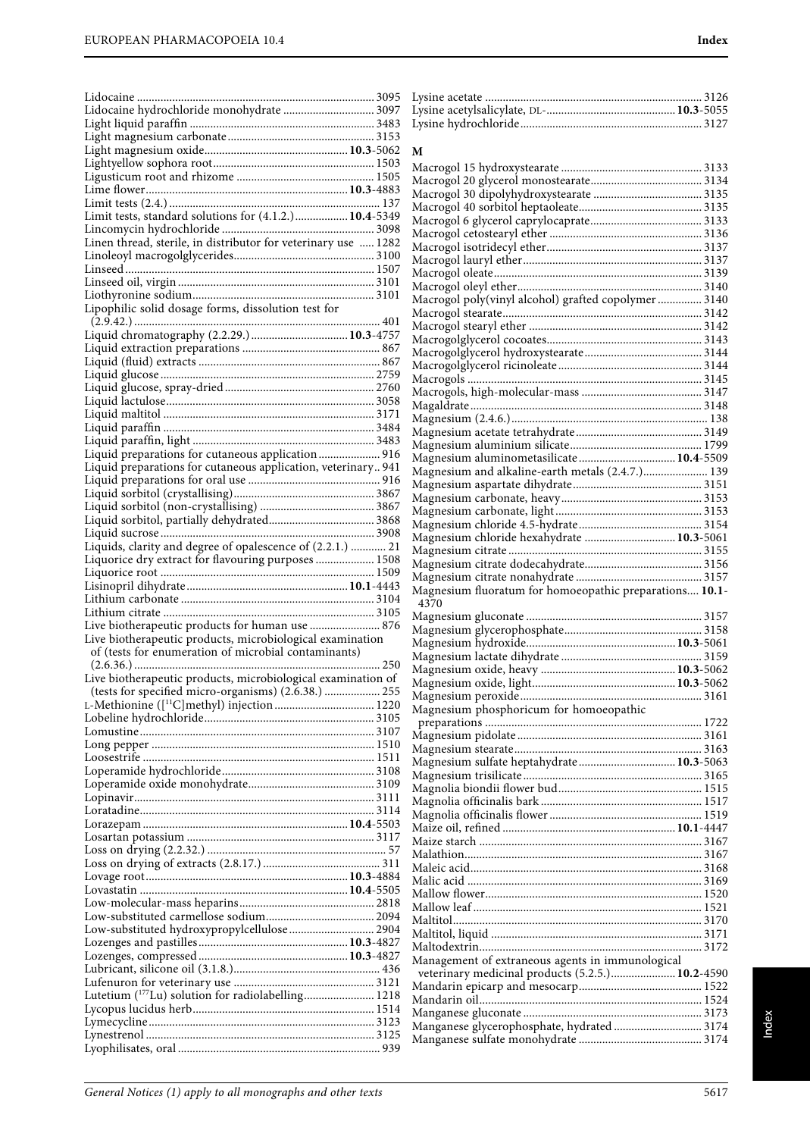| Lidocaine hydrochloride monohydrate  3097                      |  |
|----------------------------------------------------------------|--|
|                                                                |  |
|                                                                |  |
|                                                                |  |
|                                                                |  |
|                                                                |  |
|                                                                |  |
|                                                                |  |
| Limit tests, standard solutions for (4.1.2.) 10.4-5349         |  |
|                                                                |  |
| Linen thread, sterile, in distributor for veterinary use  1282 |  |
|                                                                |  |
|                                                                |  |
|                                                                |  |
|                                                                |  |
| Lipophilic solid dosage forms, dissolution test for            |  |
|                                                                |  |
|                                                                |  |
|                                                                |  |
|                                                                |  |
|                                                                |  |
|                                                                |  |
|                                                                |  |
|                                                                |  |
|                                                                |  |
|                                                                |  |
|                                                                |  |
| Liquid preparations for cutaneous application  916             |  |
| Liquid preparations for cutaneous application, veterinary 941  |  |
|                                                                |  |
|                                                                |  |
|                                                                |  |
|                                                                |  |
|                                                                |  |
| Liquids, clarity and degree of opalescence of (2.2.1.)  21     |  |
| Liquorice dry extract for flavouring purposes  1508            |  |
|                                                                |  |
|                                                                |  |
|                                                                |  |
|                                                                |  |
|                                                                |  |
| Live biotherapeutic products for human use  876                |  |
|                                                                |  |
| Live biotherapeutic products, microbiological examination      |  |
| of (tests for enumeration of microbial contaminants)           |  |
|                                                                |  |
| Live biotherapeutic products, microbiological examination of   |  |
| (tests for specified micro-organisms) (2.6.38.)  255           |  |
|                                                                |  |
|                                                                |  |
|                                                                |  |
|                                                                |  |
|                                                                |  |
|                                                                |  |
|                                                                |  |
|                                                                |  |
|                                                                |  |
|                                                                |  |
|                                                                |  |
|                                                                |  |
|                                                                |  |
|                                                                |  |
|                                                                |  |
|                                                                |  |
|                                                                |  |
| Low-substituted hydroxypropylcellulose 2904                    |  |
|                                                                |  |
|                                                                |  |
|                                                                |  |
|                                                                |  |
| Lutetium ( <sup>177</sup> Lu) solution for radiolabelling 1218 |  |
|                                                                |  |
|                                                                |  |
|                                                                |  |

| М                                                                                                    |
|------------------------------------------------------------------------------------------------------|
|                                                                                                      |
|                                                                                                      |
|                                                                                                      |
|                                                                                                      |
|                                                                                                      |
|                                                                                                      |
|                                                                                                      |
|                                                                                                      |
| Macrogol poly(vinyl alcohol) grafted copolymer  3140                                                 |
|                                                                                                      |
|                                                                                                      |
|                                                                                                      |
|                                                                                                      |
|                                                                                                      |
|                                                                                                      |
|                                                                                                      |
|                                                                                                      |
|                                                                                                      |
| Magnesium aluminometasilicate 10.4-5509                                                              |
| Magnesium and alkaline-earth metals (2.4.7.) 139                                                     |
|                                                                                                      |
|                                                                                                      |
|                                                                                                      |
| Magnesium chloride hexahydrate  10.3-5061                                                            |
|                                                                                                      |
|                                                                                                      |
|                                                                                                      |
| Magnesium fluoratum for homoeopathic preparations 10.1-                                              |
| 4370                                                                                                 |
|                                                                                                      |
|                                                                                                      |
|                                                                                                      |
|                                                                                                      |
|                                                                                                      |
|                                                                                                      |
| Magnesium phosphoricum for homoeopathic                                                              |
|                                                                                                      |
|                                                                                                      |
| Magnesium sulfate heptahydrate 10.3-5063                                                             |
|                                                                                                      |
|                                                                                                      |
|                                                                                                      |
|                                                                                                      |
|                                                                                                      |
|                                                                                                      |
|                                                                                                      |
|                                                                                                      |
|                                                                                                      |
|                                                                                                      |
|                                                                                                      |
|                                                                                                      |
| Management of extraneous agents in immunological<br>veterinary medicinal products (5.2.5.) 10.2-4590 |
|                                                                                                      |
|                                                                                                      |
|                                                                                                      |
| Manganese glycerophosphate, hydrated  3174                                                           |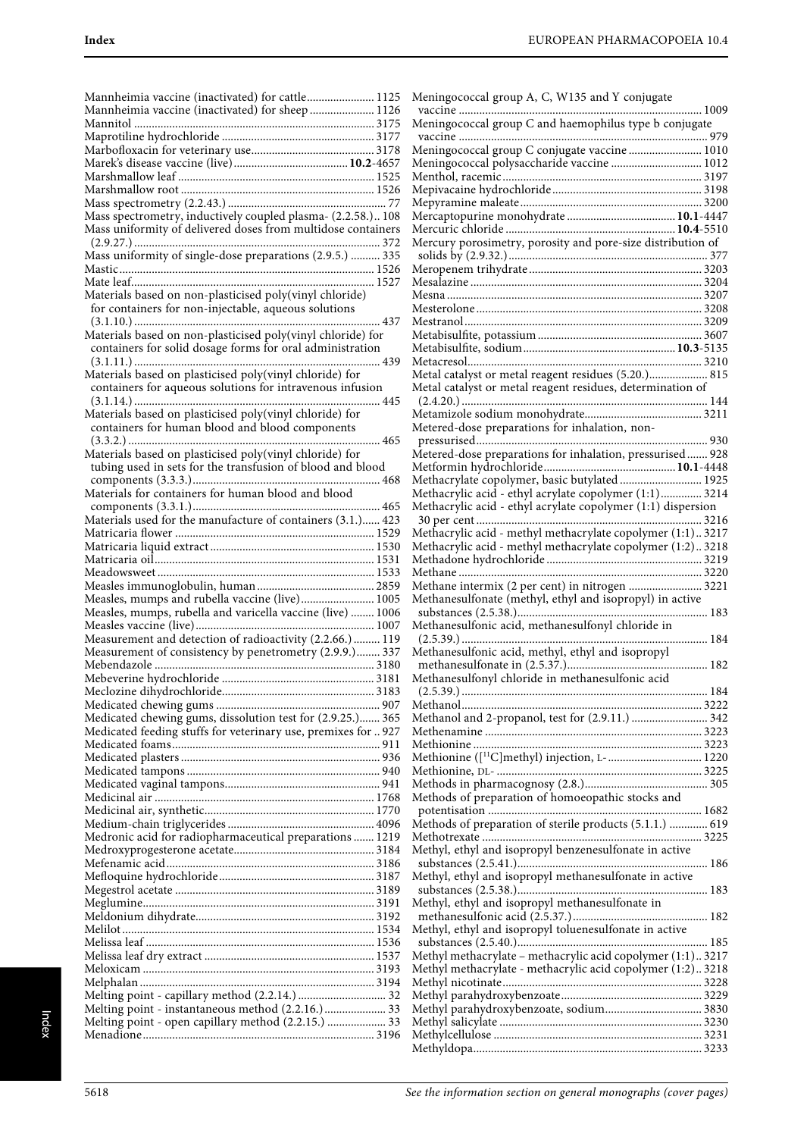| Mannheimia vaccine (inactivated) for cattle 1125               | Menir          |
|----------------------------------------------------------------|----------------|
| Mannheimia vaccine (inactivated) for sheep  1126               | vacci          |
|                                                                | Menir<br>vacci |
|                                                                | Menir          |
|                                                                | Menir          |
|                                                                | Mentl          |
|                                                                | Mepiy          |
|                                                                | Mepy:          |
| Mass spectrometry, inductively coupled plasma- (2.2.58.) 108   | Merca          |
| Mass uniformity of delivered doses from multidose containers   | Mercu<br>Mercu |
| Mass uniformity of single-dose preparations (2.9.5.)  335      | solid          |
|                                                                | Merop          |
|                                                                | Mesal          |
| Materials based on non-plasticised poly(vinyl chloride)        | Mesna          |
| for containers for non-injectable, aqueous solutions           | Meste          |
| 437                                                            | Mestr          |
| Materials based on non-plasticised poly(vinyl chloride) for    | Metab<br>Metab |
| containers for solid dosage forms for oral administration      | Metac          |
| Materials based on plasticised poly(vinyl chloride) for        | Metal          |
| containers for aqueous solutions for intravenous infusion      | Metal          |
| 445                                                            | (2.4.5)        |
| Materials based on plasticised poly(vinyl chloride) for        | Metar          |
| containers for human blood and blood components                | Meter          |
| Materials based on plasticised poly(vinyl chloride) for        | press<br>Meter |
| tubing used in sets for the transfusion of blood and blood     | Metfo          |
|                                                                | Metha          |
| Materials for containers for human blood and blood             | Metha          |
|                                                                | Metha          |
| Materials used for the manufacture of containers (3.1.) 423    | 30 p           |
|                                                                | Metha          |
|                                                                | Metha          |
|                                                                | Metha<br>Metha |
|                                                                | Metha          |
| Measles, mumps and rubella vaccine (live) 1005                 | Metha          |
| Measles, mumps, rubella and varicella vaccine (live)  1006     | subs           |
|                                                                | Metha          |
| Measurement and detection of radioactivity (2.2.66.)  119      | (2.5.          |
| Measurement of consistency by penetrometry (2.9.9.) 337        | Metha<br>meth  |
|                                                                | Metha          |
|                                                                | (2.5.          |
|                                                                | Metha          |
| Medicated chewing gums, dissolution test for (2.9.25.) 365     | Metha          |
| Medicated feeding stuffs for veterinary use, premixes for  927 | Methe          |
|                                                                | Methi          |
|                                                                | Methi<br>Methi |
|                                                                | Metho          |
|                                                                | Metho          |
|                                                                | pote:          |
|                                                                | Metho          |
| Medronic acid for radiopharmaceutical preparations  1219       | Metho          |
|                                                                | Methy          |
|                                                                | subsi<br>Methy |
|                                                                | subsi          |
|                                                                | Methy          |
|                                                                | meth           |
|                                                                | Methy          |
|                                                                | subsi          |
|                                                                | Methy          |
|                                                                | Methy<br>Methy |
|                                                                | Methy          |
|                                                                | Methy          |
| Melting point - open capillary method (2.2.15.)  33            | Methy          |
|                                                                | Methy          |

| Meningococcal group A, C, W135 and Y conjugate                                                                             |
|----------------------------------------------------------------------------------------------------------------------------|
| vaccine<br>1009<br>Meningococcal group C and haemophilus type b conjugate                                                  |
|                                                                                                                            |
| Meningococcal group C conjugate vaccine  1010                                                                              |
| Meningococcal polysaccharide vaccine  1012                                                                                 |
|                                                                                                                            |
|                                                                                                                            |
|                                                                                                                            |
| Mercury porosimetry, porosity and pore-size distribution of                                                                |
|                                                                                                                            |
|                                                                                                                            |
|                                                                                                                            |
|                                                                                                                            |
|                                                                                                                            |
|                                                                                                                            |
|                                                                                                                            |
| Metal catalyst or metal reagent residues (5.20.) 815<br>Metal catalyst or metal reagent residues, determination of         |
|                                                                                                                            |
|                                                                                                                            |
| Metered-dose preparations for inhalation, non-                                                                             |
| Metered-dose preparations for inhalation, pressurised 928                                                                  |
|                                                                                                                            |
| Methacrylate copolymer, basic butylated 1925<br>Methacrylic acid - ethyl acrylate copolymer (1:1) 3214                     |
| Methacrylic acid - ethyl acrylate copolymer (1:1) dispersion                                                               |
|                                                                                                                            |
| Methacrylic acid - methyl methacrylate copolymer (1:1) 3217<br>Methacrylic acid - methyl methacrylate copolymer (1:2) 3218 |
|                                                                                                                            |
|                                                                                                                            |
| Methane intermix (2 per cent) in nitrogen  3221<br>Methanesulfonate (methyl, ethyl and isopropyl) in active                |
|                                                                                                                            |
| Methanesulfonic acid, methanesulfonyl chloride in                                                                          |
| Methanesulfonic acid, methyl, ethyl and isopropyl                                                                          |
|                                                                                                                            |
| Methanesulfonyl chloride in methanesulfonic acid                                                                           |
|                                                                                                                            |
| Methanol and 2-propanol, test for (2.9.11.)  342                                                                           |
|                                                                                                                            |
|                                                                                                                            |
|                                                                                                                            |
| Methods of preparation of homoeopathic stocks and                                                                          |
|                                                                                                                            |
| Methods of preparation of sterile products (5.1.1.)  619                                                                   |
| Methyl, ethyl and isopropyl benzenesulfonate in active                                                                     |
|                                                                                                                            |
| Methyl, ethyl and isopropyl methanesulfonate in active                                                                     |
| Methyl, ethyl and isopropyl methanesulfonate in                                                                            |
|                                                                                                                            |
| Methyl, ethyl and isopropyl toluenesulfonate in active                                                                     |
|                                                                                                                            |
|                                                                                                                            |
| Methyl methacrylate – methacrylic acid copolymer (1:1) 3217                                                                |
| Methyl methacrylate - methacrylic acid copolymer (1:2)3218                                                                 |
|                                                                                                                            |
| Methyl parahydroxybenzoate, sodium 3830                                                                                    |
|                                                                                                                            |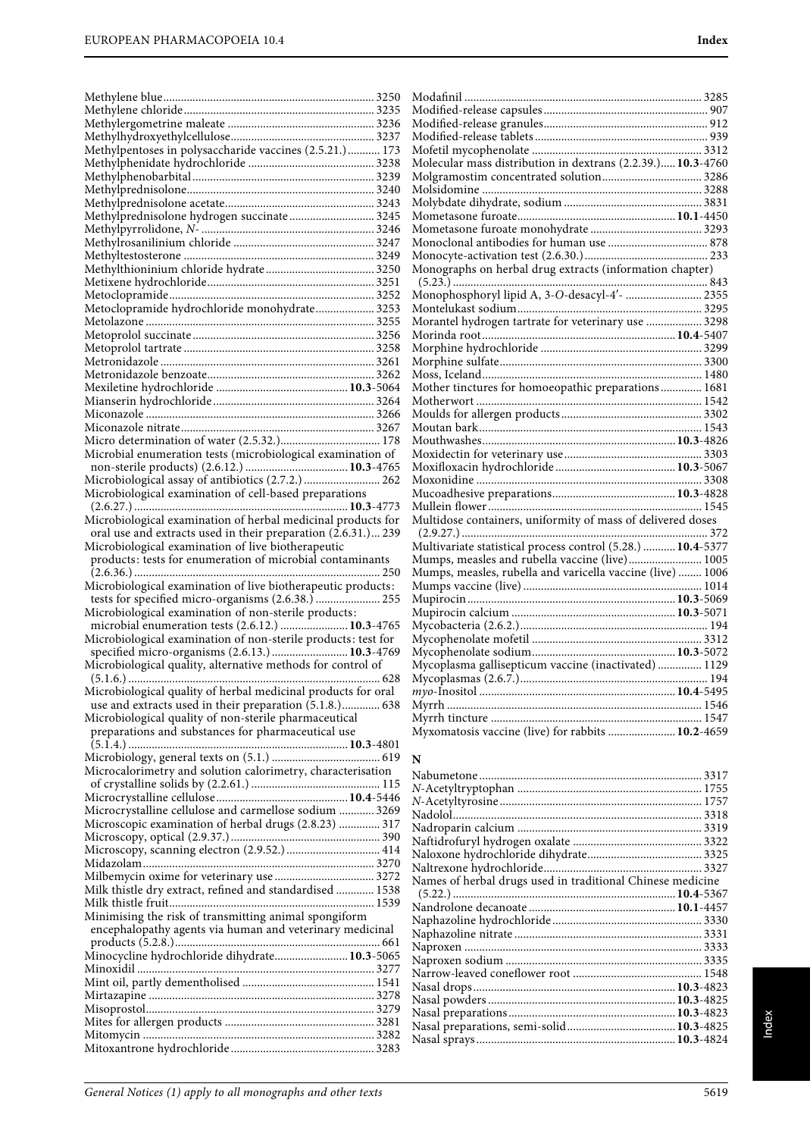|                                                               | M              |
|---------------------------------------------------------------|----------------|
|                                                               | M              |
|                                                               | М              |
|                                                               | М              |
| Methylpentoses in polysaccharide vaccines (2.5.21.) 173       | М              |
|                                                               |                |
|                                                               | М              |
|                                                               | М              |
|                                                               | M              |
|                                                               | M              |
| Methylprednisolone hydrogen succinate 3245                    | М              |
|                                                               | М              |
|                                                               | М              |
|                                                               | М              |
|                                                               | М              |
|                                                               | (              |
|                                                               | M              |
| Metoclopramide hydrochloride monohydrate 3253                 | M              |
|                                                               | М              |
|                                                               | М              |
|                                                               | М              |
|                                                               | M              |
|                                                               | М              |
|                                                               | М              |
|                                                               | M              |
|                                                               | М              |
|                                                               | M              |
|                                                               | М              |
| Microbial enumeration tests (microbiological examination of   |                |
|                                                               | М              |
|                                                               | М              |
| Microbiological assay of antibiotics (2.7.2.)  262            | М              |
| Microbiological examination of cell-based preparations        | Mı             |
|                                                               | M١             |
| Microbiological examination of herbal medicinal products for  | Mı             |
| oral use and extracts used in their preparation (2.6.31.) 239 | $\binom{3}{4}$ |
| Microbiological examination of live biotherapeutic            | M١             |
| products: tests for enumeration of microbial contaminants     | M١             |
|                                                               |                |
|                                                               | Mı             |
|                                                               | M١             |
| Microbiological examination of live biotherapeutic products:  | M١             |
| tests for specified micro-organisms (2.6.38.)  255            |                |
| Microbiological examination of non-sterile products:          | M١             |
| microbial enumeration tests (2.6.12.)  10.3-4765              | M۰             |
| Microbiological examination of non-sterile products: test for | M۰             |
| specified micro-organisms (2.6.13.)  10.3-4769                | M۰             |
| Microbiological quality, alternative methods for control of   | M۰             |
|                                                               | M              |
| Microbiological quality of herbal medicinal products for oral | m              |
| use and extracts used in their preparation (5.1.8.) 638       | M              |
| Microbiological quality of non-sterile pharmaceutical         | M۰             |
| preparations and substances for pharmaceutical use            | M۰             |
|                                                               |                |
|                                                               | N              |
| Microcalorimetry and solution calorimetry, characterisation   | Nε             |
|                                                               | $N-$           |
|                                                               |                |
| Microcrystalline cellulose and carmellose sodium  3269        | $N-$<br>Na     |
| Microscopic examination of herbal drugs (2.8.23)  317         |                |
|                                                               | Na             |
|                                                               | Na             |
|                                                               | Na             |
|                                                               | Na             |
| Milk thistle dry extract, refined and standardised  1538      | Na             |
|                                                               | $\left($       |
|                                                               | Nε             |
| Minimising the risk of transmitting animal spongiform         | Nε             |
| encephalopathy agents via human and veterinary medicinal      | Na             |
|                                                               | Na             |
| Minocycline hydrochloride dihydrate 10.3-5065                 | Na             |
|                                                               | Nε             |
|                                                               | Na             |
|                                                               | Na             |
|                                                               | Nε             |
|                                                               | Na             |
|                                                               | Na             |

| Molecular mass distribution in dextrans (2.2.39.)10.3-4760  |  |
|-------------------------------------------------------------|--|
|                                                             |  |
|                                                             |  |
|                                                             |  |
|                                                             |  |
|                                                             |  |
|                                                             |  |
|                                                             |  |
| Monographs on herbal drug extracts (information chapter)    |  |
|                                                             |  |
|                                                             |  |
|                                                             |  |
|                                                             |  |
|                                                             |  |
|                                                             |  |
|                                                             |  |
|                                                             |  |
| Mother tinctures for homoeopathic preparations 1681         |  |
|                                                             |  |
|                                                             |  |
|                                                             |  |
|                                                             |  |
|                                                             |  |
|                                                             |  |
|                                                             |  |
|                                                             |  |
|                                                             |  |
| Multidose containers, uniformity of mass of delivered doses |  |
|                                                             |  |
| Multivariate statistical process control (5.28.)  10.4-5377 |  |
| Mumps, measles and rubella vaccine (live) 1005              |  |
| Mumps, measles, rubella and varicella vaccine (live)  1006  |  |
|                                                             |  |
|                                                             |  |
|                                                             |  |
|                                                             |  |
|                                                             |  |
|                                                             |  |
|                                                             |  |
|                                                             |  |
|                                                             |  |
|                                                             |  |
|                                                             |  |
| Myxomatosis vaccine (live) for rabbits  10.2-4659           |  |
|                                                             |  |

| Names of herbal drugs used in traditional Chinese medicine |  |
|------------------------------------------------------------|--|
|                                                            |  |
|                                                            |  |
|                                                            |  |
|                                                            |  |
|                                                            |  |
|                                                            |  |
|                                                            |  |
|                                                            |  |
|                                                            |  |
|                                                            |  |
|                                                            |  |
|                                                            |  |
|                                                            |  |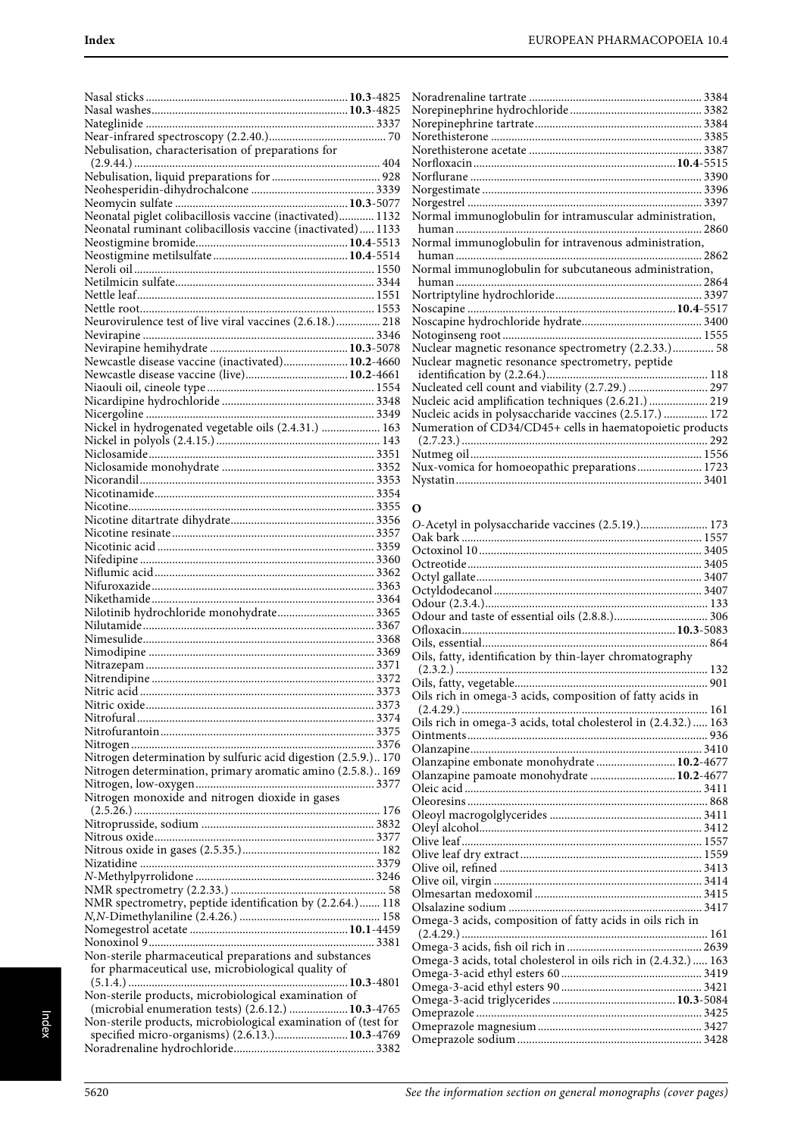| Nebulisation, characterisation of preparations for             |  |
|----------------------------------------------------------------|--|
|                                                                |  |
|                                                                |  |
|                                                                |  |
|                                                                |  |
| Neonatal piglet colibacillosis vaccine (inactivated) 1132      |  |
| Neonatal ruminant colibacillosis vaccine (inactivated) 1133    |  |
|                                                                |  |
|                                                                |  |
|                                                                |  |
|                                                                |  |
|                                                                |  |
| Neurovirulence test of live viral vaccines (2.6.18.) 218       |  |
|                                                                |  |
|                                                                |  |
| Newcastle disease vaccine (inactivated) 10.2-4660              |  |
|                                                                |  |
|                                                                |  |
|                                                                |  |
|                                                                |  |
| Nickel in hydrogenated vegetable oils (2.4.31.)  163           |  |
|                                                                |  |
|                                                                |  |
|                                                                |  |
|                                                                |  |
|                                                                |  |
|                                                                |  |
|                                                                |  |
|                                                                |  |
|                                                                |  |
|                                                                |  |
|                                                                |  |
|                                                                |  |
| Nilotinib hydrochloride monohydrate 3365                       |  |
|                                                                |  |
|                                                                |  |
|                                                                |  |
|                                                                |  |
|                                                                |  |
|                                                                |  |
|                                                                |  |
|                                                                |  |
|                                                                |  |
| Nitrogen determination by sulfuric acid digestion (2.5.9.) 170 |  |
| Nitrogen determination, primary aromatic amino (2.5.8.) 169    |  |
|                                                                |  |
| Nitrogen monoxide and nitrogen dioxide in gases                |  |
|                                                                |  |
|                                                                |  |
|                                                                |  |
|                                                                |  |
|                                                                |  |
|                                                                |  |
|                                                                |  |
| NMR spectrometry, peptide identification by (2.2.64.) 118      |  |
|                                                                |  |
|                                                                |  |
| Non-sterile pharmaceutical preparations and substances         |  |
| for pharmaceutical use, microbiological quality of             |  |
|                                                                |  |
| Non-sterile products, microbiological examination of           |  |
| (microbial enumeration tests) (2.6.12.)  10.3-4765             |  |
| Non-sterile products, microbiological examination of (test for |  |
| specified micro-organisms) (2.6.13.) 10.3-4769                 |  |
|                                                                |  |

| Normal immunoglobulin for intramuscular administration,   |  |
|-----------------------------------------------------------|--|
|                                                           |  |
| Normal immunoglobulin for intravenous administration,     |  |
|                                                           |  |
| Normal immunoglobulin for subcutaneous administration,    |  |
|                                                           |  |
|                                                           |  |
|                                                           |  |
|                                                           |  |
|                                                           |  |
| Nuclear magnetic resonance spectrometry (2.2.33.) 58      |  |
| Nuclear magnetic resonance spectrometry, peptide          |  |
|                                                           |  |
| Nucleated cell count and viability (2.7.29.)  297         |  |
| Nucleic acid amplification techniques (2.6.21.)  219      |  |
| Nucleic acids in polysaccharide vaccines (2.5.17.)  172   |  |
| Numeration of CD34/CD45+ cells in haematopoietic products |  |
|                                                           |  |
|                                                           |  |
| Nux-vomica for homoeopathic preparations 1723             |  |
|                                                           |  |

#### **O**

| O-Acetyl in polysaccharide vaccines (2.5.19.) 173               |
|-----------------------------------------------------------------|
|                                                                 |
|                                                                 |
|                                                                 |
|                                                                 |
|                                                                 |
|                                                                 |
|                                                                 |
|                                                                 |
|                                                                 |
| Oils, fatty, identification by thin-layer chromatography        |
|                                                                 |
|                                                                 |
| Oils rich in omega-3 acids, composition of fatty acids in       |
|                                                                 |
| Oils rich in omega-3 acids, total cholesterol in (2.4.32.)  163 |
|                                                                 |
|                                                                 |
| Olanzapine embonate monohydrate  10.2-4677                      |
| Olanzapine pamoate monohydrate  10.2-4677                       |
|                                                                 |
|                                                                 |
|                                                                 |
|                                                                 |
|                                                                 |
|                                                                 |
|                                                                 |
|                                                                 |
|                                                                 |
|                                                                 |
| Omega-3 acids, composition of fatty acids in oils rich in       |
|                                                                 |
|                                                                 |
| Omega-3 acids, total cholesterol in oils rich in (2.4.32.)  163 |
|                                                                 |
|                                                                 |
|                                                                 |
|                                                                 |
|                                                                 |
|                                                                 |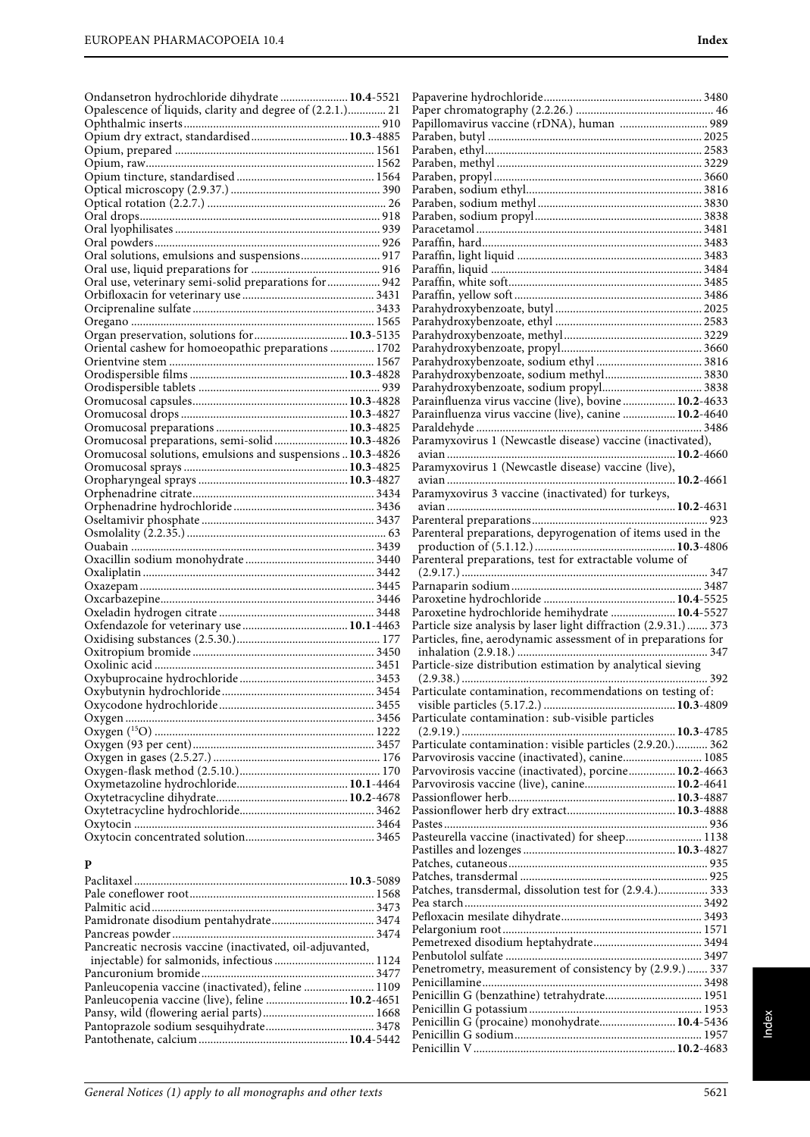| Ondansetron hydrochloride dihydrate  10.4-5521             |                                                                  |
|------------------------------------------------------------|------------------------------------------------------------------|
| Opalescence of liquids, clarity and degree of (2.2.1.) 21  | Papillomavirus vaccine (rDNA), human  989                        |
|                                                            |                                                                  |
|                                                            |                                                                  |
|                                                            |                                                                  |
|                                                            |                                                                  |
|                                                            |                                                                  |
|                                                            |                                                                  |
|                                                            |                                                                  |
|                                                            |                                                                  |
|                                                            |                                                                  |
| Oral solutions, emulsions and suspensions 917              |                                                                  |
| Oral use, veterinary semi-solid preparations for  942      |                                                                  |
|                                                            |                                                                  |
|                                                            |                                                                  |
|                                                            |                                                                  |
| Organ preservation, solutions for  10.3-5135               |                                                                  |
| Oriental cashew for homoeopathic preparations  1702        |                                                                  |
|                                                            |                                                                  |
|                                                            |                                                                  |
|                                                            |                                                                  |
|                                                            | Parainfluenza virus vaccine (live), bovine  10.2-4633            |
|                                                            | Parainfluenza virus vaccine (live), canine  10.2-4640            |
| Oromucosal preparations, semi-solid 10.3-4826              | Paramyxovirus 1 (Newcastle disease) vaccine (inactivated),       |
| Oromucosal solutions, emulsions and suspensions  10.3-4826 |                                                                  |
|                                                            | Paramyxovirus 1 (Newcastle disease) vaccine (live),              |
|                                                            |                                                                  |
|                                                            | Paramyxovirus 3 vaccine (inactivated) for turkeys,               |
|                                                            |                                                                  |
|                                                            |                                                                  |
|                                                            | Parenteral preparations, depyrogenation of items used in the     |
|                                                            |                                                                  |
|                                                            | Parenteral preparations, test for extractable volume of          |
|                                                            |                                                                  |
|                                                            |                                                                  |
|                                                            | Paroxetine hydrochloride hemihydrate  10.4-5527                  |
|                                                            | Particle size analysis by laser light diffraction (2.9.31.)  373 |
|                                                            | Particles, fine, aerodynamic assessment of in preparations for   |
|                                                            |                                                                  |
|                                                            | Particle-size distribution estimation by analytical sieving      |
|                                                            |                                                                  |
|                                                            | Particulate contamination, recommendations on testing of:        |
|                                                            |                                                                  |
|                                                            | Particulate contamination: sub-visible particles                 |
|                                                            | Particulate contamination: visible particles (2.9.20.) 362       |
|                                                            | Parvovirosis vaccine (inactivated), canine 1085                  |
|                                                            | Parvovirosis vaccine (inactivated), porcine 10.2-4663            |
|                                                            | Parvovirosis vaccine (live), canine 10.2-4641                    |
|                                                            |                                                                  |
|                                                            |                                                                  |
|                                                            |                                                                  |
|                                                            | Pasteurella vaccine (inactivated) for sheep 1138                 |
|                                                            |                                                                  |
| P                                                          |                                                                  |
|                                                            | Patches, transdermal, dissolution test for (2.9.4.) 333          |
|                                                            |                                                                  |
|                                                            |                                                                  |
|                                                            |                                                                  |
| Pancreatic necrosis vaccine (inactivated, oil-adjuvanted,  |                                                                  |
|                                                            |                                                                  |
|                                                            | Penetrometry, measurement of consistency by (2.9.9.)  337        |
| Panleucopenia vaccine (inactivated), feline  1109          |                                                                  |
| Panleucopenia vaccine (live), feline  10.2-4651            |                                                                  |
|                                                            | Penicillin G (procaine) monohydrate 10.4-5436                    |
| $104 - 5442$<br>Pantothenate calcium                       |                                                                  |
|                                                            |                                                                  |

Pantothenate, calcium ...................................................**10.4**-5442

Penicillin V.....................................................................**10.2**-4683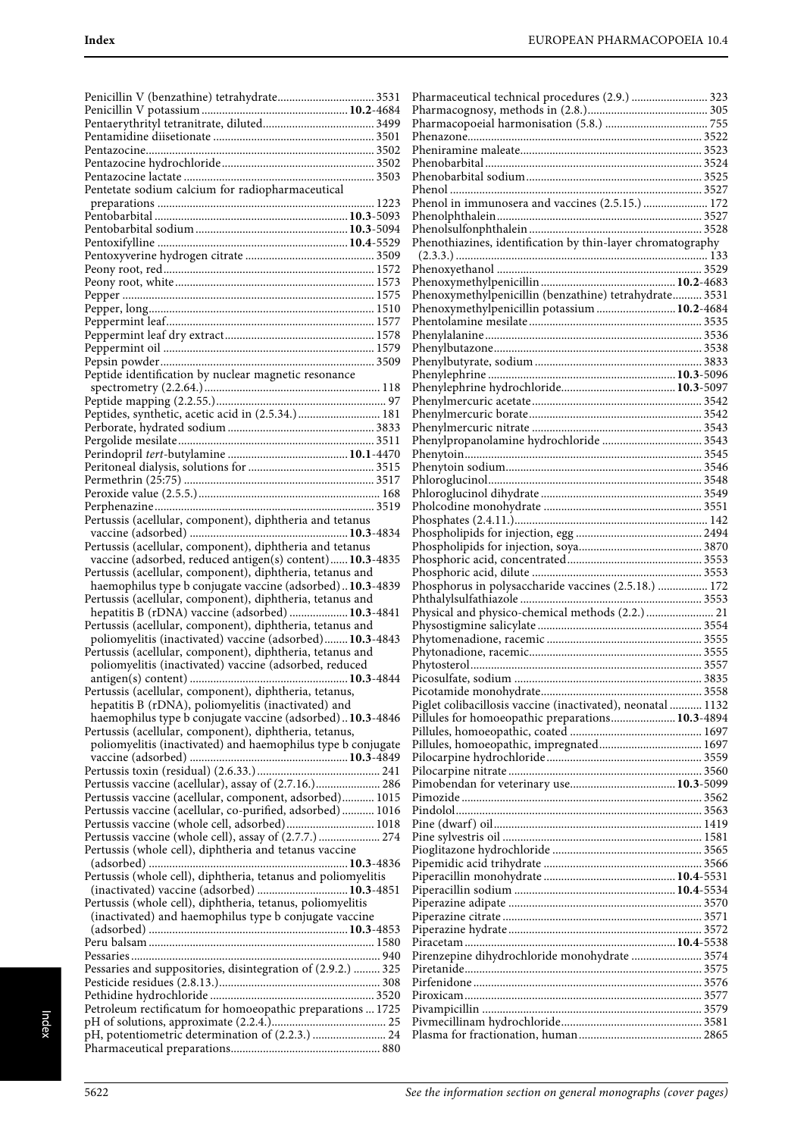| Pentetate sodium calcium for radiopharmaceutical              |
|---------------------------------------------------------------|
|                                                               |
|                                                               |
|                                                               |
|                                                               |
|                                                               |
|                                                               |
|                                                               |
|                                                               |
|                                                               |
|                                                               |
|                                                               |
|                                                               |
|                                                               |
|                                                               |
|                                                               |
|                                                               |
|                                                               |
|                                                               |
| Peptide identification by nuclear magnetic resonance          |
|                                                               |
|                                                               |
|                                                               |
| Peptides, synthetic, acetic acid in (2.5.34.)  181            |
|                                                               |
|                                                               |
|                                                               |
|                                                               |
|                                                               |
|                                                               |
|                                                               |
|                                                               |
|                                                               |
|                                                               |
| Pertussis (acellular, component), diphtheria and tetanus      |
|                                                               |
| Pertussis (acellular, component), diphtheria and tetanus      |
|                                                               |
| vaccine (adsorbed, reduced antigen(s) content)10.3-4835       |
| Pertussis (acellular, component), diphtheria, tetanus and     |
| haemophilus type b conjugate vaccine (adsorbed)10.3-4839      |
|                                                               |
| Pertussis (acellular, component), diphtheria, tetanus and     |
| hepatitis B (rDNA) vaccine (adsorbed)  10.3-4841              |
| Pertussis (acellular, component), diphtheria, tetanus and     |
|                                                               |
| poliomyelitis (inactivated) vaccine (adsorbed) 10.3-4843      |
| Pertussis (acellular, component), diphtheria, tetanus and     |
| poliomyelitis (inactivated) vaccine (adsorbed, reduced        |
| antigen(s) content)<br>10.3-4844                              |
|                                                               |
| Pertussis (acellular, component), diphtheria, tetanus,        |
| hepatitis B (rDNA), poliomyelitis (inactivated) and           |
| haemophilus type b conjugate vaccine (adsorbed)10.3-4846      |
|                                                               |
| Pertussis (acellular, component), diphtheria, tetanus,        |
| poliomyelitis (inactivated) and haemophilus type b conjugate  |
|                                                               |
|                                                               |
|                                                               |
| Pertussis vaccine (acellular), assay of (2.7.16.) 286         |
| Pertussis vaccine (acellular, component, adsorbed) 1015       |
|                                                               |
| Pertussis vaccine (acellular, co-purified, adsorbed) 1016     |
|                                                               |
|                                                               |
| Pertussis vaccine (whole cell, adsorbed) 1018                 |
| Pertussis vaccine (whole cell), assay of (2.7.7.)  274        |
| Pertussis (whole cell), diphtheria and tetanus vaccine        |
|                                                               |
|                                                               |
| Pertussis (whole cell), diphtheria, tetanus and poliomyelitis |
| (inactivated) vaccine (adsorbed)  10.3-4851                   |
|                                                               |
| Pertussis (whole cell), diphtheria, tetanus, poliomyelitis    |
| (inactivated) and haemophilus type b conjugate vaccine        |
|                                                               |
|                                                               |
|                                                               |
|                                                               |
| Pessaries and suppositories, disintegration of (2.9.2.)  325  |
|                                                               |
|                                                               |
|                                                               |
| Petroleum rectificatum for homoeopathic preparations  1725    |
|                                                               |
| I                                                             |
| pH, potentiometric determination of (2.2.3.)  24              |

| Pharmaceutical technical procedures (2.9.)  323             |  |
|-------------------------------------------------------------|--|
|                                                             |  |
|                                                             |  |
|                                                             |  |
|                                                             |  |
|                                                             |  |
|                                                             |  |
|                                                             |  |
| Phenol in immunosera and vaccines (2.5.15.)  172            |  |
|                                                             |  |
|                                                             |  |
|                                                             |  |
| Phenothiazines, identification by thin-layer chromatography |  |
|                                                             |  |
|                                                             |  |
|                                                             |  |
| Phenoxymethylpenicillin (benzathine) tetrahydrate 3531      |  |
| Phenoxymethylpenicillin potassium  10.2-4684                |  |
|                                                             |  |
|                                                             |  |
|                                                             |  |
|                                                             |  |
|                                                             |  |
|                                                             |  |
|                                                             |  |
|                                                             |  |
|                                                             |  |
|                                                             |  |
|                                                             |  |
|                                                             |  |
|                                                             |  |
|                                                             |  |
|                                                             |  |
|                                                             |  |
|                                                             |  |
|                                                             |  |
|                                                             |  |
|                                                             |  |
|                                                             |  |
| Phosphorus in polysaccharide vaccines (2.5.18.)  172        |  |
|                                                             |  |
| Physical and physico-chemical methods (2.2.)  21            |  |
|                                                             |  |
|                                                             |  |
|                                                             |  |
|                                                             |  |
|                                                             |  |
|                                                             |  |
| Piglet colibacillosis vaccine (inactivated), neonatal  1132 |  |
| Pillules for homoeopathic preparations 10.3-4894            |  |
|                                                             |  |
|                                                             |  |
|                                                             |  |
|                                                             |  |
|                                                             |  |
|                                                             |  |
|                                                             |  |
|                                                             |  |
|                                                             |  |
|                                                             |  |
|                                                             |  |
|                                                             |  |
|                                                             |  |
|                                                             |  |
|                                                             |  |
|                                                             |  |
|                                                             |  |
| Pirenzepine dihydrochloride monohydrate  3574               |  |
|                                                             |  |
|                                                             |  |
|                                                             |  |
|                                                             |  |
|                                                             |  |
|                                                             |  |
|                                                             |  |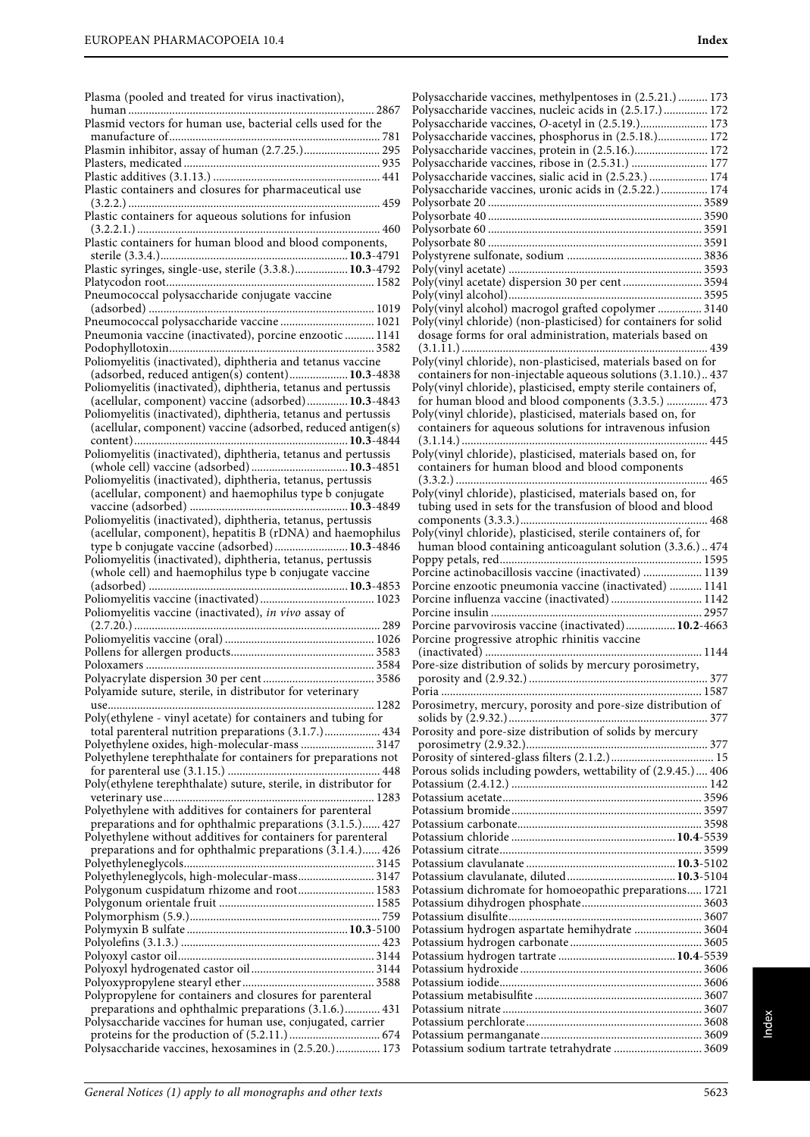| Plasma (pooled and treated for virus inactivation),                                                                       | P                                 |
|---------------------------------------------------------------------------------------------------------------------------|-----------------------------------|
| Plasmid vectors for human use, bacterial cells used for the                                                               | P<br>P                            |
|                                                                                                                           | P                                 |
| Plasmin inhibitor, assay of human (2.7.25.) 295                                                                           | P                                 |
|                                                                                                                           | P <sub>0</sub>                    |
|                                                                                                                           | P <sub>0</sub><br>P               |
| Plastic containers and closures for pharmaceutical use                                                                    | P                                 |
| Plastic containers for aqueous solutions for infusion                                                                     | P                                 |
|                                                                                                                           | P                                 |
| Plastic containers for human blood and blood components,                                                                  | P                                 |
| Plastic syringes, single-use, sterile (3.3.8.) 10.3-4792                                                                  | P<br>P                            |
|                                                                                                                           | P                                 |
| Pneumococcal polysaccharide conjugate vaccine                                                                             | P                                 |
| Pneumococcal polysaccharide vaccine  1021                                                                                 | P                                 |
| Pneumonia vaccine (inactivated), porcine enzootic  1141                                                                   | P<br>$\mathbf \zeta$              |
|                                                                                                                           | (                                 |
| Poliomyelitis (inactivated), diphtheria and tetanus vaccine                                                               | P                                 |
| (adsorbed, reduced antigen(s) content) 10.3-4838                                                                          | $\mathbf \zeta$                   |
| Poliomyelitis (inactivated), diphtheria, tetanus and pertussis<br>(acellular, component) vaccine (adsorbed) 10.3-4843     | P<br>t                            |
| Poliomyelitis (inactivated), diphtheria, tetanus and pertussis                                                            | P                                 |
| (acellular, component) vaccine (adsorbed, reduced antigen(s)                                                              | $\mathbf \zeta$                   |
| Poliomyelitis (inactivated), diphtheria, tetanus and pertussis                                                            |                                   |
| (whole cell) vaccine (adsorbed) 10.3-4851                                                                                 | P <sub>0</sub><br>$\mathbf \zeta$ |
| Poliomyelitis (inactivated), diphtheria, tetanus, pertussis                                                               |                                   |
| (acellular, component) and haemophilus type b conjugate                                                                   | P <sub>0</sub>                    |
|                                                                                                                           | t                                 |
| Poliomyelitis (inactivated), diphtheria, tetanus, pertussis<br>(acellular, component), hepatitis B (rDNA) and haemophilus | P <sub>0</sub>                    |
| type b conjugate vaccine (adsorbed) 10.3-4846                                                                             | ł                                 |
| Poliomyelitis (inactivated), diphtheria, tetanus, pertussis                                                               | P                                 |
| (whole cell) and haemophilus type b conjugate vaccine                                                                     | P                                 |
|                                                                                                                           | P<br>P                            |
| Poliomyelitis vaccine (inactivated), in vivo assay of                                                                     | P                                 |
|                                                                                                                           | P                                 |
|                                                                                                                           | P                                 |
|                                                                                                                           | (<br>P <sub>0</sub>               |
|                                                                                                                           | ı                                 |
| Polyamide suture, sterile, in distributor for veterinary                                                                  | P <sub>0</sub>                    |
| Poly(ethylene - vinyl acetate) for containers and tubing for                                                              | P                                 |
| total parenteral nutrition preparations (3.1.7.) 434                                                                      | S<br>P                            |
| Polyethylene oxides, high-molecular-mass  3147                                                                            | l                                 |
| Polyethylene terephthalate for containers for preparations not                                                            | P                                 |
| Poly(ethylene terephthalate) suture, sterile, in distributor for                                                          | P<br>P <sub>0</sub>               |
|                                                                                                                           | P                                 |
| Polyethylene with additives for containers for parenteral                                                                 | P                                 |
| preparations and for ophthalmic preparations (3.1.5.) 427                                                                 | P                                 |
| Polyethylene without additives for containers for parenteral<br>preparations and for ophthalmic preparations (3.1.4.) 426 | P<br>P                            |
|                                                                                                                           | P                                 |
| Polyethyleneglycols, high-molecular-mass 3147                                                                             | P                                 |
| Polygonum cuspidatum rhizome and root 1583                                                                                | P                                 |
|                                                                                                                           | P<br>P                            |
|                                                                                                                           | P                                 |
|                                                                                                                           | P                                 |
|                                                                                                                           | P                                 |
|                                                                                                                           | P<br>P                            |
| Polypropylene for containers and closures for parenteral                                                                  | P                                 |
| preparations and ophthalmic preparations (3.1.6.) 431                                                                     | P                                 |
| Polysaccharide vaccines for human use, conjugated, carrier                                                                | P<br>P                            |
|                                                                                                                           |                                   |
| Polysaccharide vaccines, hexosamines in (2.5.20.) 173                                                                     | P                                 |

| Polysaccharide vaccines, methylpentoses in (2.5.21.) 173                                                                    |
|-----------------------------------------------------------------------------------------------------------------------------|
| Polysaccharide vaccines, nucleic acids in (2.5.17.) 172<br>Polysaccharide vaccines, O-acetyl in (2.5.19.) 173               |
| Polysaccharide vaccines, phosphorus in (2.5.18.) 172                                                                        |
| Polysaccharide vaccines, protein in (2.5.16.) 172                                                                           |
| Polysaccharide vaccines, ribose in (2.5.31.)  177                                                                           |
| Polysaccharide vaccines, sialic acid in (2.5.23.)  174                                                                      |
| Polysaccharide vaccines, uronic acids in (2.5.22.) 174                                                                      |
|                                                                                                                             |
|                                                                                                                             |
|                                                                                                                             |
|                                                                                                                             |
|                                                                                                                             |
| Poly(vinyl acetate) dispersion 30 per cent 3594                                                                             |
|                                                                                                                             |
| Poly(vinyl alcohol) macrogol grafted copolymer  3140                                                                        |
| Poly(vinyl chloride) (non-plasticised) for containers for solid<br>dosage forms for oral administration, materials based on |
|                                                                                                                             |
| Poly(vinyl chloride), non-plasticised, materials based on for                                                               |
| containers for non-injectable aqueous solutions (3.1.10.) 437                                                               |
| Poly(vinyl chloride), plasticised, empty sterile containers of,                                                             |
| for human blood and blood components (3.3.5.)  473                                                                          |
| Poly(vinyl chloride), plasticised, materials based on, for                                                                  |
| containers for aqueous solutions for intravenous infusion                                                                   |
| Poly(vinyl chloride), plasticised, materials based on, for                                                                  |
| containers for human blood and blood components                                                                             |
|                                                                                                                             |
| Poly(vinyl chloride), plasticised, materials based on, for                                                                  |
| tubing used in sets for the transfusion of blood and blood                                                                  |
|                                                                                                                             |
| Poly(vinyl chloride), plasticised, sterile containers of, for                                                               |
| human blood containing anticoagulant solution (3.3.6.) 474                                                                  |
|                                                                                                                             |
|                                                                                                                             |
| Porcine actinobacillosis vaccine (inactivated)  1139                                                                        |
| Porcine enzootic pneumonia vaccine (inactivated)  1141<br>Porcine influenza vaccine (inactivated) 1142                      |
|                                                                                                                             |
| Porcine parvovirosis vaccine (inactivated) 10.2-4663                                                                        |
| Porcine progressive atrophic rhinitis vaccine                                                                               |
|                                                                                                                             |
| Pore-size distribution of solids by mercury porosimetry,                                                                    |
|                                                                                                                             |
| Porosimetry, mercury, porosity and pore-size distribution of                                                                |
|                                                                                                                             |
| Porosity and pore-size distribution of solids by mercury                                                                    |
|                                                                                                                             |
|                                                                                                                             |
| Porous solids including powders, wettability of (2.9.45.) 406                                                               |
|                                                                                                                             |
|                                                                                                                             |
|                                                                                                                             |
|                                                                                                                             |
|                                                                                                                             |
|                                                                                                                             |
|                                                                                                                             |
| Potassium dichromate for homoeopathic preparations 1721                                                                     |
|                                                                                                                             |
| Potassium hydrogen aspartate hemihydrate  3604                                                                              |
|                                                                                                                             |
|                                                                                                                             |
|                                                                                                                             |
|                                                                                                                             |
|                                                                                                                             |
|                                                                                                                             |
| Potassium sodium tartrate tetrahydrate  3609                                                                                |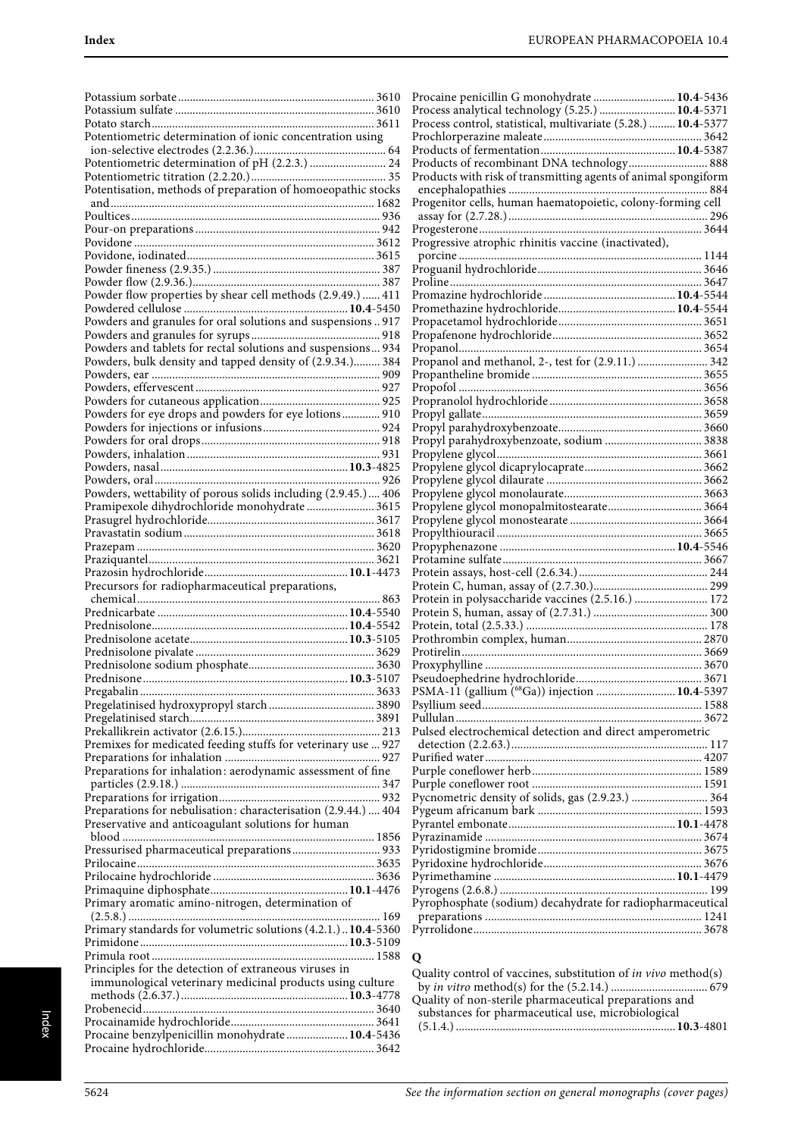| Potentiometric determination of ionic concentration using      |  |
|----------------------------------------------------------------|--|
|                                                                |  |
| Potentiometric determination of pH (2.2.3.)  24                |  |
|                                                                |  |
| Potentisation, methods of preparation of homoeopathic stocks   |  |
|                                                                |  |
|                                                                |  |
|                                                                |  |
|                                                                |  |
|                                                                |  |
|                                                                |  |
|                                                                |  |
| Powder flow properties by shear cell methods (2.9.49.)  411    |  |
|                                                                |  |
| Powders and granules for oral solutions and suspensions  917   |  |
|                                                                |  |
| Powders and tablets for rectal solutions and suspensions 934   |  |
| Powders, bulk density and tapped density of (2.9.34.) 384      |  |
|                                                                |  |
|                                                                |  |
|                                                                |  |
|                                                                |  |
|                                                                |  |
|                                                                |  |
|                                                                |  |
|                                                                |  |
|                                                                |  |
| Powders, wettability of porous solids including (2.9.45.) 406  |  |
|                                                                |  |
|                                                                |  |
|                                                                |  |
|                                                                |  |
|                                                                |  |
|                                                                |  |
| Precursors for radiopharmaceutical preparations,               |  |
|                                                                |  |
|                                                                |  |
|                                                                |  |
|                                                                |  |
|                                                                |  |
|                                                                |  |
| Prednisone<br>10.3-5107                                        |  |
|                                                                |  |
|                                                                |  |
|                                                                |  |
|                                                                |  |
|                                                                |  |
|                                                                |  |
| Premixes for medicated feeding stuffs for veterinary use  927  |  |
|                                                                |  |
| Preparations for inhalation: aerodynamic assessment of fine    |  |
|                                                                |  |
|                                                                |  |
| Preparations for nebulisation: characterisation (2.9.44.)  404 |  |
| Preservative and anticoagulant solutions for human             |  |
| Pressurised pharmaceutical preparations 933                    |  |
|                                                                |  |
|                                                                |  |
|                                                                |  |
| Primary aromatic amino-nitrogen, determination of              |  |
|                                                                |  |
| Primary standards for volumetric solutions (4.2.1.)  10.4-5360 |  |
|                                                                |  |
|                                                                |  |
| Principles for the detection of extraneous viruses in          |  |
| immunological veterinary medicinal products using culture      |  |
|                                                                |  |
|                                                                |  |
|                                                                |  |
| Procaine benzylpenicillin monohydrate 10.4-5436                |  |

| Procaine penicillin G monohydrate  10.4-5436                   |  |
|----------------------------------------------------------------|--|
| Process analytical technology (5.25.)  10.4-5371               |  |
| Process control, statistical, multivariate (5.28.)  10.4-5377  |  |
|                                                                |  |
|                                                                |  |
| Products of recombinant DNA technology 888                     |  |
| Products with risk of transmitting agents of animal spongiform |  |
|                                                                |  |
|                                                                |  |
|                                                                |  |
|                                                                |  |
| Progressive atrophic rhinitis vaccine (inactivated),           |  |
|                                                                |  |
|                                                                |  |
|                                                                |  |
|                                                                |  |
|                                                                |  |
|                                                                |  |
|                                                                |  |
|                                                                |  |
|                                                                |  |
|                                                                |  |
|                                                                |  |
|                                                                |  |
|                                                                |  |
| Propyl parahydroxybenzoate, sodium  3838                       |  |
|                                                                |  |
|                                                                |  |
|                                                                |  |
|                                                                |  |
|                                                                |  |
|                                                                |  |
|                                                                |  |
|                                                                |  |
|                                                                |  |
|                                                                |  |
|                                                                |  |
|                                                                |  |
| Protein in polysaccharide vaccines (2.5.16.)  172              |  |
|                                                                |  |
|                                                                |  |
|                                                                |  |
|                                                                |  |
|                                                                |  |
|                                                                |  |
|                                                                |  |
|                                                                |  |
|                                                                |  |
|                                                                |  |
| Pulsed electrochemical detection and direct amperometric       |  |
|                                                                |  |
|                                                                |  |
| Pycnometric density of solids, gas (2.9.23.)  364              |  |
|                                                                |  |
|                                                                |  |
|                                                                |  |
|                                                                |  |
|                                                                |  |
|                                                                |  |
|                                                                |  |
| Pyrophosphate (sodium) decahydrate for radiopharmaceutical     |  |
|                                                                |  |
|                                                                |  |

# **Q**

Quality control of vaccines, substitution of in vivo method(s) by in vitro method(s) for the (5.2.14.) ................................. 679 Quality of non-sterile pharmaceutical preparations and substances for pharmaceutical use, microbiological (5.1.4.) ...........................................................................**10.3**-4801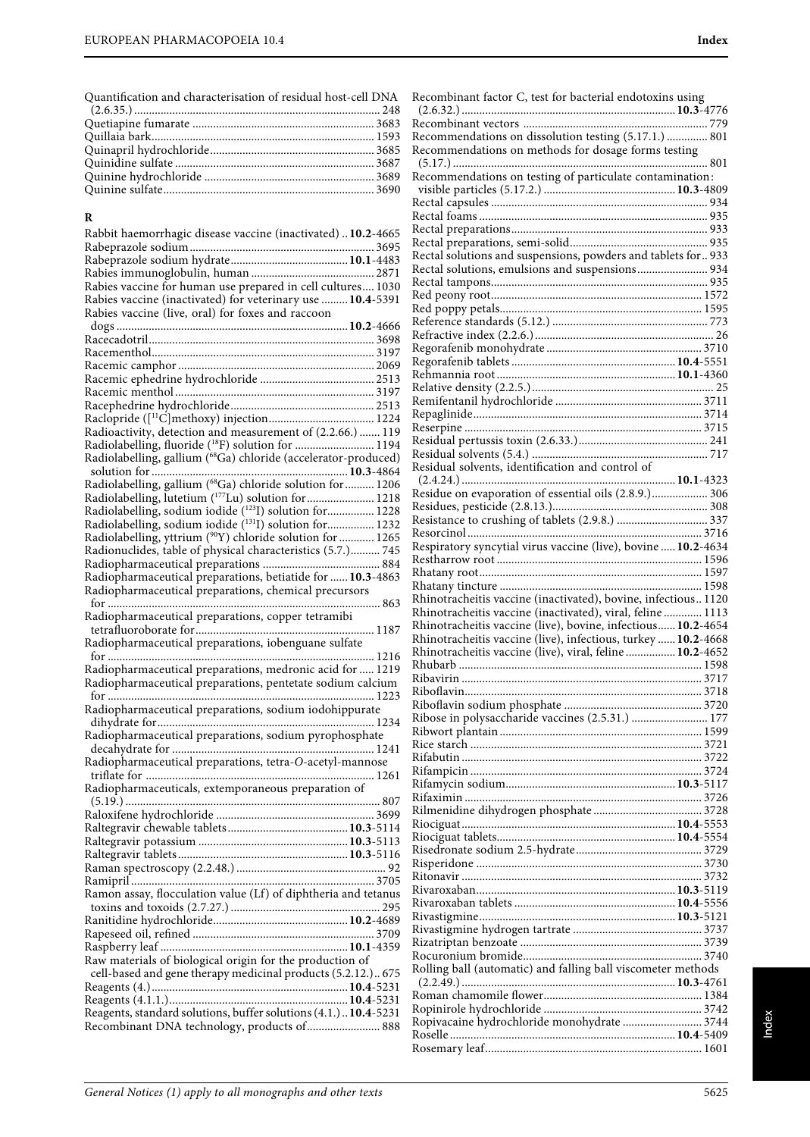Quantification and characterisation of residual host-cell DNA

## **R**

| Rabbit haemorrhagic disease vaccine (inactivated)  10.2-4665                                                             |  |
|--------------------------------------------------------------------------------------------------------------------------|--|
|                                                                                                                          |  |
|                                                                                                                          |  |
|                                                                                                                          |  |
| Rabies vaccine for human use prepared in cell cultures 1030                                                              |  |
| Rabies vaccine (inactivated) for veterinary use  10.4-5391                                                               |  |
| Rabies vaccine (live, oral) for foxes and raccoon                                                                        |  |
|                                                                                                                          |  |
|                                                                                                                          |  |
|                                                                                                                          |  |
|                                                                                                                          |  |
|                                                                                                                          |  |
|                                                                                                                          |  |
|                                                                                                                          |  |
| Radioactivity, detection and measurement of (2.2.66.)  119                                                               |  |
| Radiolabelling, fluoride (18F) solution for  1194                                                                        |  |
| Radiolabelling, gallium (68Ga) chloride (accelerator-produced)                                                           |  |
|                                                                                                                          |  |
| Radiolabelling, gallium (68Ga) chloride solution for  1206                                                               |  |
| Radiolabelling, lutetium (177Lu) solution for  1218                                                                      |  |
| Radiolabelling, sodium iodide (123I) solution for  1228                                                                  |  |
| Radiolabelling, sodium iodide (131 I) solution for 1232                                                                  |  |
| Radiolabelling, yttrium (90Y) chloride solution for  1265<br>Radionuclides, table of physical characteristics (5.7.) 745 |  |
|                                                                                                                          |  |
| Radiopharmaceutical preparations, betiatide for  10.3-4863                                                               |  |
| Radiopharmaceutical preparations, chemical precursors                                                                    |  |
|                                                                                                                          |  |
| Radiopharmaceutical preparations, copper tetramibi                                                                       |  |
|                                                                                                                          |  |
| Radiopharmaceutical preparations, iobenguane sulfate                                                                     |  |
|                                                                                                                          |  |
| Radiopharmaceutical preparations, medronic acid for  1219                                                                |  |
| Radiopharmaceutical preparations, pentetate sodium calcium                                                               |  |
|                                                                                                                          |  |
| Radiopharmaceutical preparations, sodium iodohippurate                                                                   |  |
| Radiopharmaceutical preparations, sodium pyrophosphate                                                                   |  |
|                                                                                                                          |  |
| Radiopharmaceutical preparations, tetra-O-acetyl-mannose                                                                 |  |
|                                                                                                                          |  |
| Radiopharmaceuticals, extemporaneous preparation of                                                                      |  |
|                                                                                                                          |  |
|                                                                                                                          |  |
|                                                                                                                          |  |
|                                                                                                                          |  |
|                                                                                                                          |  |
|                                                                                                                          |  |
| Ramon assay, flocculation value (Lf) of diphtheria and tetanus                                                           |  |
|                                                                                                                          |  |
|                                                                                                                          |  |
|                                                                                                                          |  |
|                                                                                                                          |  |
| Raw materials of biological origin for the production of                                                                 |  |
| cell-based and gene therapy medicinal products (5.2.12.) 675                                                             |  |
|                                                                                                                          |  |
|                                                                                                                          |  |
| Reagents, standard solutions, buffer solutions (4.1.) 10.4-5231                                                          |  |
| Recombinant DNA technology, products of 888                                                                              |  |
|                                                                                                                          |  |

| Recombinant factor C, test for bacterial endotoxins using                                                                 |  |
|---------------------------------------------------------------------------------------------------------------------------|--|
|                                                                                                                           |  |
| Recommendations on dissolution testing (5.17.1.)  801                                                                     |  |
| Recommendations on methods for dosage forms testing                                                                       |  |
|                                                                                                                           |  |
| Recommendations on testing of particulate contamination:                                                                  |  |
|                                                                                                                           |  |
|                                                                                                                           |  |
|                                                                                                                           |  |
|                                                                                                                           |  |
| Rectal solutions and suspensions, powders and tablets for 933                                                             |  |
| Rectal solutions, emulsions and suspensions 934                                                                           |  |
|                                                                                                                           |  |
|                                                                                                                           |  |
|                                                                                                                           |  |
|                                                                                                                           |  |
|                                                                                                                           |  |
|                                                                                                                           |  |
|                                                                                                                           |  |
|                                                                                                                           |  |
|                                                                                                                           |  |
|                                                                                                                           |  |
|                                                                                                                           |  |
|                                                                                                                           |  |
|                                                                                                                           |  |
| Residual solvents, identification and control of                                                                          |  |
| Residue on evaporation of essential oils (2.8.9.)  306                                                                    |  |
|                                                                                                                           |  |
|                                                                                                                           |  |
|                                                                                                                           |  |
| Respiratory syncytial virus vaccine (live), bovine  10.2-4634                                                             |  |
|                                                                                                                           |  |
|                                                                                                                           |  |
|                                                                                                                           |  |
|                                                                                                                           |  |
| Rhinotracheitis vaccine (inactivated), bovine, infectious1120                                                             |  |
| Rhinotracheitis vaccine (inactivated), viral, feline  1113                                                                |  |
| Rhinotracheitis vaccine (live), bovine, infectious 10.2-4654                                                              |  |
| Rhinotracheitis vaccine (live), infectious, turkey  10.2-4668<br>Rhinotracheitis vaccine (live), viral, feline  10.2-4652 |  |
|                                                                                                                           |  |
|                                                                                                                           |  |
|                                                                                                                           |  |
|                                                                                                                           |  |
| Ribose in polysaccharide vaccines (2.5.31.)  177                                                                          |  |
|                                                                                                                           |  |
|                                                                                                                           |  |
|                                                                                                                           |  |
|                                                                                                                           |  |
|                                                                                                                           |  |
|                                                                                                                           |  |
|                                                                                                                           |  |
|                                                                                                                           |  |
|                                                                                                                           |  |
|                                                                                                                           |  |
|                                                                                                                           |  |
|                                                                                                                           |  |
|                                                                                                                           |  |
|                                                                                                                           |  |
|                                                                                                                           |  |
|                                                                                                                           |  |
| Rolling ball (automatic) and falling ball viscometer methods                                                              |  |
|                                                                                                                           |  |
|                                                                                                                           |  |
| Ropivacaine hydrochloride monohydrate  3744                                                                               |  |
|                                                                                                                           |  |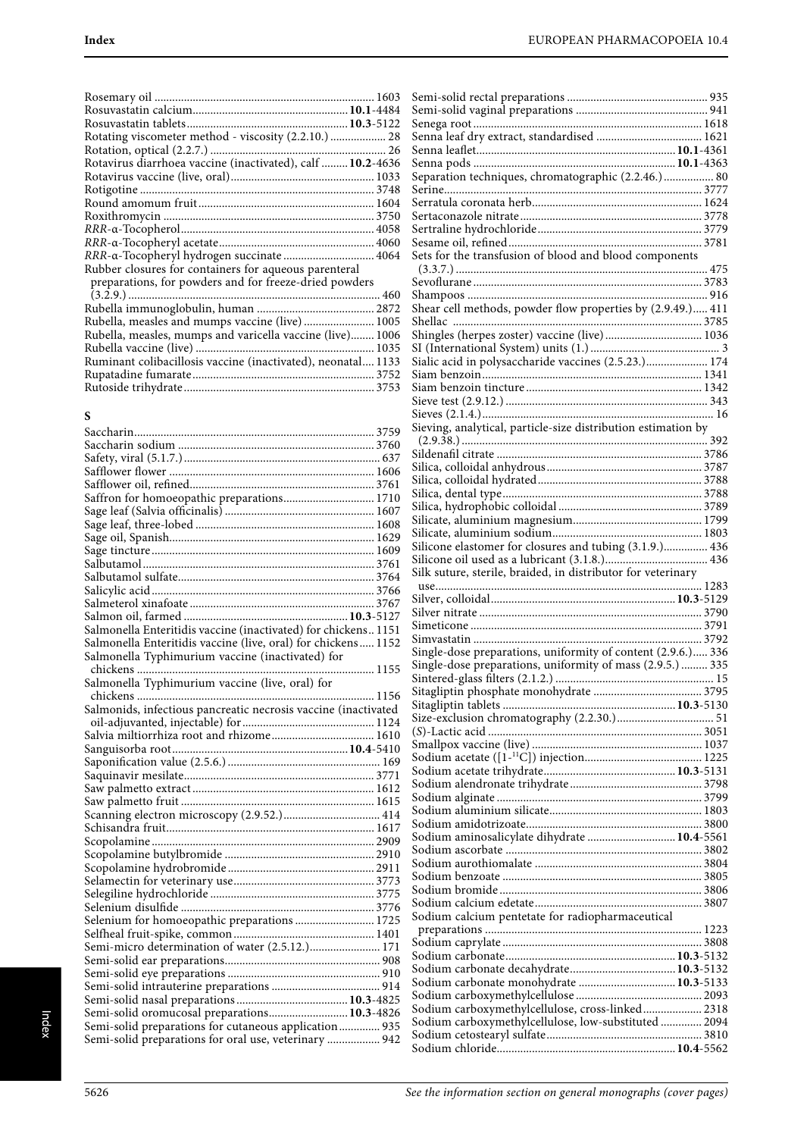## **S**

| Salmonella Enteritidis vaccine (inactivated) for chickens 1151 |  |
|----------------------------------------------------------------|--|
| Salmonella Enteritidis vaccine (live, oral) for chickens 1152  |  |
| Salmonella Typhimurium vaccine (inactivated) for               |  |
|                                                                |  |
| Salmonella Typhimurium vaccine (live, oral) for                |  |
|                                                                |  |
| Salmonids, infectious pancreatic necrosis vaccine (inactivated |  |
|                                                                |  |
|                                                                |  |
|                                                                |  |
|                                                                |  |
|                                                                |  |
|                                                                |  |
|                                                                |  |
|                                                                |  |
|                                                                |  |
|                                                                |  |
|                                                                |  |
|                                                                |  |
|                                                                |  |
|                                                                |  |
|                                                                |  |
| Selenium for homoeopathic preparations 1725                    |  |
|                                                                |  |
|                                                                |  |
|                                                                |  |
|                                                                |  |
|                                                                |  |
|                                                                |  |
| Semi-solid oromucosal preparations 10.3-4826                   |  |
| Semi-solid preparations for cutaneous application 935          |  |
| Semi-solid preparations for oral use, veterinary  942          |  |
|                                                                |  |

| Separation techniques, chromatographic (2.2.46.) 80           |  |
|---------------------------------------------------------------|--|
|                                                               |  |
|                                                               |  |
|                                                               |  |
|                                                               |  |
|                                                               |  |
|                                                               |  |
|                                                               |  |
| Sets for the transfusion of blood and blood components        |  |
|                                                               |  |
|                                                               |  |
|                                                               |  |
| Shear cell methods, powder flow properties by (2.9.49.) 411   |  |
|                                                               |  |
|                                                               |  |
| Shingles (herpes zoster) vaccine (live) 1036                  |  |
|                                                               |  |
|                                                               |  |
|                                                               |  |
|                                                               |  |
|                                                               |  |
|                                                               |  |
|                                                               |  |
| Sieving, analytical, particle-size distribution estimation by |  |
|                                                               |  |
|                                                               |  |
|                                                               |  |
|                                                               |  |
|                                                               |  |
|                                                               |  |
|                                                               |  |
|                                                               |  |
|                                                               |  |
|                                                               |  |
| Silicone elastomer for closures and tubing (3.1.9.) 436       |  |
|                                                               |  |
|                                                               |  |
|                                                               |  |
|                                                               |  |
| Silk suture, sterile, braided, in distributor for veterinary  |  |
|                                                               |  |
|                                                               |  |
|                                                               |  |
|                                                               |  |
|                                                               |  |
|                                                               |  |
| Single-dose preparations, uniformity of content (2.9.6.) 336  |  |
| Single-dose preparations, uniformity of mass (2.9.5.)  335    |  |
|                                                               |  |
|                                                               |  |
|                                                               |  |
|                                                               |  |
|                                                               |  |
|                                                               |  |
|                                                               |  |
|                                                               |  |
|                                                               |  |
|                                                               |  |
|                                                               |  |
|                                                               |  |
|                                                               |  |
|                                                               |  |
|                                                               |  |
| Sodium aminosalicylate dihydrate  10.4-5561                   |  |
|                                                               |  |
|                                                               |  |
|                                                               |  |
|                                                               |  |
|                                                               |  |
|                                                               |  |
| Sodium calcium pentetate for radiopharmaceutical              |  |
|                                                               |  |
|                                                               |  |
|                                                               |  |
|                                                               |  |
|                                                               |  |
|                                                               |  |
| Sodium carbonate monohydrate  10.3-5133                       |  |
|                                                               |  |
| Sodium carboxymethylcellulose, cross-linked 2318              |  |
| Sodium carboxymethylcellulose, low-substituted  2094          |  |
|                                                               |  |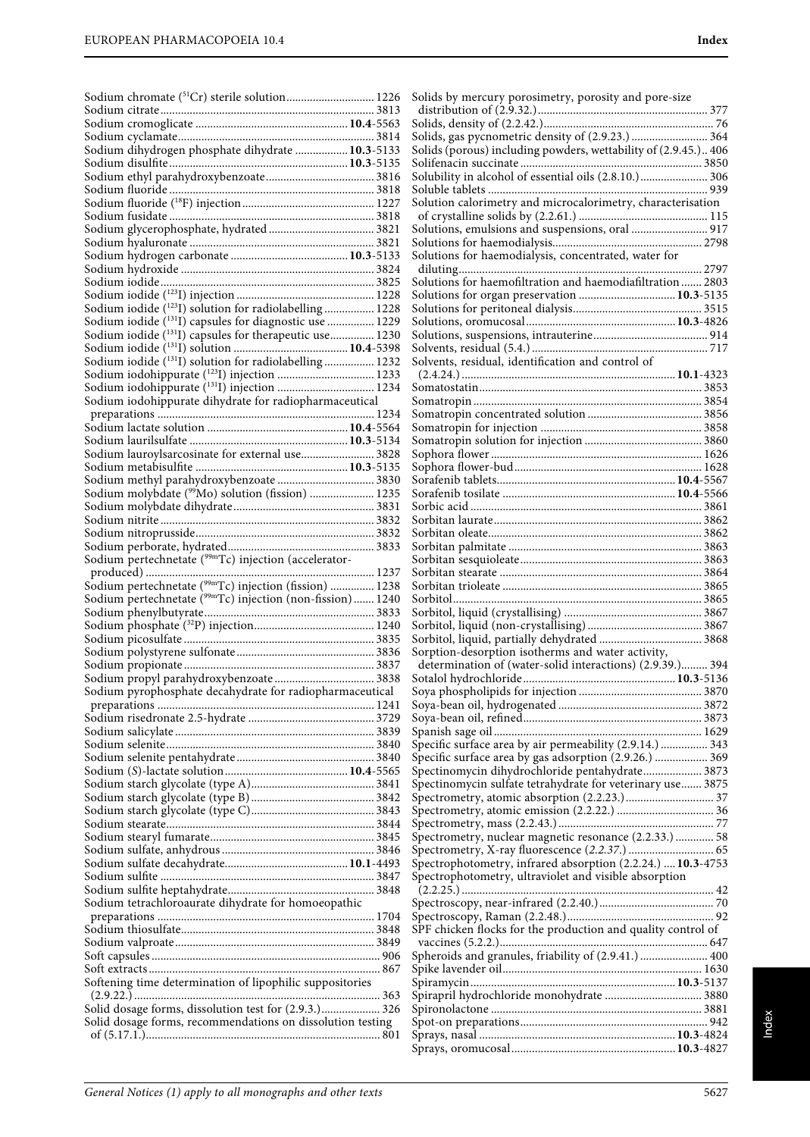|                                                                        | Solids by mercury porosimetry, porosity and pore-size                                                          |
|------------------------------------------------------------------------|----------------------------------------------------------------------------------------------------------------|
|                                                                        |                                                                                                                |
|                                                                        |                                                                                                                |
|                                                                        | Solids, gas pycnometric density of (2.9.23.)  364                                                              |
| Sodium dihydrogen phosphate dihydrate  10.3-5133                       | Solids (porous) including powders, wettability of (2.9.45.) 406                                                |
|                                                                        |                                                                                                                |
|                                                                        | Solubility in alcohol of essential oils (2.8.10.) 306                                                          |
|                                                                        | Solution calorimetry and microcalorimetry, characterisation                                                    |
|                                                                        |                                                                                                                |
|                                                                        | Solutions, emulsions and suspensions, oral  917                                                                |
|                                                                        |                                                                                                                |
|                                                                        | Solutions for haemodialysis, concentrated, water for                                                           |
|                                                                        |                                                                                                                |
|                                                                        | Solutions for haemofiltration and haemodiafiltration  2803                                                     |
|                                                                        | Solutions for organ preservation  10.3-5135                                                                    |
| Sodium iodide (123I) solution for radiolabelling 1228                  |                                                                                                                |
| Sodium iodide ( <sup>131</sup> I) capsules for diagnostic use  1229    |                                                                                                                |
| Sodium iodide (131 I) capsules for therapeutic use 1230                |                                                                                                                |
| Sodium iodide (131I) solution for radiolabelling 1232                  | Solvents, residual, identification and control of                                                              |
|                                                                        |                                                                                                                |
|                                                                        |                                                                                                                |
| Sodium iodohippurate dihydrate for radiopharmaceutical                 |                                                                                                                |
|                                                                        |                                                                                                                |
|                                                                        |                                                                                                                |
|                                                                        |                                                                                                                |
| Sodium lauroylsarcosinate for external use 3828                        |                                                                                                                |
|                                                                        |                                                                                                                |
| Sodium methyl parahydroxybenzoate  3830                                |                                                                                                                |
| Sodium molybdate ( <sup>99</sup> Mo) solution (fission)  1235          |                                                                                                                |
|                                                                        |                                                                                                                |
|                                                                        |                                                                                                                |
|                                                                        |                                                                                                                |
| Sodium pertechnetate (99mTc) injection (accelerator-                   |                                                                                                                |
|                                                                        |                                                                                                                |
| Sodium pertechnetate ( <sup>99mT</sup> c) injection (fission)  1238    |                                                                                                                |
| Sodium pertechnetate ( <sup>99m</sup> Tc) injection (non-fission) 1240 |                                                                                                                |
|                                                                        |                                                                                                                |
|                                                                        |                                                                                                                |
|                                                                        |                                                                                                                |
|                                                                        | Sorption-desorption isotherms and water activity,<br>determination of (water-solid interactions) (2.9.39.) 394 |
|                                                                        |                                                                                                                |
| Sodium pyrophosphate decahydrate for radiopharmaceutical               |                                                                                                                |
|                                                                        |                                                                                                                |
|                                                                        |                                                                                                                |
|                                                                        |                                                                                                                |
|                                                                        | Specific surface area by air permeability (2.9.14.)  343                                                       |
|                                                                        | Specific surface area by gas adsorption (2.9.26.)  369                                                         |
|                                                                        | Spectinomycin dihydrochloride pentahydrate 3873                                                                |
|                                                                        | Spectinomycin sulfate tetrahydrate for veterinary use 3875                                                     |
|                                                                        |                                                                                                                |
|                                                                        |                                                                                                                |
|                                                                        | Spectrometry, nuclear magnetic resonance (2.2.33.)  58                                                         |
|                                                                        |                                                                                                                |
|                                                                        | Spectrophotometry, infrared absorption (2.2.24.)  10.3-4753                                                    |
|                                                                        | Spectrophotometry, ultraviolet and visible absorption                                                          |
|                                                                        |                                                                                                                |
| Sodium tetrachloroaurate dihydrate for homoeopathic                    |                                                                                                                |
|                                                                        |                                                                                                                |
|                                                                        | SPF chicken flocks for the production and quality control of                                                   |
|                                                                        |                                                                                                                |
|                                                                        | Spheroids and granules, friability of (2.9.41.)  400                                                           |
| Softening time determination of lipophilic suppositories               |                                                                                                                |
|                                                                        |                                                                                                                |
| Solid dosage forms, dissolution test for (2.9.3.) 326                  |                                                                                                                |
| Solid dosage forms, recommendations on dissolution testing             |                                                                                                                |
|                                                                        |                                                                                                                |
|                                                                        |                                                                                                                |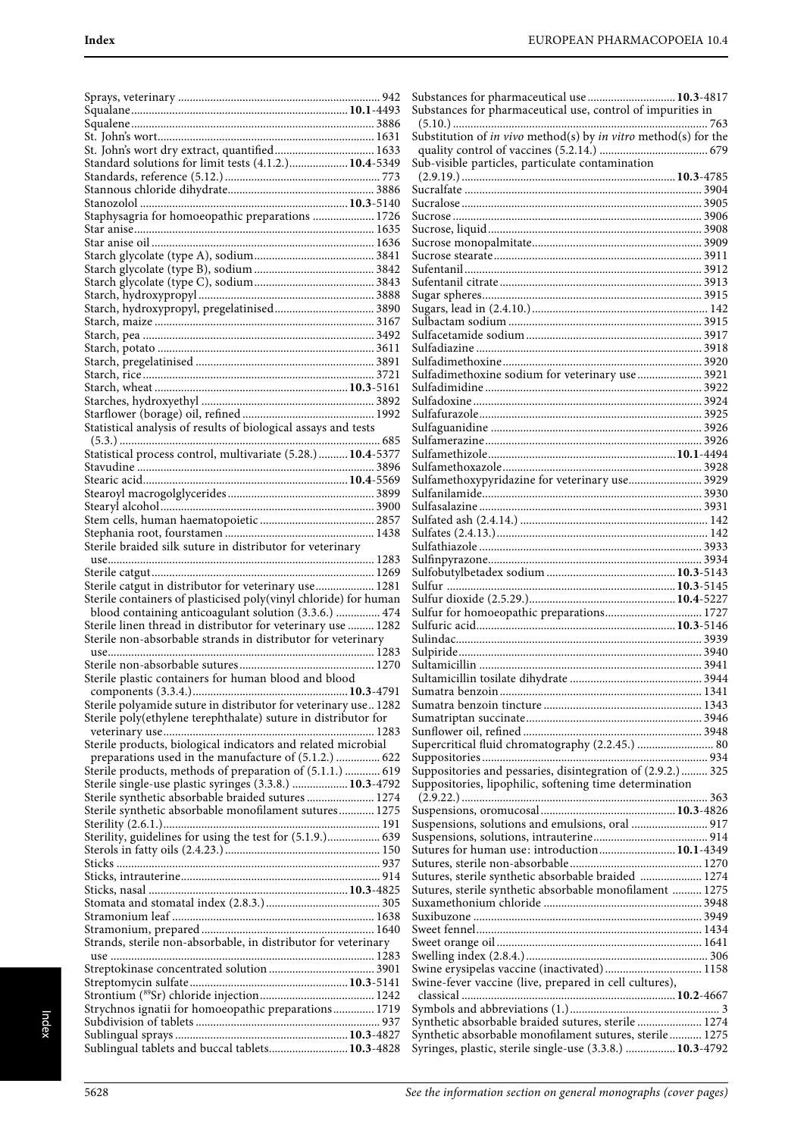| Standard solutions for limit tests (4.1.2.) 10.4-5349                                                                 |  |
|-----------------------------------------------------------------------------------------------------------------------|--|
|                                                                                                                       |  |
|                                                                                                                       |  |
| Staphysagria for homoeopathic preparations  1726                                                                      |  |
|                                                                                                                       |  |
|                                                                                                                       |  |
|                                                                                                                       |  |
|                                                                                                                       |  |
|                                                                                                                       |  |
| Starch, hydroxypropyl, pregelatinised 3890                                                                            |  |
|                                                                                                                       |  |
|                                                                                                                       |  |
|                                                                                                                       |  |
|                                                                                                                       |  |
|                                                                                                                       |  |
|                                                                                                                       |  |
|                                                                                                                       |  |
| Statistical analysis of results of biological assays and tests                                                        |  |
| Statistical process control, multivariate (5.28.)  10.4-5377                                                          |  |
|                                                                                                                       |  |
|                                                                                                                       |  |
|                                                                                                                       |  |
|                                                                                                                       |  |
|                                                                                                                       |  |
| Sterile braided silk suture in distributor for veterinary                                                             |  |
|                                                                                                                       |  |
|                                                                                                                       |  |
| Sterile catgut in distributor for veterinary use 1281                                                                 |  |
| Sterile containers of plasticised poly(vinyl chloride) for human                                                      |  |
| blood containing anticoagulant solution (3.3.6.)  474<br>Sterile linen thread in distributor for veterinary use  1282 |  |
| Sterile non-absorbable strands in distributor for veterinary                                                          |  |
|                                                                                                                       |  |
|                                                                                                                       |  |
| Sterile plastic containers for human blood and blood                                                                  |  |
| Sterile polyamide suture in distributor for veterinary use 1282                                                       |  |
| Sterile poly(ethylene terephthalate) suture in distributor for                                                        |  |
|                                                                                                                       |  |
| Sterile products, biological indicators and related microbial                                                         |  |
| preparations used in the manufacture of (5.1.2.)  622                                                                 |  |
| Sterile products, methods of preparation of (5.1.1.)  619<br>Sterile single-use plastic syringes (3.3.8.)  10.3-4792  |  |
| Sterile synthetic absorbable braided sutures  1274                                                                    |  |
| Sterile synthetic absorbable monofilament sutures 1275                                                                |  |
|                                                                                                                       |  |
| Sterility, guidelines for using the test for (5.1.9.) 639                                                             |  |
|                                                                                                                       |  |
|                                                                                                                       |  |
|                                                                                                                       |  |
|                                                                                                                       |  |
|                                                                                                                       |  |
| Strands, sterile non-absorbable, in distributor for veterinary                                                        |  |
|                                                                                                                       |  |
|                                                                                                                       |  |
|                                                                                                                       |  |
|                                                                                                                       |  |
| Strychnos ignatii for homoeopathic preparations 1719                                                                  |  |
|                                                                                                                       |  |
| Sublingual tablets and buccal tablets 10.3-4828                                                                       |  |

| Substances for pharmaceutical use  10.3-4817<br>Substances for pharmaceutical use, control of impurities in    |
|----------------------------------------------------------------------------------------------------------------|
|                                                                                                                |
| Substitution of in vivo method(s) by in vitro method(s) for the                                                |
|                                                                                                                |
| Sub-visible particles, particulate contamination                                                               |
|                                                                                                                |
|                                                                                                                |
|                                                                                                                |
|                                                                                                                |
|                                                                                                                |
|                                                                                                                |
|                                                                                                                |
|                                                                                                                |
|                                                                                                                |
|                                                                                                                |
|                                                                                                                |
|                                                                                                                |
|                                                                                                                |
|                                                                                                                |
|                                                                                                                |
| Sulfadimethoxine sodium for veterinary use  3921                                                               |
|                                                                                                                |
|                                                                                                                |
|                                                                                                                |
|                                                                                                                |
|                                                                                                                |
|                                                                                                                |
|                                                                                                                |
|                                                                                                                |
|                                                                                                                |
|                                                                                                                |
|                                                                                                                |
|                                                                                                                |
|                                                                                                                |
|                                                                                                                |
|                                                                                                                |
|                                                                                                                |
|                                                                                                                |
|                                                                                                                |
| Sulfur for homoeopathic preparations 1727                                                                      |
|                                                                                                                |
|                                                                                                                |
|                                                                                                                |
|                                                                                                                |
|                                                                                                                |
|                                                                                                                |
|                                                                                                                |
|                                                                                                                |
|                                                                                                                |
| Supercritical fluid chromatography (2.2.45.)  80                                                               |
|                                                                                                                |
| Suppositories and pessaries, disintegration of (2.9.2.) 325                                                    |
| Suppositories, lipophilic, softening time determination                                                        |
|                                                                                                                |
|                                                                                                                |
| Suspensions, solutions and emulsions, oral  917                                                                |
|                                                                                                                |
| Sutures for human use: introduction 10.1-4349                                                                  |
|                                                                                                                |
| Sutures, sterile synthetic absorbable braided  1274                                                            |
| Sutures, sterile synthetic absorbable monofilament  1275                                                       |
|                                                                                                                |
|                                                                                                                |
|                                                                                                                |
|                                                                                                                |
|                                                                                                                |
| Swine erysipelas vaccine (inactivated) 1158                                                                    |
| Swine-fever vaccine (live, prepared in cell cultures),                                                         |
|                                                                                                                |
|                                                                                                                |
| Synthetic absorbable braided sutures, sterile  1274<br>Synthetic absorbable monofilament sutures, sterile 1275 |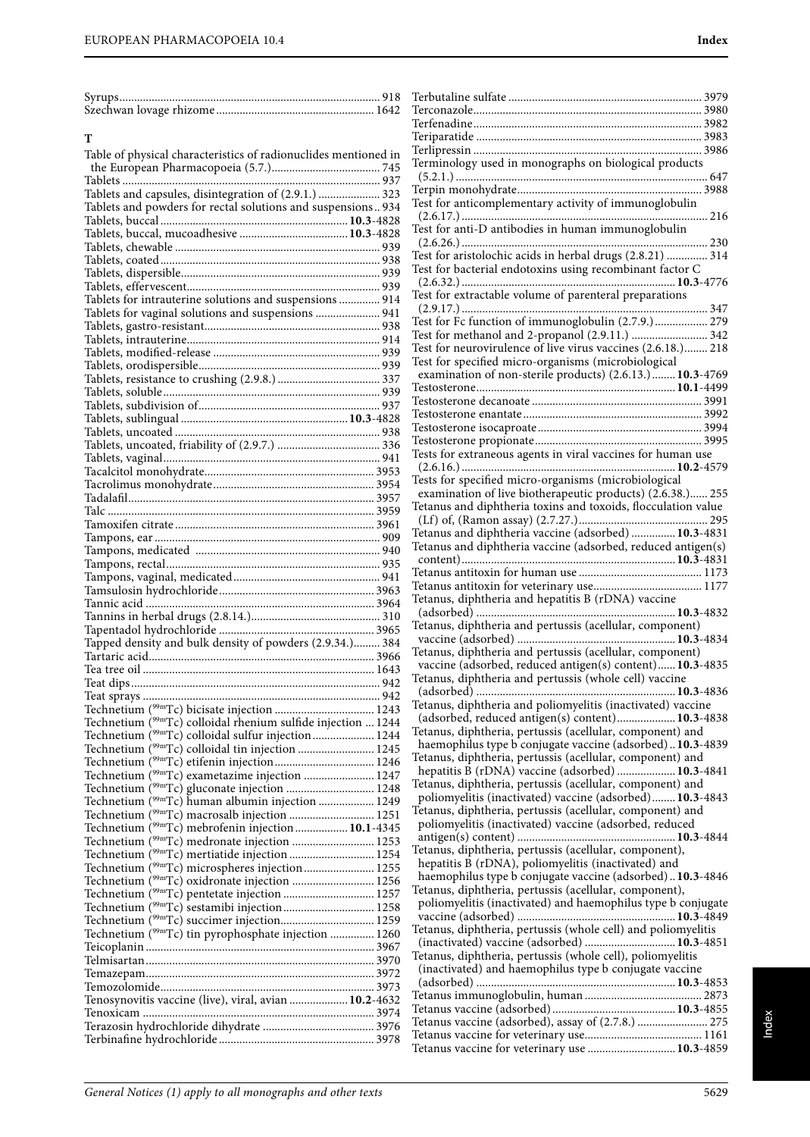| $5V^{\prime\prime}$ |  |
|---------------------|--|
| $S$ zec<br>164.     |  |

| Table of physical characteristics of radionuclides mentioned in           |  |
|---------------------------------------------------------------------------|--|
|                                                                           |  |
|                                                                           |  |
| Tablets and capsules, disintegration of (2.9.1.)  323                     |  |
|                                                                           |  |
| Tablets and powders for rectal solutions and suspensions 934              |  |
|                                                                           |  |
|                                                                           |  |
|                                                                           |  |
|                                                                           |  |
|                                                                           |  |
|                                                                           |  |
|                                                                           |  |
| Tablets for intrauterine solutions and suspensions  914                   |  |
|                                                                           |  |
| Tablets for vaginal solutions and suspensions  941                        |  |
|                                                                           |  |
|                                                                           |  |
|                                                                           |  |
|                                                                           |  |
|                                                                           |  |
|                                                                           |  |
|                                                                           |  |
|                                                                           |  |
|                                                                           |  |
|                                                                           |  |
|                                                                           |  |
|                                                                           |  |
|                                                                           |  |
|                                                                           |  |
|                                                                           |  |
|                                                                           |  |
|                                                                           |  |
|                                                                           |  |
|                                                                           |  |
|                                                                           |  |
|                                                                           |  |
|                                                                           |  |
|                                                                           |  |
|                                                                           |  |
|                                                                           |  |
|                                                                           |  |
|                                                                           |  |
|                                                                           |  |
|                                                                           |  |
|                                                                           |  |
| Tapped density and bulk density of powders (2.9.34.) 384                  |  |
|                                                                           |  |
|                                                                           |  |
|                                                                           |  |
|                                                                           |  |
|                                                                           |  |
|                                                                           |  |
| Technetium ( <sup>99m</sup> Tc) colloidal rhenium sulfide injection  1244 |  |
| Technetium ( <sup>99m</sup> Tc) colloidal sulfur injection 1244           |  |
|                                                                           |  |
| Technetium ( <sup>99m</sup> Tc) colloidal tin injection  1245             |  |
|                                                                           |  |
| Technetium ( <sup>99m</sup> Tc) exametazime injection  1247               |  |
| Technetium ( <sup>99m</sup> Tc) gluconate injection  1248                 |  |
|                                                                           |  |
| Technetium ( <sup>99m</sup> Tc) human albumin injection  1249             |  |
| Technetium ( <sup>99m</sup> Tc) macrosalb injection  1251                 |  |
| Technetium ( <sup>99m</sup> Tc) mebrofenin injection 10.1-4345            |  |
| Technetium ( <sup>99m</sup> Tc) medronate injection  1253                 |  |
| Technetium ( <sup>99m</sup> Tc) mertiatide injection  1254                |  |
|                                                                           |  |
| Technetium ( <sup>99m</sup> Tc) microspheres injection 1255               |  |
| Technetium ( <sup>99m</sup> Tc) oxidronate injection  1256                |  |
|                                                                           |  |
| Technetium ( <sup>99m</sup> Tc) sestamibi injection 1258                  |  |
|                                                                           |  |
|                                                                           |  |
| Technetium ( <sup>99m</sup> Tc) tin pyrophosphate injection  1260         |  |
|                                                                           |  |
|                                                                           |  |
|                                                                           |  |
|                                                                           |  |
|                                                                           |  |
| Tenosynovitis vaccine (live), viral, avian  10.2-4632                     |  |
|                                                                           |  |
|                                                                           |  |
|                                                                           |  |
|                                                                           |  |
|                                                                           |  |

| Terminology used in monographs on biological products                                                                                                             |
|-------------------------------------------------------------------------------------------------------------------------------------------------------------------|
|                                                                                                                                                                   |
|                                                                                                                                                                   |
| Test for anticomplementary activity of immunoglobulin                                                                                                             |
|                                                                                                                                                                   |
| Test for anti-D antibodies in human immunoglobulin                                                                                                                |
| 230                                                                                                                                                               |
| Test for aristolochic acids in herbal drugs (2.8.21)  314                                                                                                         |
| Test for bacterial endotoxins using recombinant factor C                                                                                                          |
|                                                                                                                                                                   |
|                                                                                                                                                                   |
| Test for Fc function of immunoglobulin (2.7.9.) 279                                                                                                               |
| Test for methanol and 2-propanol (2.9.11.)  342                                                                                                                   |
| Test for neurovirulence of live virus vaccines (2.6.18.) 218                                                                                                      |
| Test for specified micro-organisms (microbiological                                                                                                               |
| examination of non-sterile products) (2.6.13.) 10.3-4769                                                                                                          |
|                                                                                                                                                                   |
|                                                                                                                                                                   |
|                                                                                                                                                                   |
|                                                                                                                                                                   |
| Tests for extraneous agents in viral vaccines for human use                                                                                                       |
|                                                                                                                                                                   |
| Tests for specified micro-organisms (microbiological                                                                                                              |
| examination of live biotherapeutic products) (2.6.38.) 255                                                                                                        |
| Tetanus and diphtheria toxins and toxoids, flocculation value                                                                                                     |
|                                                                                                                                                                   |
| Tetanus and diphtheria vaccine (adsorbed)  10.3-4831                                                                                                              |
| Tetanus and diphtheria vaccine (adsorbed, reduced antigen(s)                                                                                                      |
|                                                                                                                                                                   |
|                                                                                                                                                                   |
| Tetanus, diphtheria and hepatitis B (rDNA) vaccine                                                                                                                |
|                                                                                                                                                                   |
| Tetanus, diphtheria and pertussis (acellular, component)                                                                                                          |
|                                                                                                                                                                   |
| Tetanus, diphtheria and pertussis (acellular, component)                                                                                                          |
| vaccine (adsorbed, reduced antigen(s) content) 10.3-4835                                                                                                          |
| Tetanus, diphtheria and pertussis (whole cell) vaccine                                                                                                            |
|                                                                                                                                                                   |
|                                                                                                                                                                   |
| Tetanus, diphtheria and poliomyelitis (inactivated) vaccine                                                                                                       |
| (adsorbed, reduced antigen(s) content) 10.3-4838                                                                                                                  |
| Tetanus, diphtheria, pertussis (acellular, component) and                                                                                                         |
| haemophilus type b conjugate vaccine (adsorbed)10.3-4839                                                                                                          |
| Tetanus, diphtheria, pertussis (acellular, component) and                                                                                                         |
| hepatitis B (rDNA) vaccine (adsorbed)  10.3-4841<br>Tetanus, diphtheria, pertussis (acellular, component) and                                                     |
| poliomyelitis (inactivated) vaccine (adsorbed) 10.3-4843                                                                                                          |
| Tetanus, diphtheria, pertussis (acellular, component) and                                                                                                         |
| poliomyelitis (inactivated) vaccine (adsorbed, reduced                                                                                                            |
|                                                                                                                                                                   |
| Tetanus, diphtheria, pertussis (acellular, component),                                                                                                            |
| hepatitis B (rDNA), poliomyelitis (inactivated) and                                                                                                               |
| haemophilus type b conjugate vaccine (adsorbed)10.3-4846                                                                                                          |
| Tetanus, diphtheria, pertussis (acellular, component),                                                                                                            |
| poliomyelitis (inactivated) and haemophilus type b conjugate                                                                                                      |
| Tetanus, diphtheria, pertussis (whole cell) and poliomyelitis                                                                                                     |
| (inactivated) vaccine (adsorbed)  10.3-4851                                                                                                                       |
|                                                                                                                                                                   |
| (inactivated) and haemophilus type b conjugate vaccine                                                                                                            |
|                                                                                                                                                                   |
|                                                                                                                                                                   |
|                                                                                                                                                                   |
|                                                                                                                                                                   |
| Tetanus, diphtheria, pertussis (whole cell), poliomyelitis<br>Tetanus vaccine (adsorbed), assay of (2.7.8.)  275<br>Tetanus vaccine for veterinary use  10.3-4859 |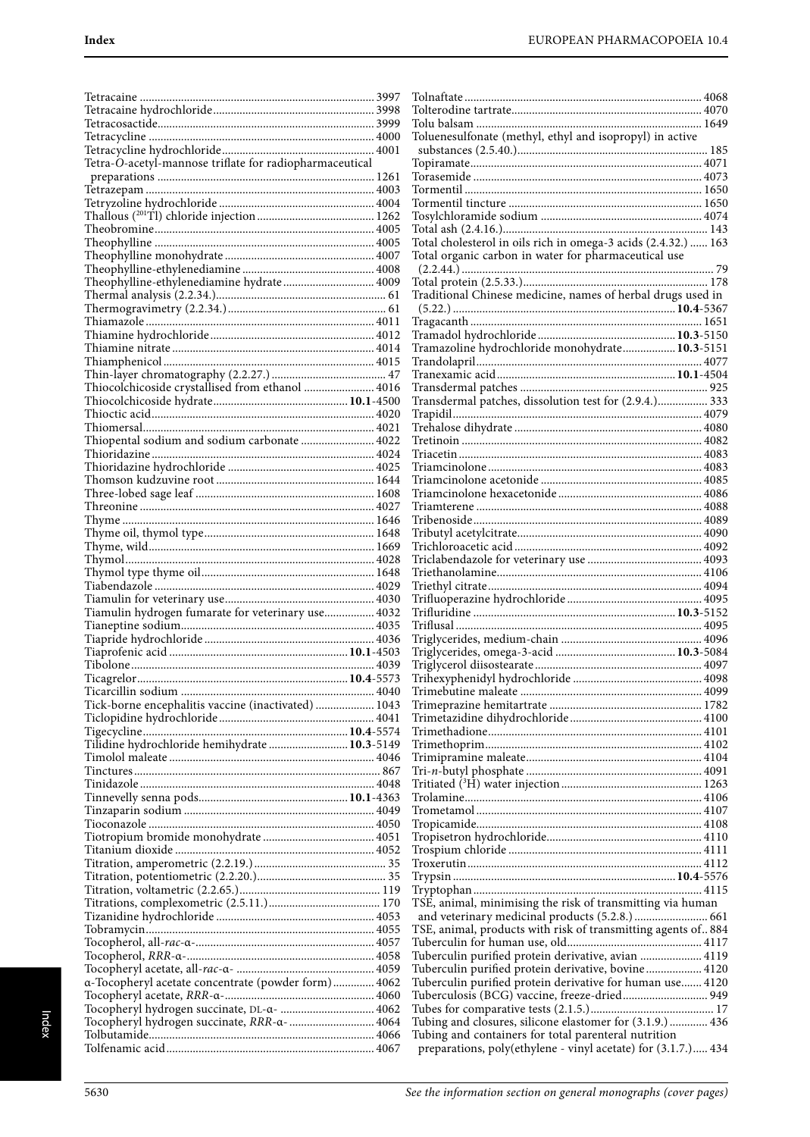| Tetra-O-acetyl-mannose triflate for radiopharmaceutical                                   |  |
|-------------------------------------------------------------------------------------------|--|
|                                                                                           |  |
|                                                                                           |  |
|                                                                                           |  |
|                                                                                           |  |
|                                                                                           |  |
|                                                                                           |  |
|                                                                                           |  |
|                                                                                           |  |
| Theophylline-ethylenediamine hydrate 4009                                                 |  |
|                                                                                           |  |
|                                                                                           |  |
|                                                                                           |  |
|                                                                                           |  |
|                                                                                           |  |
|                                                                                           |  |
|                                                                                           |  |
|                                                                                           |  |
|                                                                                           |  |
|                                                                                           |  |
|                                                                                           |  |
|                                                                                           |  |
|                                                                                           |  |
|                                                                                           |  |
|                                                                                           |  |
|                                                                                           |  |
|                                                                                           |  |
|                                                                                           |  |
|                                                                                           |  |
|                                                                                           |  |
|                                                                                           |  |
|                                                                                           |  |
|                                                                                           |  |
|                                                                                           |  |
| Tiamulin hydrogen fumarate for veterinary use 4032                                        |  |
|                                                                                           |  |
|                                                                                           |  |
|                                                                                           |  |
|                                                                                           |  |
|                                                                                           |  |
|                                                                                           |  |
| Tick-borne encephalitis vaccine (inactivated)  1043                                       |  |
|                                                                                           |  |
|                                                                                           |  |
|                                                                                           |  |
|                                                                                           |  |
|                                                                                           |  |
|                                                                                           |  |
|                                                                                           |  |
|                                                                                           |  |
|                                                                                           |  |
|                                                                                           |  |
|                                                                                           |  |
|                                                                                           |  |
|                                                                                           |  |
|                                                                                           |  |
|                                                                                           |  |
|                                                                                           |  |
|                                                                                           |  |
|                                                                                           |  |
|                                                                                           |  |
|                                                                                           |  |
| a-Tocopheryl acetate concentrate (powder form) 4062                                       |  |
|                                                                                           |  |
| Tocopheryl hydrogen succinate, DL-a-  4062<br>Tocopheryl hydrogen succinate, RRR-a-  4064 |  |
|                                                                                           |  |

| Toluenesulfonate (methyl, ethyl and isopropyl) in active                                                               |  |
|------------------------------------------------------------------------------------------------------------------------|--|
|                                                                                                                        |  |
|                                                                                                                        |  |
|                                                                                                                        |  |
|                                                                                                                        |  |
|                                                                                                                        |  |
|                                                                                                                        |  |
| Total cholesterol in oils rich in omega-3 acids (2.4.32.)  163<br>Total organic carbon in water for pharmaceutical use |  |
|                                                                                                                        |  |
|                                                                                                                        |  |
| Traditional Chinese medicine, names of herbal drugs used in                                                            |  |
|                                                                                                                        |  |
|                                                                                                                        |  |
|                                                                                                                        |  |
| Tramazoline hydrochloride monohydrate 10.3-5151                                                                        |  |
|                                                                                                                        |  |
|                                                                                                                        |  |
| Transdermal patches, dissolution test for (2.9.4.) 333                                                                 |  |
|                                                                                                                        |  |
|                                                                                                                        |  |
|                                                                                                                        |  |
|                                                                                                                        |  |
|                                                                                                                        |  |
|                                                                                                                        |  |
|                                                                                                                        |  |
|                                                                                                                        |  |
|                                                                                                                        |  |
|                                                                                                                        |  |
|                                                                                                                        |  |
|                                                                                                                        |  |
|                                                                                                                        |  |
|                                                                                                                        |  |
|                                                                                                                        |  |
|                                                                                                                        |  |
|                                                                                                                        |  |
|                                                                                                                        |  |
|                                                                                                                        |  |
|                                                                                                                        |  |
|                                                                                                                        |  |
|                                                                                                                        |  |
|                                                                                                                        |  |
|                                                                                                                        |  |
|                                                                                                                        |  |
|                                                                                                                        |  |
|                                                                                                                        |  |
|                                                                                                                        |  |
|                                                                                                                        |  |
|                                                                                                                        |  |
|                                                                                                                        |  |
|                                                                                                                        |  |
| TSE, animal, minimising the risk of transmitting via human                                                             |  |
| and veterinary medicinal products (5.2.8.)  661                                                                        |  |
| TSE, animal, products with risk of transmitting agents of 884                                                          |  |
| Tuberculin purified protein derivative, avian  4119                                                                    |  |
| Tuberculin purified protein derivative, bovine 4120                                                                    |  |
| Tuberculin purified protein derivative for human use 4120                                                              |  |
| Tuberculosis (BCG) vaccine, freeze-dried 949                                                                           |  |
| Tubing and closures, silicone elastomer for (3.1.9.)  436                                                              |  |
| Tubing and containers for total parenteral nutrition                                                                   |  |
| preparations, poly(ethylene - vinyl acetate) for (3.1.7.) 434                                                          |  |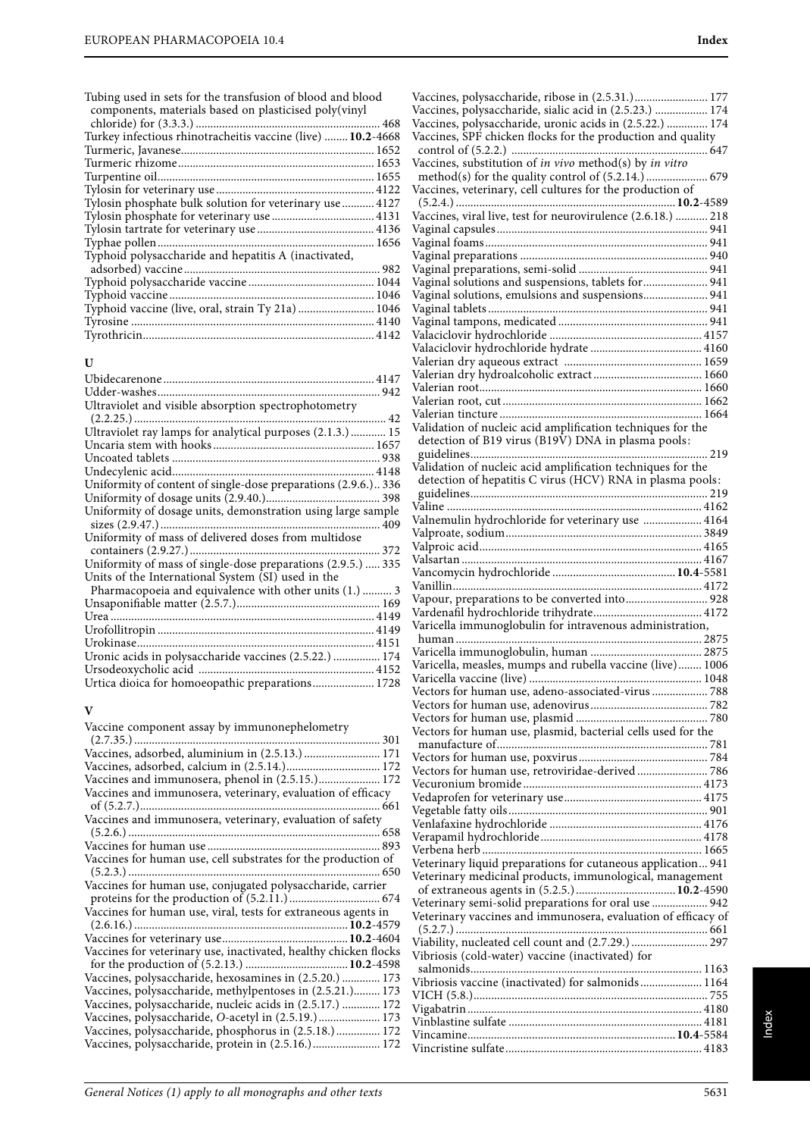**U**

**V**

Tubing used in sets for the transfusion of blood and blood components, materials based on plasticised poly(vinyl chloride) for (3.3.3.) ............................................................... 468 Turkey infectious rhinotracheitis vaccine (live) ........**10.2**-4668 Turmeric, Javanese.................................................................. 1652 Turmeric rhizome................................................................... 1653 Turpentine oil.......................................................................... 1655 Tylosin for veterinary use ...................................................... 4122 Tylosin phosphate bulk solution for veterinary use ........... 4127 Tylosin phosphate for veterinary use ................................... 4131 Tylosin tartrate for veterinary use ........................................ 4136 Typhae pollen.......................................................................... 1656 Typhoid polysaccharide and hepatitis A (inactivated, adsorbed) vaccine................................................................... 982 Typhoid polysaccharide vaccine ........................................... 1044 Typhoid vaccine ...................................................................... 1046 Typhoid vaccine (live, oral, strain Ty 21a) .......................... 1046 Tyrosine ................................................................................... 4140 Tyrothricin............................................................................... 4142

Ubidecarenone ........................................................................ 4147 Udder-washes............................................................................ 942 Ultraviolet and visible absorption spectrophotometry

(2.2.25.) ...................................................................................... 42 Ultraviolet ray lamps for analytical purposes (2.1.3.) ............ 15 Uncaria stem with hooks ....................................................... 1657 Uncoated tablets ....................................................................... 938 Undecylenic acid..................................................................... 4148 Uniformity of content of single-dose preparations (2.9.6.).. 336 Uniformity of dosage units (2.9.40.)....................................... 398 Uniformity of dosage units, demonstration using large sample sizes (2.9.47.) ........................................................................... 409 Uniformity of mass of delivered doses from multidose containers (2.9.27.)................................................................. 372 Uniformity of mass of single-dose preparations (2.9.5.) ..... 335

Pharmacopoeia and equivalence with other units (1.) .......... 3 Unsaponifiable matter (2.5.7.)................................................. 169 Urea .......................................................................................... 4149 Urofollitropin .......................................................................... 4149 Urokinase................................................................................. 4151 Uronic acids in polysaccharide vaccines (2.5.22.) ................ 174 Ursodeoxycholic acid ............................................................ 4152 Urtica dioica for homoeopathic preparations..................... 1728

Vaccine component assay by immunonephelometry  $(2, 7, 35)$ 

Units of the International System (SI) used in the

| Vaccines, adsorbed, aluminium in (2.5.13.)  171                  |  |
|------------------------------------------------------------------|--|
|                                                                  |  |
| Vaccines and immunosera, phenol in (2.5.15.) 172                 |  |
| Vaccines and immunosera, veterinary, evaluation of efficacy      |  |
|                                                                  |  |
| Vaccines and immunosera, veterinary, evaluation of safety        |  |
|                                                                  |  |
|                                                                  |  |
| Vaccines for human use, cell substrates for the production of    |  |
|                                                                  |  |
| Vaccines for human use, conjugated polysaccharide, carrier       |  |
|                                                                  |  |
| Vaccines for human use, viral, tests for extraneous agents in    |  |
|                                                                  |  |
|                                                                  |  |
| Vaccines for veterinary use, inactivated, healthy chicken flocks |  |
|                                                                  |  |
| Vaccines, polysaccharide, hexosamines in (2.5.20.)  173          |  |
| Vaccines, polysaccharide, methylpentoses in (2.5.21.) 173        |  |
| Vaccines, polysaccharide, nucleic acids in (2.5.17.)  172        |  |
| Vaccines, polysaccharide, O-acetyl in (2.5.19.) 173              |  |
| Vaccines, polysaccharide, phosphorus in (2.5.18.) 172            |  |
| Vaccines, polysaccharide, protein in (2.5.16.) 172               |  |
|                                                                  |  |

| Vaccines, polysaccharide, ribose in (2.5.31.) 177                     |  |
|-----------------------------------------------------------------------|--|
| Vaccines, polysaccharide, sialic acid in (2.5.23.)  174               |  |
| Vaccines, polysaccharide, uronic acids in (2.5.22.)  174              |  |
|                                                                       |  |
| Vaccines, SPF chicken flocks for the production and quality           |  |
|                                                                       |  |
| Vaccines, substitution of <i>in vivo</i> method(s) by <i>in vitro</i> |  |
|                                                                       |  |
| Vaccines, veterinary, cell cultures for the production of             |  |
|                                                                       |  |
| Vaccines, viral live, test for neurovirulence (2.6.18.)  218          |  |
|                                                                       |  |
|                                                                       |  |
|                                                                       |  |
|                                                                       |  |
|                                                                       |  |
| Vaginal solutions and suspensions, tablets for  941                   |  |
| Vaginal solutions, emulsions and suspensions 941                      |  |
|                                                                       |  |
|                                                                       |  |
|                                                                       |  |
|                                                                       |  |
|                                                                       |  |
|                                                                       |  |
|                                                                       |  |
|                                                                       |  |
|                                                                       |  |
|                                                                       |  |
|                                                                       |  |
| Validation of nucleic acid amplification techniques for the           |  |
| detection of B19 virus (B19V) DNA in plasma pools:                    |  |
|                                                                       |  |
| Validation of nucleic acid amplification techniques for the           |  |
|                                                                       |  |
| detection of hepatitis C virus (HCV) RNA in plasma pools:             |  |
|                                                                       |  |
|                                                                       |  |
| Valnemulin hydrochloride for veterinary use  4164                     |  |
|                                                                       |  |
|                                                                       |  |
|                                                                       |  |
|                                                                       |  |
|                                                                       |  |
|                                                                       |  |
|                                                                       |  |
| Vapour, preparations to be converted into 928                         |  |
|                                                                       |  |
|                                                                       |  |
| Varicella immunoglobulin for intravenous administration,              |  |
|                                                                       |  |
|                                                                       |  |
| Varicella, measles, mumps and rubella vaccine (live) 1006             |  |
|                                                                       |  |
|                                                                       |  |
| Vectors for human use, adeno-associated-virus  788                    |  |
|                                                                       |  |
|                                                                       |  |
| Vectors for human use, plasmid, bacterial cells used for the          |  |
|                                                                       |  |
|                                                                       |  |
|                                                                       |  |
| Vectors for human use, retroviridae-derived  786                      |  |
|                                                                       |  |
|                                                                       |  |
|                                                                       |  |
|                                                                       |  |
|                                                                       |  |
|                                                                       |  |
| Veterinary liquid preparations for cutaneous application 941          |  |
|                                                                       |  |
| Veterinary medicinal products, immunological, management              |  |
|                                                                       |  |
| Veterinary semi-solid preparations for oral use  942                  |  |
| Veterinary vaccines and immunosera, evaluation of efficacy of         |  |
|                                                                       |  |
| Viability, nucleated cell count and (2.7.29.) 297                     |  |
| Vibriosis (cold-water) vaccine (inactivated) for                      |  |
|                                                                       |  |
|                                                                       |  |
| Vibriosis vaccine (inactivated) for salmonids  1164                   |  |
|                                                                       |  |
|                                                                       |  |
|                                                                       |  |
|                                                                       |  |